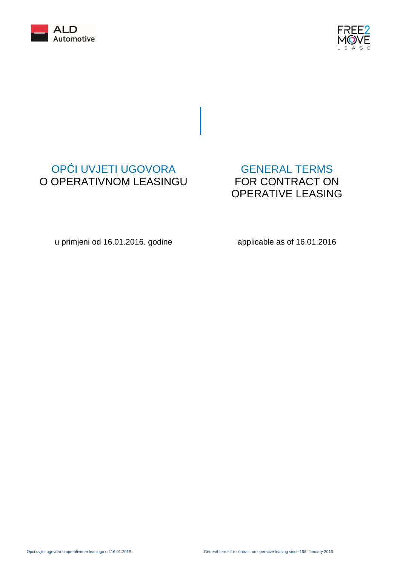



# OPĆI UVJETI UGOVORA O OPERATIVNOM LEASINGU

# GENERAL TERMS FOR CONTRACT ON OPERATIVE LEASING

u primjeni od 16.01.2016. godine

applicable as of 16.01.2016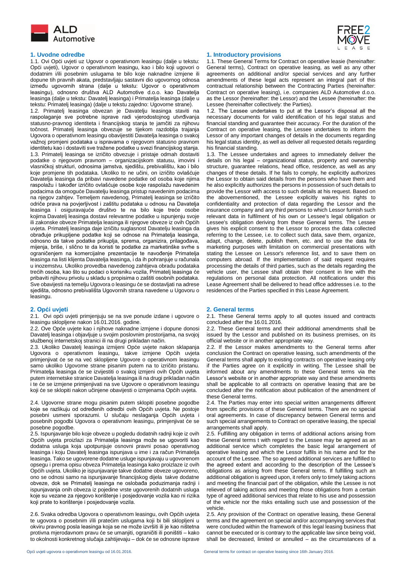



1.1. Ovi Opći uvjeti uz Ugovor o operativnom leasingu (dalje u tekstu: Opći uvjeti), Ugovor o operativnom leasingu, kao i bilo koji ugovori o dodatnim i/ili posebnim uslugama te bilo koje naknadne izmjene ili dopune tih pravnih akata, predstavljaju sastavni dio ugovornog odnosa između ugovornih strana (dalje u tekstu: Ugovor o operativnom leasingu), odnosno društva ALD Automotive d.o.o. kao Davatelja leasinga (dalje u tekstu: Davatelj leasinga) i Primatelja leasinga (dalje u tekstu: Primatelj leasinga) (dalje u tekstu zajedno: Ugovorne strane).

1.2. Primatelj leasinga obvezan je Davatelju leasinga staviti na raspolaganje sve potrebne isprave radi vjerodostojnog utvrđivanja statusno-pravnog identiteta i financijskog stanja te jamčiti za njihovu točnost. Primatelj leasinga obvezuje se tijekom razdoblja trajanja Ugovora o operativnom leasingu obavijestiti Davatelja leasinga o svakoj važnoj promjeni podataka u ispravama o njegovom statusno pravnom identitetu kao i dostaviti sve tražene podatke u svezi financijskog stanja. 1.3. Primatelj leasinga se izričito obvezuje i pristaje odmah dostaviti podatke o njegovom pravnom – organizacijskom statusu, imovini i vlasničkoj strukturi, odnosima jamstva, sjedištu, prebivalištu, kao i bilo koje promjene tih podataka. Ukoliko to ne učini, on izričito ovlašćuje Davatelja leasinga da pribavi navedene podatke od osoba koje njima raspolažu i također izričito ovlašćuje osobe koje raspolažu navedenim podacima da omoguće Davatelju leasinga pristup navedenim podacima na njegov zahtjev. Temeljem navedenog, Primatelj leasinga se izričito odriče prava na povjerljivost i zaštitu podataka u odnosu na Davatelja leasinga i osiguravajuće društvo te na bilo koje treće osobe kojima Davatelj leasinga dostavi relevantne podatke u ispunjenju svoje ili zakonske obveze Primatelja leasinga ili njegove obveze iz ovih Općih uvjeta. Primatelj leasinga daje izričitu suglasnost Davatelju leasinga da obrađuje prikupljene podatke koji se odnose na Primatelja leasinga, odnosno da takve podatke prikuplja, sprema, organizira, prilagođava, mijenja, briše, i slično te da koristi te podatke za marketinške svrhe s ograničenjem na komercijalne prezentacije te navođenje Primatelja leasinga na listi klijenta Davatelja leasinga, i da ih pohranjuje u računala u inozemstvu. Ukoliko provedba navedenog zahtijeva obradu podataka trećih osoba, kao što su podaci o korisniku vozila, Primatelj leasinga će pribaviti njihovu privolu u skladu s propisima o zaštiti osobnih podataka. Sve obavijesti na temelju Ugovora o leasingu će se dostavljati na adrese sjedišta, odnosno prebivališta Ugovornih strana navedene u Ugovoru o leasingu.

2.1. Ovi opći uvjeti primjenjuju se na sve ponude izdane i ugovore o leasingu sklopljene nakon 16.01.2016. godine.

2.2. Ove Opće uvjete kao i njihove naknadne izmjene i dopune donosi Davatelj leasinga i objavljuje u svojim poslovnim prostorijama, na svojoj službenoj internetskoj stranici ili na drugi prikladan način.

2.3. Ukoliko Davatelj leasinga izmijeni Opće uvjete nakon sklapanja Ugovora o operativnom leasingu, takve izmjene Općih uvjeta primjenjivat će se na već sklopljene Ugovore o operativnom leasingu samo ukoliko Ugovorne strane pisanim putem na to izričito pristanu. Primatelja leasinga će se izvijestiti o svakoj izmjeni ovih Općih uvjeta putem internetske stranice Davatelja leasinga ili na drugi prikladan način i te će se izmjene primjenjivati na sve Ugovore o operativnom leasingu koji će se sklopiti nakon učinjene obavijesti o izmjenama Općih uvjeta.

2.4. Ugovorne strane mogu pisanim putem sklopiti posebne pogodbe koje se razlikuju od određenih odredbi ovih Općih uvjeta. Ne postoje posebni usmeni sporazumi. U slučaju neslaganja Općih uvjeta i posebnih pogodbi Ugovora o operativnom leasingu, primjenjivat će se posebne pogodbe.

2.5. Ispunjavanje bilo koje obveze u pogledu dodatnih radnji koje iz ovih Općih uvjeta proizlazi za Primatelja leasinga može se ugovoriti kao dodatna usluga koja upotpunjuje osnovni pravni posao operativnog leasinga i koju Davatelj leasinga ispunjava u ime i za račun Primatelja leasinga. Tako se ugovorene dodatne usluge ispunjavaju u ugovorenom opsegu i prema opisu obveza Primatelja leasinga kako proizlaze iz ovih Općih uvjeta. Ukoliko je ispunjavanje takve dodatne obveze ugovoreno, ono se odnosi samo na ispunjavanje financijskog dijela takve dodatne obveze, dok se Primatelj leasinga ne oslobađa poduzimanja radnji i ispunjavanja onih obveza iz pojedine vrste ugovorenih dodatnih usluga koje su vezane za njegovo korištenje i posjedovanje vozila kao ni rizika koji prate to korištenje i posjedovanje vozila.

2.6. Svaka odredba Ugovora o operativnom leasingu, ovih Općih uvjeta te ugovora o posebnim i/ili pratećim uslugama koji bi bili sklopljeni u okviru pravnog posla leasinga koja se ne može izvršiti ili je kao ništetna protivna mjerodavnom pravu će se umanjiti, ograničiti ili poništiti – kako to okolnosti konkretnog slučaja zahtijevaju – dok će se odnosne isprave

### **1. Uvodne odredbe 1. Introductory provisions**

1.1. These General Terms for Contract on operative leasie (hereinafter: General terms), Contract on operative leasing, as well as any other agreements on additional and/or special services and any further amendments of these legal acts represent an integral part of this contractual relationship between the Contracting Parties (hereinafter: Contract on operative leasing), i.e. companies ALD Automotive d.o.o. as the Lessor (hereinafter: the Lessor) and the Lessee (hereinafter: the Lessee (hereinafter collectively: the Parties).

1.2. The Lessee undertakes to put at the Lessor's disposal all the necessary documents for valid identification of his legal status and financial standing and guarantee their accuracy. For the duration of the Contract on operative leasing, the Lessee undertakes to inform the Lessor of any important changes of details in the documents regarding his legal status identity, as well as deliver all requested details regarding his financial standing.

1.3. The Lessee undertakes and agrees to immediately deliver the details on his legal – organizational status, property and ownership structure, guarantee relations, head office, residence, as well as any changes of these details. If he fails to comply, he explicitly authorizes the Lessor to obtain said details from the persons who have them and he also explicitly authorizes the persons in possession of such details to provide the Lessor with access to such details at his request. Based on the abovementioned, the Lessee explicitly waives his rights to confidentiality and protection of data regarding the Lessor and the insurance company and any third persons to which Lessor furnish such relevant data in fulfilment of his own or Lessee's legal obligation or Lessee's obligation deriving from these General terms. The Lessee gives his explicit consent to the Lessor to process the data collected referring to the Lessee, i.e. to collect such data, save them, organize, adapt, change, delete, publish them, etc. and to use the data for marketing purposes with limitation on commercial presentations with stating the Lessee on Lessor's reference list, and to save them on computers abroad. If the implementation of said request requires processing the details of third parties, such as the details regarding the vehicle user, the Lessee shall obtain their consent in line with the regulations on personal data protection. All notifications under this Lease Agreement shall be delivered to head office addresses i.e. to the residences of the Parties specified in this Lease Agreement.

### **2. Opći uvjeti 2. General terms**

2.1. These General terms apply to all quotes issued and contracts concluded after the 16.01.2016.

2.2. These General terms and their additional amendments shall be issued by the Lessor and published on its business premises, on its official website or in another appropriate way.

2.2. If the Lessor makes amendments to the General terms after conclusion the Contract on operative leasing, such amendments of the General terms shall apply to existing contracts on operative leasing only if the Parties agree on it explicitly in writing. The Lessee shall be informed about any amendments to these General terms via the Lessor's website or in another appropriate way and these amendments shall be applicable to all contracts on operative leasing that are be concluded after the notification about publication of the amendment of these General terms.

2.4. The Parties may enter into special written arrangements different from specific provisions of these General terms. There are no special oral agreements. In case of discrepancy between General terms and such special arrangements to Contract on operative leasing, the special arrangements shall apply.

2.5. Fulfilling any obligation in terms of additional actions arising from these General terms t with regard to the Lessee may be agreed as an additional service which completes the basic legal arrangement of operative leasing and which the Lessor fulfils in his name and for the account of the Lessee. The so agreed additional services are fulfilled to the agreed extent and according to the description of the Lessee's obligations as arising from these General terms. If fulfilling such an additional obligation is agreed upon, it refers only to timely taking actions and meeting the financial part of the obligation, while the Lessee is not relieved of taking actions and meeting those obligations from a certain type of agreed additional services that relate to his use and possession of the vehicle nor the risks entailing such use and possession of the vehicle.

2.5. Any provision of the Contract on operative leasing, these General terms and the agreement on special and/or accompanying services that were concluded within the framework of this legal leasing business that cannot be executed or is contrary to the applicable law since being void, shall be decreased, limited or annulled – as the circumstances of a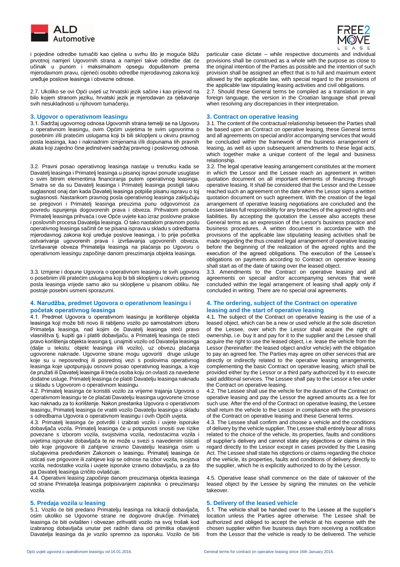

 i pojedine odredbe tumačiti kao cjelina u svrhu što je moguće bližu prvotnoj namjeri Ugovornih strana a namjeri takve odredbe dat će učinak u punom i maksimalnom opsegu dopuštenom prema mjerodavnom pravu, cijeneći osobito odredbe mjerodavnog zakona koji uređuje poslove leasinga i obvezne odnose.

2.7. Ukoliko se ovi Opći uvjeti uz hrvatski jezik sačine i kao prijevod na bilo kojem stranom jeziku, hrvatski jezik je mjerodavan za rješavanje svih nesukladnosti u njihovom tumačenju.

### **3. Ugovor o operativnom leasingu 3. Contract on operative leasing**

3.1. Sadržaj ugovornog odnosa Ugovornih strana temelji se na Ugovoru o operativnom leasingu, ovim Općim uvjetima te svim ugovorima o posebnim i/ili pratećim uslugama koji bi bili sklopljeni u okviru pravnog posla leasinga, kao i naknadnim izmjenama i/ili dopunama tih pravnih akata koji zajedno čine jedinstveni sadržaj pravnog i poslovnog odnosa.

3.2. Pravni posao operativnog leasinga nastaje u trenutku kada se Davatelj leasinga i Primatelj leasinga u pisanoj ispravi ponude usuglase o svim bitnim elementima financiranja putem operativnog leasinga. Smatra se da su Davatelj leasinga i Primatelj leasinga postigli takvu suglasnost onaj dan kada Davatelj leasinga potpiše pisanu ispravu o toj suglasnosti. Nastankom pravnog posla operativnog leasinga zaključuju se pregovori i Primatelj leasinga preuzima punu odgovornost za povredu ispunjenja dogovorenih prava i obveza. Prihvatom ponude Primatelj leasinga prihvaća i ove Opće uvjete kao izraz poslovne prakse i poslovnih procesa Davatelja leasinga. O tako nastalom pravnom poslu operativnog leasinga sačinit će se pisana isprava u skladu s odredbama mjerodavnog zakona koji uređuje poslove leasinga, i to prije početka ostvarivanja ugovorenih prava i izvršavanja ugovorenih obveza. Izvršavanje obveza Primatelja leasinga na plaćanja po Ugovoru o operativnom leasingu započinje danom preuzimanja objekta leasinga.

3.3. Izmjene i dopune Ugovora o operativnom leasingu te svih ugovora o posebnim i/ili pratećim uslugama koji bi bili sklopljeni u okviru pravnog posla leasinga vrijede samo ako su sklopljene u pisanom obliku. Ne postoje posebni usmeni sporazumi.

### **4. Narudžba, predmet Ugovora o operativnom leasingu i početak operativnog leasinga**

4.1. Predmet Ugovora o operativnom leasingu je korištenje objekta leasinga koji može biti novo ili rabljeno vozilo po samostalnom izboru Primatelja leasinga, nad kojim će Davatelj leasinga steći pravo vlasništva tj. kupiti ga i platiti dobavljaču, a Primatelj leasinga će steći pravo korištenja objekta leasinga tj. unajmiti vozilo od Davatelja leasinga (dalje u tekstu: objekt leasinga i/ili vozilo), uz obvezu plaćanja ugovorene naknade. Ugovorne strane mogu ugovoriti druge usluge koje su u neposrednoj ili posrednoj vezi s poslovima operativnog leasinga koje upotpunjuju osnovni posao operativnog leasinga, a koje će pružati ili Davatelj leasinga ili treća osoba koju on ovlasti za navedene dodatne usluge. Primatelj leasinga će platiti Davatelju leasinga naknadu u skladu s Ugovorom o operativnom leasingu.

4.2. Primatelj leasinga će koristiti vozilo za vrijeme trajanja Ugovora o operativnom leasingu te će plaćati Davatelju leasinga ugovorene iznose kao naknadu za to korištenje. Nakon prestanka Ugovora o operativnom leasingu, Primatelj leasinga će vratiti vozilo Davatelju leasinga u skladu s odredbama Ugovora o operativnom leasingu i ovih Općih uvjeta.

4.3. Primatelj leasinga će potvrditi i izabrati vozilo i uvjete isporuke dobavljača vozila. Primatelj leasinga će u potpunosti snositi sve rizike povezane s izborom vozila, svojstvima vozila, nedostacima vozila i uvjetima isporuke dobavljača te ne može u svezi s navedenim isticati bilo koje prigovore ili zahtjeve izravno Davatelju leasinga osim u slučajevima predviđenim Zakonom o leasingu. Primatelj leasinga će isticati sve prigovore ili zahtjeve koji se odnose na izbor vozila, svojstva vozila, nedostatke vozila i uvjete isporuke izravno dobavljaču, a za što ga Davatelj leasinga izričito ovlašćuje.

4.4. Operativni leasing započinje danom preuzimanja objekta leasinga od strane Primatelja leasinga potpisivanjem zapisnika o preuzimanju vozila.

5.1. Vozilo će biti predano Primatelju leasinga na lokaciji dobavljača, osim ukoliko se Ugovorne strane ne dogovore drukčije. Primatelj leasinga će biti ovlašten i obvezan prihvatiti vozilo na svoj trošak kod izabranog dobavljača unutar pet radnih dana od primitka obavijesti Davatelja leasinga da je vozilo spremno za isporuku. Vozilo će biti



particular case dictate – while respective documents and individual provisions shall be construed as a whole with the purpose as close to the original intention of the Parties as possible and the intention of such provision shall be assigned an effect that is to full and maximum extent allowed by the applicable law, with special regard to the provisions of the applicable law stipulating leasing activities and civil obligations.

2.7. Should these General terms be compiled as a translation in any foreign language, the version in the Croatian language shall prevail when resolving any discrepancies in their interpretation.

3.1. The content of the contractual relationship between the Parties shall be based upon an Contract on operative leasing, these General terms and all agreements on special and/or accompanying services that would be concluded within the framework of the business arrangement of leasing, as well as upon subsequent amendments to these legal acts, which together make a unique content of the legal and business relationship.

3.2. The legal operative leasing arrangement constitutes at the moment in which the Lessor and the Lessee reach an agreement in written quotation document on all important elements of financing through operative leasing. It shall be considered that the Lessor and the Lessee reached such an agreement on the date when the Lessor signs a written quotation document on such agreement. With the creation of the legal arrangement of operative leasing negotiations are concluded and the Lessee takes full responsibility for any breaches of the agreed rights and liabilities. By accepting the quotation the Lessee also accepts these General terms as an expression of the Lessor's business practice and business procedures. A written document in accordance with the provisions of the applicable law stipulating leasing activities shall be made regarding the thus created legal arrangement of operative leasing before the beginning of the realization of the agreed rights and the execution of the agreed obligations. The execution of the Lessee's obligations on payments according to Contract on operative leasing shall start as of the date of taking over the leased object.

3.3. Amendments to the Contract on operative leasing and all agreements on special and/or accompanying services that were concluded within the legal arrangement of leasing shall apply only if concluded in writing. There are no special oral agreements.

### **4. The ordering, subject of the Contract on operative leasing and the start of operative leasing**

4.1. The subject of the Contract on operative leasing is the use of a leased object, which can be a new or used vehicle at the sole discretion of the Lessee, over which the Lessor shall acquire the right of ownership, i.e. buy it and pay for it to the supplier and the Lessee shall acquire the right to use the leased object, i.e. lease the vehicle from the Lessor (hereinafter: the leased object and/or vehicle) with the obligation to pay an agreed fee. The Parties may agree on other services that are directly or indirectly related to the operative leasing arrangements, complementing the basic Contract on operative leasing, which shall be provided either by the Lessor or a third party authorized by it to execute said additional services. The Lessee shall pay to the Lessor a fee under the Contract on operative leasing.

4.2. The Lessee shall use the vehicle for the duration of the Contract on operative leasing and pay the Lessor the agreed amounts as a fee for such use. After the end of the Contract on operative leasing, the Lessee shall return the vehicle to the Lessor in compliance with the provisions of the Contract on operative leasing and these General terms.

4.3. The Lessee shall confirm and choose a vehicle and the conditions of delivery by the vehicle supplier. The Lessee shall entirely bear all risks related to the choice of the vehicle, its properties, faults and conditions of supplier's delivery and cannot state any objections or claims in this regard directly to the Lessor except in cases provided by the Leasing Act. The Lessee shall state his objections or claims regarding the choice of the vehicle, its properties, faults and conditions of delivery directly to the supplier, which he is explicitly authorized to do by the Lessor.

4.5. Operative lease shall commence on the date of takeover of the leased object by the Lessee by signing the minutes on the vehicle takeover.

### **5. Predaja vozila u leasing 5. Delivery of the leased vehicle**

5.1. The vehicle shall be handed over to the Lessee at the supplier's location unless the Parties agree otherwise. The Lessee shall be authorized and obliged to accept the vehicle at his expense with the chosen supplier within five business days from receiving a notification from the Lessor that the vehicle is ready to be delivered. The vehicle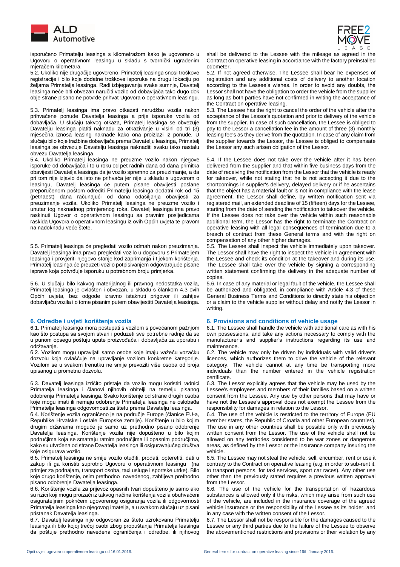

 isporučeno Primatelju leasinga s kilometražom kako je ugovoreno u Ugovoru o operativnom leasingu u skladu s tvornički ugrađenim mjeračem kilometara.

5.2. Ukoliko nije drugačije ugovoreno, Primatelj leasinga snosi troškove registracije i bilo koje dodatne troškove isporuke na drugu lokaciju po željama Primatelja leasinga. Radi izbjegavanja svake sumnje, Davatelj leasinga neće biti obvezan naručiti vozilo od dobavljača tako dugo dok obje strane pisano ne potvrde prihvat Ugovora o operativnom leasingu.

5.3. Primatelj leasinga ima pravo otkazati narudžbu vozila nakon prihvaćene ponude Davatelja leasinga a prije isporuke vozila od dobavljača. U slučaju takvog otkaza, Primatelj leasinga se obvezuje Davatelju leasinga platiti naknadu za otkazivanje u visini od tri (3) mjesečna iznosa leasing naknade kako ona proizlazi iz ponude. U slučaju bilo koje tražbine dobavljača prema Davatelju leasinga, Primatelj leasinga se obvezuje Davatelju leasinga naknaditi svaku tako nastalu obvezu Davatelja leasinga.

5.4. Ukoliko Primatelj leasinga ne preuzme vozilo nakon njegove isporuke od dobavljača i to u roku od pet radnih dana od dana primitka obavijesti Davatelja leasinga da je vozilo spremno za preuzimanje, a da pri tom nije izjavio da isto ne prihvaća jer nije u skladu s ugovorom o leasingu, Davatelj leasinga će putem pisane obavijesti poslane preporučenom poštom odrediti Primatelju leasinga dodatni rok od 15 (petnaest) dana računajući od dana odašiljanja obavijesti za preuzimanje vozila. Ukoliko Primatelj leasinga ne preuzme vozilo i unutar tog naknadnog primjerenog roka, Davatelj leasinga ima pravo raskinuti Ugovor o operativnom leasingu sa pravnim posljedicama raskida Ugovora o operativnom leasingu iz ovih Općih uvjeta te pravom na nadoknadu veće štete.

5.5. Primatelj leasinga će pregledati vozilo odmah nakon preuzimanja. Davatelj leasinga ima pravo pregledati vozilo u dogovoru s Primateljem leasinga i provjeriti njegovo stanje kod zaprimanja i tijekom korištenja. Primatelj leasinga će preuzeti vozilo potpisivanjem odgovarajuće pisane isprave koja potvrđuje isporuku u potrebnom broju primjerka.

5.6. U slučaju bilo kakvog materijalnog ili pravnog nedostatka vozila, Primatelj leasinga je ovlašten i obvezan, u skladu s člankom 4.3 ovih Općih uvjeta, bez odgode izravno istaknuti prigovor ili zahtjev dobavljaču vozila i o tome pisanim putem obavijestiti Davatelja leasinga.

6.1. Primatelj leasinga mora postupati s vozilom s povećanom pažnjom kao što postupa sa svojom stvari i poduzeti sve potrebne radnje da se u punom opsegu poštuju upute proizvođača i dobavljača za uporabu i održavanje.

6.2. Vozilom mogu upravljati samo osobe koje imaju važeću vozačku dozvolu koja ovlašćuje na upravljanje vozilom konkretne kategorije. Vozilom se u svakom trenutku ne smije prevoziti više osoba od broja upisanog u prometnu dozvolu.

6.3. Davatelj leasinga izričito pristaje da vozilo mogu koristiti radnici Primatelja leasinga i članovi njihovih obitelji na temelju pisanog odobrenja Primatelja leasinga. Svako korištenje od strane drugih osoba koje mogu imati ili nemaju odobrenje Primatelja leasinga ne oslobađa Primatelja leasinga odgovornosti za štetu prema Davatelju leasinga.

6.4. Korištenje vozila ograničeno je na područje Europe (članice EU-a, Republike Hrvatske i ostale Europske zemlje). Korištenje u bilo kojim drugim državama moguće je samo uz prethodno pisano odobrenje Davatelja leasinga. Korištenje vozila nije dopušteno u bilo kojim područjima koja se smatraju ratnim područjima ili opasnim područjima, kako su utvrđena od strane Davatelja leasinga ili osiguravajućeg društva koje osigurava vozilo.

6.5. Primatelj leasinga ne smije vozilo otuđiti, prodati, opteretiti, dati u zakup ili ga koristiti suprotno Ugovoru o operativnom leasingu (na primjer za podnajam, transport osoba, taxi usluge i sportske utrke). Bilo koje drugo korištenje, osim prethodno navedenog, zahtijeva prethodno pisano odobrenje Davatelja leasinga.

6.6. Korištenje vozila za prijevoz opasnih tvari dopušteno je samo ako su rizici koji mogu proizaći iz takvog načina korištenja vozila obuhvaćeni osigurateljnim pokrićem ugovorenog osiguranja vozila ili odgovornosti Primatelja leasinga kao njegovog imatelja, a u svakom slučaju uz pisani pristanak Davatelja leasinga.

6.7. Davatelj leasinga nije odgovoran za štetu uzrokovanu Primatelju leasinga ili bilo kojoj trećoj osobi zbog propuštanja Primatelja leasinga da poštuje prethodno navedena ograničenja i odredbe, ili njihovog



shall be delivered to the Lessee with the mileage as agreed in the Contract on operative leasing in accordance with the factory preinstalled odometer.

5.2. If not agreed otherwise, The Lessee shall bear he expenses of registration and any additional costs of delivery to another location according to the Lessee's wishes. In order to avoid any doubts, the Lessor shall not have the obligation to order the vehicle from the supplier as long as both parties have not confirmed in writing the acceptance of the Contract on operative leasing.

5.3. The Lessee has the right to cancel the order of the vehicle after the acceptance of the Lessor's quotation and prior to delivery of the vehicle from the supplier. In case of such cancellation, the Lessee is obliged to pay to the Lessor a cancellation fee in the amount of three (3) monthly leasing fee's as they derive from the quotation. In case of any claim from the supplier towards the Lessor, the Lessee is obliged to compensate the Lessor any such arisen obligation of the Lessor.

5.4. If the Lessee does not take over the vehicle after it has been delivered from the supplier and that within five business days from the date of receiving the notification from the Lessor that the vehicle is ready for takeover, while not stating that he is not accepting it due to the shortcomings in supplier's delivery, delayed delivery or if he ascertains that the object has a material fault or is not in compliance with the lease agreement, the Lessor shall define, by written notification sent via registered mail, an extended deadline of 15 (fifteen) days for the Lessee, starting from the date of sending the notification to takeover the vehicle. If the Lessee does not take over the vehicle within such reasonable additional term, the Lessor has the right to terminate the Contract on operative leasing with all legal consequences of termination due to a breach of contract from these General terms and with the right on compensation of any other higher damages.

5.5. The Lessee shall inspect the vehicle immediately upon takeover. The Lessor shall have the right to inspect the vehicle in agreement with the Lessee and check its condition at the takeover and during its use. The Lessee shall take over the vehicle by signing a corresponding written statement confirming the delivery in the adequate number of copies.

5.6. In case of any material or legal fault of the vehicle, the Lessee shall be authorized and obligated, in compliance with Article 4.3 of these General Business Terms and Conditions to directly state his objection or a claim to the vehicle supplier without delay and notify the Lessor in writing.

### **6. Odredbe i uvjeti korištenja vozila 6. Provisions and conditions of vehicle usage**

6.1. The Lessee shall handle the vehicle with additional care as with his own possessions, and take any actions necessary to comply with the manufacturer's and supplier's instructions regarding its use and maintenance.

6.2. The vehicle may only be driven by individuals with valid driver's licences, which authorizes them to drive the vehicle of the relevant category. The vehicle cannot at any time be transporting more individuals than the number entered in the vehicle registration certificate.

6.3. The Lessor explicitly agrees that the vehicle may be used by the Lessee's employees and members of their families based on a written consent from the Lessee. Any use by other persons that may have or have not the Lessee's approval does not exempt the Lessee from the responsibility for damages in relation to the Lessor.

6.4. The use of the vehicle is restricted to the territory of Europe (EU member states, the Republic of Croatia and other European countries). The use in any other countries shall be possible only with previously written consent from the Lessor. The use of the vehicle shall not be allowed on any territories considered to be war zones or dangerous areas, as defined by the Lessor or the insurance company insuring the vehicle.

6.5. The Lessee may not steal the vehicle, sell, encumber, rent or use it contrary to the Contract on operative leasing (e.g. in order to sub-rent it, to transport persons, for taxi services, sport car races). Any other use other than the previously stated requires a previous written approval from the Lessor.

6.6. The use of the vehicle for the transportation of hazardous substances is allowed only if the risks, which may arise from such use of the vehicle, are included in the insurance coverage of the agreed vehicle insurance or the responsibility of the Lessee as its holder, and in any case with the written consent of the Lessor.

6.7. The Lessor shall not be responsible for the damages caused to the Lessee or any third parties due to the failure of the Lessee to observe the abovementioned restrictions and provisions or their violation by any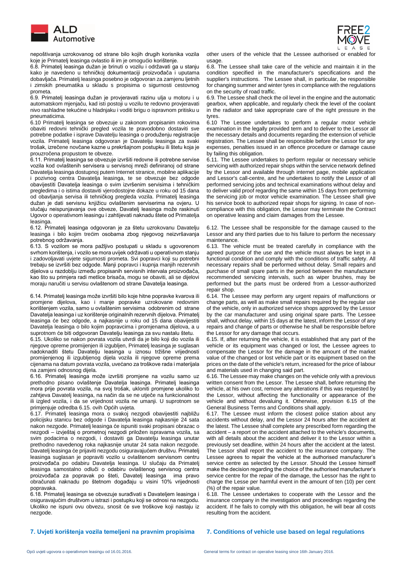

 nepoštivanja uzrokovanog od strane bilo kojih drugih korisnika vozila koje je Primatelj leasinga ovlastio ili im je omogućio korištenje.

6.8. Primatelj leasinga dužan je brinuti o vozilu i održavati ga u stanju kako je navedeno u tehničkoj dokumentaciji proizvođača i uputama dobavljača. Primatelj leasinga posebno je odgovoran za zamjenu ljetnih i zimskih pneumatika u skladu s propisima o sigurnosti cestovnog prometa.

6.9. Primatelj leasinga dužan je provjeravati razinu ulja u motoru i u automatskom mjenjaču, kad isti postoji u vozilu te redovno provjeravati nivo rashladne tekućine u hladnjaku i voditi brigu o ispravnom pritisku u pneumaticima.

6.10 Primatelj leasinga se obvezuje u zakonom propisanim rokovima obaviti redovni tehnički pregled vozila te pravodobno dostaviti sve potrebne podatke i isprave Davatelju leasinga o produženju registracije vozila. Primatelj leasinga odgovoran je Davatelju leasinga za svaki trošak, izrečene novčane kazne u prekršajnom postupku ili štetu koja je prouzročena propustom te obveze.

6.11. Primatelj leasinga se obvezuje izvršiti redovne ili potrebne servise vozila kod ovlaštenih servisera u servisnoj mreži definiranoj od strane Davatelja leasinga dostupnoj putem Internet stranice, mobilne aplikacije i pozivnog centra Davatelja leasinga, te se obvezuje bez odgode obavijestiti Davatelja leasinga o svim izvršenim servisima i tehničkim pregledima i o istima dostaviti vjerodostojne dokaze u roku od 15 dana od obavljanja servisa ili tehničkog pregleda vozila. Primatelj leasinga dužan je dati servisnu knjižicu ovlaštenim serviserima na ovjeru. U slučaju neispunjavanja ove obveze, Davatelj leasinga može raskinuti Ugovor o operativnom leasingu i zahtijevati naknadu štete od Primatelja leasinga.

6.12. Primatelj leasinga odgovoran je za štetu uzrokovanu Davatelju leasinga i bilo kojim trećim osobama zbog njegovog neizvršavanja potrebnog održavanja.

6.13. S vozilom se mora pažljivo postupati u skladu s ugovorenom svrhom korištenja, i vozilo se mora uvijek održavati u operativnom stanju i zadovoljavati uvjete sigurnosti prometa. Svi popravci koji su potrebni trebaju se izvršiti bez odgode. Manji popravci i kupnja manjih rezervnih dijelova u razdoblju između propisanih servisnih intervala proizvođača, kao što su primjera radi metlice brisača, mogu se obaviti, ali se dijelovi moraju naručiti u servisu ovlaštenom od strane Davatelja leasinga.

6.14. Primatelj leasinga može izvršiti bilo koje hitne popravke kvarova ili promjene dijelova, kao i manje popravke uzrokovane redovnim korištenjem vozila, samo u ovlaštenim servisima odobrenim od strane Davatelja leasinga i uz korištenje originalnih rezervnih dijelova. Primatelj leasinga će bez odgode, a najkasnije u roku od 15 dana obavijestiti Davatelja leasinga o bilo kojim popravcima i promjenama dijelova, a u suprotnom će biti odgovoran Davatelju leasinga za svu nastalu štetu.

6.15. Ukoliko se nakon povrata vozila utvrdi da je bilo koji dio vozila ili njegove opreme promijenjen ili izgubljen, Primatelj leasinga je suglasan nadoknaditi štetu Davatelju leasinga u iznosu tržišne vrijednosti promijenjenog ili izgubljenog dijela vozila ili njegove opreme prema cijenama na datum povrata vozila, uvećano za troškove rada i materijala na zamjeni odnosnog dijela.

6.16. Primatelj leasinga može izvršiti promjene na vozilu samo uz prethodno pisano ovlaštenje Davatelja leasinga. Primatelj leasinga mora prije povrata vozila, na svoj trošak, ukloniti promjene ukoliko to zahtjeva Davatelj leasinga, na način da se ne utječe na funkcionalnost ili izgled vozila, i da se vrijednost vozila ne umanji. U suprotnom se primjenjuje odredba 6.15. ovih Općih uvjeta.

6.17. Primatelj leasinga mora o svakoj nezgodi obavijestiti najbližu policijsku stanicu bez odgode i Davatelja leasinga najkasnije 24 sata nakon nezgode. Primatelj leasinga će ispuniti svaki propisani obrazac o nezgodi – izvještaj o prometnoj nezgodi priložen ispravama vozila, sa svim podacima o nezgodi, i dostaviti ga Davatelju leasinga unutar prethodno navedenog roka najkasnije unutar 24 sata nakon nezgode. Davatelj leasinga će prijaviti nezgodu osiguravajućem društvu. Primatelj leasinga suglasan je popraviti vozilo u ovlaštenom servisnom centru proizvođača po odabiru Davatelja leasinga. U slučaju da Primatelj leasinga samostalno odluči o odabiru ovlaštenog servisnog centra proizvođača za popravak po šteti, Davatelj leasinga ima pravo obračunati naknadu po štetnom događaju u visini 10% vrijednosti popravaka.

6.18. Primatelj leasinga se obvezuje surađivati s Davateljem leasinga i osiguravajućim društvom u istrazi i postupku koji se odnosi na nezgodu. Ukoliko ne ispuni ovu obvezu, snosit će sve troškove koji nastaju iz nezgode.



other users of the vehicle that the Lessee authorised or enabled for usage.

6.8. The Lessee shall take care of the vehicle and maintain it in the condition specified in the manufacturer's specifications and the supplier's instructions. The Lessee shall, in particular, be responsible for changing summer and winter tyres in compliance with the regulations on the security of road traffic.

6.9. The Lessee shall check the oil level in the engine and the automatic gearbox, when applicable, and regularly check the level of the coolant in the radiator and take appropriate care of the right pressure in the tyres.

6.10 The Lessee undertakes to perform a regular motor vehicle examination in the legally provided term and to deliver to the Lessor all the necessary details and documents regarding the extension of vehicle registration. The Lessee shall be responsible before the Lessor for any expenses, penalties issued in an offence procedure or damage cause by failing this obligation.

6.11. The Lessee undertakes to perform regular or necessary vehicle servicing with authorized repair shops within the service network defined by the Lessor and available through internet page, mobile application and Lessor's call-centre, and he undertakes to notify the Lessor of all performed servicing jobs and technical examinations without delay and to deliver valid proof regarding the same within 15 days from performing the servicing job or motor vehicle examination. The Lessee shall give his service book to authorized repair shops for signing. In case of noncompliance with this obligation, the Lessor may terminate the Contract on operative leasing and claim damages from the Lessee.

6.12. The Lessee shall be responsible for the damage caused to the Lessor and any third parties due to his failure to perform the necessary maintenance.

6.13. The vehicle must be treated carefully in compliance with the agreed purpose of the use and the vehicle must always be kept in a functional condition and comply with the conditions of traffic safety. All necessary repairs shall be performed without delay. Small repairs and purchase of small spare parts in the period between the manufacturer recommended servicing intervals, such as wiper brushes, may be performed but the parts must be ordered from a Lessor-authorized repair shop.

6.14. The Lessee may perform any urgent repairs of malfunctions or change parts, as well as make small repairs required by the regular use of the vehicle, only in authorized service shops approved by the Lessor by the car manufacturer and using original spare parts. The Lessee shall, without delay, within 15 days at the latest, inform the Lessor of any repairs and change of parts or otherwise he shall be responsible before the Lessor for any damage that occurs.

6.15. If, after returning the vehicle, it is established that any part of the vehicle or its equipment was changed or lost, the Lessee agrees to compensate the Lessor for the damage in the amount of the market value of the changed or lost vehicle part or its equipment based on the prices on the date of the vehicle's return, increased for the price of labour and materials used in changing said part.

6.16. The Lessee may make changes on the vehicle only with a previous written consent from the Lessor. The Lessee shall, before returning the vehicle, at his own cost, remove any alterations if this was requested by the Lessor, without affecting the functionality or appearance of the vehicle and without devaluing it. Otherwise, provision 6.15 of the General Business Terms and Conditions shall apply.

6.17. The Lessee must inform the closest police station about any accidents without delay, and the Lessor 24 hours after the accident at the latest. The Lessee shall complete any prescribed form regarding the accident – a report on the accident attached to the vehicle's documents, with all details about the accident and deliver it to the Lessor within a previously set deadline, within 24 hours after the accident at the latest. The Lessor shall report the accident to the insurance company. The Lessee agrees to repair the vehicle at the authorised manufacturer's service centre as selected by the Lessor. Should the Lessee himself make the decision regarding the choice of the authorised manufacturer's service centre for the repair of the damage, the Lessor has the right to charge the Lesse per harmful event in the amount of ten (10) per cent (%) of the repair value.

6.18. The Lessee undertakes to cooperate with the Lessor and the insurance company in the investigation and proceedings regarding the accident. If he fails to comply with this obligation, he will bear all costs resulting from the accident.

# **7. Uvjeti korištenja vozila temeljeni na pravnim propisima 7. Conditions of vehicle use based on legal regulations**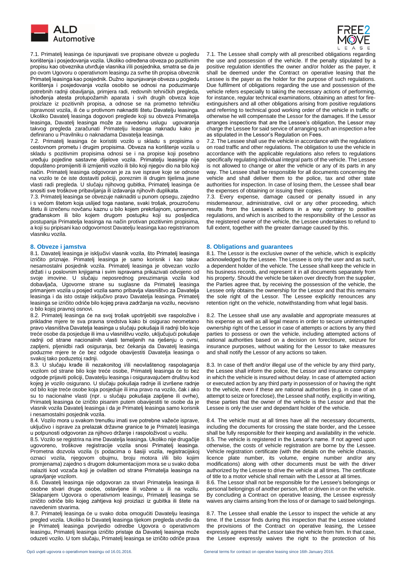

 7.1. Primatelj leasinga će ispunjavati sve propisane obveze u pogledu korištenja i posjedovanja vozila. Ukoliko određena obveza po pozitivnim propisu kao obveznika utvrđuje vlasnika i/ili posjednika, smatra se da je po ovom Ugovoru o operativnom leasingu za svrhe tih propisa obveznik Primatelj leasinga kao posjednik. Dužno ispunjavanje obveza u pogledu korištenja i posjedovanja vozila osobito se odnosi na poduzimanje potrebnih radnji obavljanja, primjera radi, redovnih tehničkih pregleda, ishođenja atesta protupožarnih aparata i svih drugih obveza koje proizlaze iz pozitivnih propisa, a odnose se na prometno tehničku ispravnost vozila, ili će u protivnom naknaditi štetu Davatelju leasinga. Ukoliko Davatelj leasinga dogovori preglede koji su obveza Primatelja leasinga, Davatelj leasinga može za navedenu uslugu ugovaranja takvog pregleda zaračunati Primatelju leasinga naknadu kako je definirano u Pravilniku o naknadama Davatelja leasinga.

7.2. Primatelj leasinga će koristiti vozilo u skladu s propisima o cestovnom prometu i drugim propisima. Obveza na korištenje vozila u skladu s pozitivnim propisima odnosi se i na propise koji posebno uređuju pojedine sastavne dijelove vozila. Primatelju leasinga nije dopušteno promijeniti ili izmijeniti vozilo ili bilo koji njegov dio na bilo koji način. Primatelj leasinga odgovoran je za sve isprave koje se odnose na vozilo te će iste dostaviti policiji, poreznim ili drugim tijelima javne vlasti radi pregleda. U slučaju njihovog gubitka, Primatelj leasinga će snositi sve troškove pribavljanja ili izdavanja njihovih duplikata.

7.3. Primatelj leasinga se obvezuje naknaditi u punom opsegu, zajedno i s većom štetom koja uslijed toga nastane, svaki trošak, prouzročenu štetu ili izrečenu novčanu kaznu u bilo kojem prekršajnom, upravnom, građanskom ili bilo kojem drugom postupku koji su posljedica postupanja Primatelja leasinga na način protivan pozitivnim propisima, a koji su pripisani kao odgovornost Davatelju leasinga kao registriranom vlasniku vozila.

8.1. Davatelj leasinga je isključivi vlasnik vozila, što Primatelj leasinga izričito priznaje. Primatelj leasinga je samo korisnik i kao takav nesamostalni posjednik vozila. Primatelj leasinga je obvezan vozilo držati i u poslovnim knjigama i svim ispravama prikazivati odvojeno od svoje imovine. U slučaju neposrednog preuzimanja vozila kod dobavljača, Ugovorne strane su suglasne da Primatelj leasinga primanjem vozila u posjed vozila samo pribavlja vlasništvo za Davatelja leasinga i da isto ostaje isključivo pravo Davatelja leasinga. Primatelj leasinga se izričito odriče bilo kojeg prava zadržanja na vozilu, neovisno o bilo kojoj pravnoj osnovi.

8.2. Primatelj leasinga će na svoj trošak upotrijebiti sve raspoložive i prikladne mjere te sva pravna sredstva kako bi osigurao neometano pravo vlasništva Davatelja leasinga u slučaju pokušaja ili radnji bilo koje treće osobe da posjeduje ili ima u vlasništvu vozilo, uključujući pokušaje radnji od strane nacionalnih vlasti temeljenih na rješenju o ovrsi, zapljeni, pljenidbi radi osiguranja, bez čekanja da Davatelj leasinga poduzme mjere te će bez odgode obavijestiti Davatelja leasinga o svakoj tako poduzetoj radnji.

8.3. U slučaju krađe ili nezakonitog i/ili neovlaštenog raspolaganja vozilom od strane bilo koje treće osobe, Primatelj leasinga će to bez odgode prijaviti policiji, Davatelju leasinga i osiguravajućem društvu kod kojeg je vozilo osigurano. U slučaju pokušaja radnje ili izvršene radnje od bilo koje treće osobe koja posjeduje ili ima pravo na vozilo, čak i ako su to nacionalne vlasti (npr. u slučaju pokušaja zapljene ili ovrhe), Primatelj leasinga će izričito pisanim putem obavijestiti te osobe da je vlasnik vozila Davatelj leasinga i da je Primatelj leasinga samo korisnik i nesamostalni posjednik vozila.

8.4. Vozilo mora u svakom trenutku imati sve potrebne važeće isprave, uključivo i isprave za prelazak državne granice te je Primatelj leasinga u potpunosti odgovoran za njihovo držanje i raspoloživost u vozilu.

8.5. Vozilo se registrira na ime Davatelja leasinga. Ukoliko nije drugačije ugovoreno, troškove registracije vozila snosi Primatelj leasinga. Prometna dozvola vozila (s podacima o šasiji vozila, registracijskoj oznaci vozila, njegovom obujmu, broju motora i/ili bilo kojim promjenama) zajedno s drugom dokumentacijom mora se u svako doba nalaziti kod vozača koji je ovlašten od strane Primatelja leasinga na upravljanje vozilom.

8.6. Davatelj leasinga nije odgovoran za stvari Primatelja leasinga ili osobne stvari druge osobe, ostavljene ili vožene u ili na vozilu. Sklapanjem Ugovora o operativnom leasingu, Primatelj leasinga se izričito odriče bilo kojeg zahtjeva koji proizlazi iz gubitka ili štete na navedenim stvarima.

8.7. Primatelj leasinga će u svako doba omogućiti Davatelju leasinga pregled vozila. Ukoliko bi Davatelj leasinga tijekom pregleda utvrdio da je Primatelj leasinga povrijedio odredbe Ugovora o operativnom leasingu, Primatelj leasinga izričito pristaje da Davatelj leasinga može oduzeti vozilo. U tom slučaju, Primatelj leasinga se izričito odriče prava



7.1. The Lessee shall comply with all prescribed obligations regarding the use and possession of the vehicle. If the penalty stipulated by a positive regulation identifies the owner and/or holder as the payer, it shall be deemed under the Contract on operative leasing that the Lessee is the payer as the holder for the purpose of such regulations. Due fulfilment of obligations regarding the use and possession of the vehicle refers especially to taking the necessary actions of performing, for instance, regular technical examinations, obtaining an attest for fireextinguishers and all other obligations arising from positive regulations and referring to technical good working order of the vehicle in traffic or otherwise he will compensate the Lessor for the damages. If the Lessor arranges inspections that are the Lessee's obligation, the Lessor may charge the Lessee for said service of arranging such an inspection a fee as stipulated in the Lessor's Regulation on Fees.

7.2. The Lessee shall use the vehicle in accordance with the regulations on road traffic and other regulations. The obligation to use the vehicle in accordance with the applicable regulations also refers to regulations specifically regulating individual integral parts of the vehicle. The Lessee is not allowed to change or alter the vehicle or any of its parts in any way. The Lessee shall be responsible for all documents concerning the vehicle and shall deliver them to the police, tax and other state authorities for inspection. In case of losing them, the Lessee shall bear the expenses of obtaining or issuing their copies.

7.3. Every expense, damage caused or penalty issued in any misdemeanour, administrative, civil or any other proceeding, which results from the Lessee's actions in a way contrary to positive regulations, and which is ascribed to the responsibility of the Lessor as the registered owner of the vehicle, the Lessee undertakes to refund to full extent, together with the greater damage caused by this.

### **8. Obveze i jamstva 8. Obligations and guarantees**

8.1. The Lessor is the exclusive owner of the vehicle, which is explicitly acknowledged by the Lessee. The Lessee is only the user and as such, a dependent holder of the vehicle. The Lessee shall keep the vehicle in his business records, and represent it in all documents separately from his property. Should the vehicle be taken over directly from the supplier, the Parties agree that, by receiving the possession of the vehicle, the Lessee only obtains the ownership for the Lessor and that this remains the sole right of the Lessor. The Lessee explicitly renounces any retention right on the vehicle, notwithstanding from what legal basis.

8.2. The Lessee shall use any available and appropriate measures at his expense as well as all legal means in order to secure uninterrupted ownership right of the Lessor in case of attempts or actions by any third parties to possess or own the vehicle, including attempted actions of national authorities based on a decision on foreclosure, seizure for insurance purposes, without waiting for the Lessor to take measures and shall notify the Lessor of any actions so taken.

8.3. In case of theft and/or illegal use of the vehicle by any third party, the Lessee shall inform the police, the Lessor and insurance company in which the vehicle is insured without delay. In case of attempted action or executed action by any third party in possession of or having the right to the vehicle, even if these are national authorities (e.g. in case of an attempt to seize or foreclose), the Lessee shall notify, explicitly in writing, these parties that the owner of the vehicle is the Lessor and that the Lessee is only the user and dependant holder of the vehicle.

8.4. The vehicle must at all times have all the necessary documents, including the documents for crossing the state border, and the Lessee shall be fully responsible for their keeping and availability in the vehicle. 8.5. The vehicle is registered in the Lessor's name. If not agreed upon otherwise, the costs of vehicle registration are borne by the Lessee. Vehicle registration certificate (with the details on the vehicle chassis, licence plate number, its volume, engine number and/or any modifications) along with other documents must be with the driver authorized by the Lessee to drive the vehicle at all times. The certificate of title to a motor vehicle shall remain with the Lessor at all times.

8.6. The Lessor shall not be responsible for the Lessee's belongings or personal belongings of another person, left or driven in or on the vehicle. By concluding a Contract on operative leasing, the Lessee expressly waives any claims arising from the loss of or damage to said belongings.

8.7. The Lessee shall enable the Lessor to inspect the vehicle at any time. If the Lessor finds during this inspection that the Lessee violated the provisions of the Contract on operative leasing, the Lessee expressly agrees that the Lessor take the vehicle from him. In that case, the Lessee expressly waives the right to the protection of his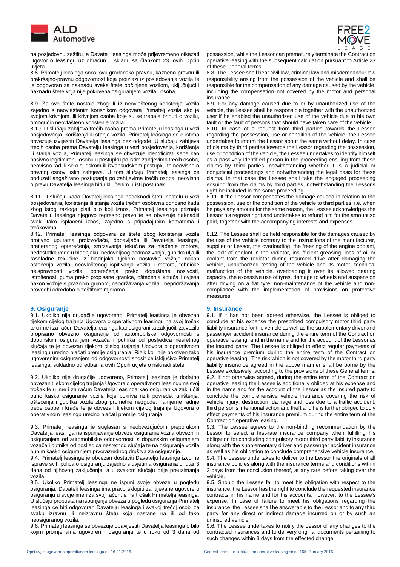



 na posjedovnu zaštitu, a Davatelj leasinga može prijevremeno otkazati Ugovor o leasingu uz obračun u skladu sa člankom 23. ovih Općih uvjeta.

8.8. Primatelj leasinga snosi svu građansko-pravnu, kazneno-pravnu ili prekršajno-pravnu odgovornost koja proizlazi iz posjedovanja vozila te je odgovoran za naknadu svake štete počinjene vozilom, uključujući i naknadu štete koja nije pokrivena osiguranjem vozila i osoba.

8.9. Za sve štete nastale zbog ili iz neovlaštenog korištenja vozila zajedno s neovlaštenim korisnikom odgovara Primatelj vozila ako je svojom krivnjom, ili krivnjom osoba koje su se trebale brinuti o vozilu, omogućio neovlašteno korištenje vozila.

8.10. U slučaju zahtjeva trećih osoba prema Primatelju leasinga u vezi posjedovanja, korištenja ili stanja vozila, Primatelj leasinga se o istima obvezuje izvijestiti Davatelja leasinga bez odgode. U slučaju zahtjeva trećih osoba prema Davatelju leasinga u vezi posjedovanja, korištenja ili stanja vozila, Primatelj leasinga se obvezuje identificirati sebe kao pasivno legitimiranu osobu u postupku po istim zahtjevima trećih osoba, neovisno radi li se o sudskom ili izvansudskom postupku te neovisno o pravnoj osnovi istih zahtjeva. U tom slučaju Primatelj leasinga će poduzeti angažirano postupanje po zahtjevima trećih osoba, neovisno o pravu Davatelja leasinga biti uključenim u isti postupak.

8.11. U slučaju kada Davatelj leasinga nadoknadi štetu nastalu u vezi posjedovanja, korištenja ili stanja vozila trećim osobama odnosno kada zbog istog razloga plati bilo koji iznos, Primatelj leasinga priznaje Davatelju leasinga njegovo regresno pravo te se obvezuje naknaditi svaki tako isplaćeni iznos, zajedno s pripadajućim kamatama i troškovima.

8.12. Primatelj leasinga odgovara za štete zbog korištenja vozila protivno uputama proizvođača, dobavljača ili Davatelja leasinga, pretjeranog opterećenja, smrzavanja tekućine za hlađenje motora, nedostatka vode u hladnjaku, nedovoljnog podmazivanja, gubitka ulja ili rashladne tekućine iz hladnjaka tijekom nastavka vožnje nakon oštećenja vozila, neovlaštenog ispitivanja vozila i motora, tehničke neispravnosti vozila, opterećenja preko dopuštene nosivosti, istrošenosti guma preko propisane granice, oštećenja kotača i ovjesa nakon vožnje s praznom gumom, neodržavanja vozila i nepridržavanja provedbi odredaba o zaštitnim mjerama.

### **9. Osiguranje 9. Insurance**

9.1. Ukoliko nije drugačije ugovoreno, Primatelj leasinga je obvezan tijekom cijelog trajanja Ugovora o operativnom leasingu na svoj trošak te u ime i za račun Davatelja leasinga kao osiguranika zaključiti za vozilo propisano obvezno osiguranje od automobilske odgovornosti s dopunskim osiguranjem vozača i putnika od posljedica nesretnog slučaja te je obvezan tijekom cijelog trajanja Ugovora o operativnom leasingu uredno plaćati premije osiguranja. Rizik koji nije pokriven tako ugovorenim osiguranjem od odgovornosti snosit će isključivo Primatelj leasinga, sukladno odredbama ovih Općih uvjeta o naknadi štete.

9.2. Ukoliko nije drugačije ugovoreno, Primatelj leasinga je dodatno obvezan tijekom cijelog trajanja Ugovora o operativnom leasingu na svoj trošak te u ime i za račun Davatelja leasinga kao osiguranika zaključiti puno kasko osiguranje vozila koje pokriva rizik povrede, uništenja, oštećenja i gubitka vozila zbog prometne nezgode, namjerne radnje treće osobe i krađe te je obvezan tijekom cijelog trajanja Ugovora o operativnom leasingu uredno plaćati premije osiguranja.

9.3. Primatelj leasinga je suglasan s neobvezujućom preporukom Davatelja leasinga na ispunjavanje obveze osiguranja vozila obveznim osiguranjem od automobilske odgovornosti s dopunskim osiguranjem vozača i putnika od posljedica nesretnog slučaja te na osiguranje vozila punim kasko osiguranjem prvorazrednog društva za osiguranje.

9.4. Primatelj leasinga je obvezan dostaviti Davatelju leasinga izvorne isprave svih polica o osiguranju zajedno s uvjetima osiguranja unutar 3 dana od njihovog zaključenja, a u svakom slučaju prije preuzimanja vozila.

9.5. Ukoliko Primatelj leasinga ne ispuni svoje obveze u pogledu osiguranja, Davatelj leasinga ima pravo sklopiti zahtijevane ugovore o osiguranju u svoje ime i za svoj račun, a na trošak Primatelja leasinga. U slučaju propusta na ispunjenje obveza u pogledu osiguranja Primatelj leasinga će biti odgovoran Davatelju leasinga i svakoj trećoj osobi za svaku izravnu ili neizravnu štetu koja nastane na ili od tako neosiguranog vozila.

9.6. Primatelj leasinga se obvezuje obavijestiti Davatelja leasinga o bilo kojim promjenama ugovorenih osiguranja te u roku od 3 dana od possession, while the Lessor can prematurely terminate the Contract on operative leasing with the subsequent calculation pursuant to Article 23 of these General terms.

8.8. The Lessee shall bear civil law, criminal law and misdemeanour law responsibility arising from the possession of the vehicle and shall be responsible for the compensation of any damage caused by the vehicle, including the compensation not covered by the motor and personal insurance.

8.9. For any damage caused due to or by unauthorized use of the vehicle, the Lessee shall be responsible together with the unauthorized user if he enabled the unauthorized use of the vehicle due to his own fault or the fault of persons that should have taken care of the vehicle.

8.10. In case of a request from third parties towards the Lessee regarding the possession, use or condition of the vehicle, the Lessee undertakes to inform the Lessor about the same without delay. In case of claims by third parties towards the Lessor regarding the possession, use or condition of the vehicle, the Lessee undertakes to identify himself as a passively identified person in the proceeding ensuing from these claims by third parties, notwithstanding whether it is a judicial or nonjudicial proceedings and notwithstanding the legal basis for these claims. In that case the Lessee shall take the engaged proceeding ensuing from the claims by third parties, notwithstanding the Lessor's right be included in the same proceeding.

8.11. If the Lessor compensates the damage caused in relation to the possession, use or the condition of the vehicle to third parties, i.e. when he pays any amount for the same reason, the Lessee acknowledges the Lessor his regress right and undertakes to refund him for the amount so paid, together with the accompanying interests and expenses.

8.12. The Lessee shall be held responsible for the damages caused by the use of the vehicle contrary to the instructions of the manufacturer, supplier or Lessor, the overloading, the freezing of the engine coolant, the lack of coolant in the radiator, insufficient greasing, loss of oil or coolant from the radiator during resumed drive after damaging the vehicle, unauthorized testing of the vehicle and its motor, technical malfunction of the vehicle, overloading it over its allowed bearing capacity, the excessive use of tyres, damage to wheels and suspension after driving on a flat tyre, non-maintenance of the vehicle and noncompliance with the implementation of provisions on protective measures.

9.1. If it has not been agreed otherwise, the Lessee is obliged to conclude at his expense the prescribed compulsory motor third party liability insurance for the vehicle as well as the supplementary driver and passenger accident insurance during the entire term of the Contract on operative leasing, and in the name and for the account of the Lessor as the insured party. The Lessee is obliged to effect regular payments of his insurance premium during the entire term of the Contract on operative leasing. The risk which is not covered by the motor third party liability insurance agreed in the above manner shall be borne by the Lessee exclusively, according to the provisions of these General terms. 9.2. If not otherwise agreed, during the entire term of the Contract on operative leasing the Lessee is additionally obliged at his expense and in the name and for the account of the Lessor as the insured party to conclude the comprehensive vehicle insurance covering the risk of vehicle injury, destruction, damage and loss due to a traffic accident, third person's intentional action and theft and he is further obliged to duly effect payments of his insurance premium during the entire term of the Contract on operative leasing.

9.3. The Lessee agrees to the non-binding recommendation by the Lessor to select a first-rate insurance company when fulfilling his obligation for concluding compulsory motor third party liability insurance along with the supplementary driver and passenger accident insurance as well as his obligation to conclude comprehensive vehicle insurance. 9.4. The Lessee undertakes to deliver to the Lessor the originals of all insurance policies along with the insurance terms and conditions within 3 days from the conclusion thereof, at any rate before taking over the vehicle.

9.5. Should the Lessee fail to meet his obligation with respect to the insurance, the Lessor has the right to conclude the requested insurance contracts in his name and for his accounts, however, to the Lessee's expense. In case of failure to meet his obligations regarding the insurance, the Lessee shall be answerable to the Lessor and to any third party for any direct or indirect damage incurred on or by such an uninsured vehicle.

9.6. The Lessee undertakes to notify the Lessor of any changes to the contracted insurances and to delivery original documents pertaining to such changes within 3 days from the effected change.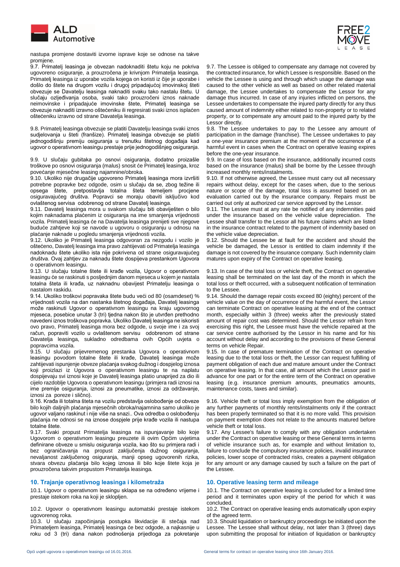

 nastupa promjene dostaviti izvorne isprave koje se odnose na takve promjene.

9.7. Primatelj leasinga je obvezan nadoknaditi štetu koju ne pokriva ugovoreno osiguranje, a prouzročena je krivnjom Primatelja leasinga. Primatelj leasinga iz uporabe vozila kojega on koristi iz čije je uporabe i došlo do štete na drugom vozilu i drugoj pripadajućoj imovinskoj šteti obvezuje se Davatelju leasinga naknaditi svaku tako nastalu štetu. U slučaju ozljeđivanja osoba, svaki tako prouzročeni iznos naknade neimovinske i pripadajuće imovinske štete, Primatelj leasinga se obvezuje naknaditi izravno oštećeniku ili regresirati svaki iznos isplaćen oštećeniku izravno od strane Davatelja leasinga.

9.8. Primatelj leasinga obvezuje se platiti Davatelju leasinga svaki iznos sudjelovanja u šteti (franšize). Primatelj leasinga obvezuje se platiti jednogodišnju premiju osiguranja u trenutku štetnog događaja kad ugovor o operativnom leasingu prestaje prije jednogodišnjeg osiguranja.

9.9. U slučaju gubitaka po osnovi osiguranja, dodatno proizašle troškove po osnovi osiguranja (malus) snosit će Primatelj leasinga, kroz povećanje mjesečne leasing najamnine/obroka.

9.10. Ukoliko nije drugačije ugovoreno Primatelj leasinga mora izvršiti potrebne popravke bez odgode, osim u slučaju da se, zbog težine ili opsega štete, pretpostavlja totalna šteta temeljem procjene osiguravajućeg društva. Popravci se moraju obaviti isključivo kod ovlaštenog servisa odobrenog od strane Davatelj leasinga.

9.11. Davatelj leasinga mora u svakom slučaju biti obaviješten o bilo kojim naknadama plaćenim iz osiguranja na ime smanjenja vrijednosti vozila. Primatelj leasinga će na Davatelja leasinga prenijeti sve njegove buduće zahtjeve koji se navode u ugovoru o osiguranju u odnosu na plaćanje naknade u pogledu smanjenja vrijednosti vozila.

9.12. Ukoliko je Primatelj leasinga odgovoran za nezgodu i vozilo je oštećeno, Davatelj leasinga ima pravo zahtijevati od Primatelja leasinga nadoknadu štete ukoliko ista nije pokrivena od strane osiguravajućeg društva. Ovaj zahtjev za naknadu štete dospijeva prestankom Ugovora o operativnom leasingu.

9.13. U slučaju totalne štete ili krađe vozila, Ugovor o operativnom leasingu će se raskinuti s posljednjim danom mjeseca u kojem je nastala totalna šteta ili krađa, uz naknadnu obavijest Primatelju leasinga o nastalom raskidu.

9.14. Ukoliko troškovi popravaka štete budu veći od 80 (osamdeset) % vrijednosti vozila na dan nastanka štetnog događaja, Davatelj leasinga može raskinuti Ugovor o operativnom leasingu na kraju ugovornog mjeseca, posebice unutar 3 (tri) tjedna nakon što je utvrđen prethodno navedeni iznos troškova popravka. Ukoliko Davatelj leasinga ne iskoristi ovo pravo, Primatelj leasinga mora bez odgode, u svoje ime i za svoj račun, popraviti vozilo u ovlaštenom servisu odobrenom od strane Davatelja leasinga, sukladno odredbama ovih Općih uvjeta o popravcima vozila.

9.15. U slučaju prijevremenog prestanka Ugovora o operativnom leasingu povodom totalne štete ili krađe, Davatelj leasinga može zahtijevati ispunjenje obveze plaćanja svakog dužnog i dospjelog iznosa koji proizlazi iz Ugovora o operativnom leasingu te na naplatu dospijevaju svi iznosi koje je Davatelj leasinga platio unaprijed za dio ili cijelo razdoblje Ugovora o operativnom leasingu (primjera radi iznosi na ime premije osiguranja, iznosi za pneumatike, iznosi za održavanje, iznosi za poreze i slično).

9.16. Krađa ili totalna šteta na vozilu predstavlja oslobođenje od obveze bilo kojih daljnjih plaćanja mjesečnih obroka/najamnina samo ukoliko je ugovor valjano raskinut i nije više na snazi.. Ova odredba o oslobođenju plaćanja ne odnosi se na iznose dospjele prije krađe vozila ili nastupa totalne štete.

9.17. Svaki propust Primatelja leasinga na ispunjavanje bilo koje Ugovorom o operativnom leasingu preuzete ili ovim Općim uvjetima definirane obveze u smislu osiguranja vozila, kao što su primjera radi i bez ograničavanja na propust zaključenja dužnog osiguranja, nevaljanost zaključenog osiguranja, manji opseg ugovorenih rizika, stvara obvezu plaćanja bilo kojeg iznosa ili bilo koje štete koja je prouzročena takvim propustom Primatelja leasinga.

# **10. Trajanje operativnog leasinga i kilometraža 10. Operative leasing term and mileage**

10.1. Ugovor o operativnom leasingu sklapa se na određeno vrijeme i prestaje istekom roka na koji je sklopljen.

10.2. Ugovor o operativnom leasingu automatski prestaje istekom ugovorenog roka.

10.3. U slučaju započinjanja postupka likvidacije ili stečaja nad Primateljem leasinga, Primatelj leasinga će bez odgode, a najkasnije u roku od 3 (tri) dana nakon podnošenja prijedloga za pokretanje



9.7. The Lessee is obliged to compensate any damage not covered by the contracted insurance, for which Lessee is responsible. Based on the vehicle the Lessee is using and through which usage the damage was caused to the other vehicle as well as based on other related material damage, the Lessee undertakes to compensate the Lessor for any damage thus incurred. In case of any injuries inflicted on persons, the Lessee undertakes to compensate the injured party directly for any thus caused amount of indemnity either related to non-property or to related property, or to compensate any amount paid to the injured party by the Lessor directly.

9.8. The Lessee undertakes to pay to the Lessee any amount of participation in the damage (franchise). The Lessee undertakes to pay a one-year insurance premium at the moment of the occurrence of a harmful event in cases when the Contract on operative leasing expires before the one-year insurance.

9.9. In case of loss based on the insurance, additionally incurred costs based on the insurance (malus) shall be borne by the Lessee through increased monthly rents/instalments.

9.10. If not otherwise agreed, the Lessee must carry out all necessary repairs without delay, except for the cases when, due to the serious nature or scope of the damage, total loss is assumed based on an evaluation carried out by the insurance company. Repairs must be carried out only at authorized car service approved by the Lessor.

9.11. The Lessee must at any rate be notified of any indemnities paid under the insurance based on the vehicle value depreciation. Lessee shall transfer to the Lessor all his future claims which are listed in the insurance contract related to the payment of indemnity based on the vehicle value depreciation.

9.12. Should the Lessee be at fault for the accident and should the vehicle be damaged, the Lessor is entitled to claim indemnity if the damage is not covered by the insurance company. Such indemnity claim matures upon expiry of the Contract on operative leasing.

9.13. In case of the total loss or vehicle theft, the Contract on operative leasing shall be terminated on the last day of the month in which the total loss or theft occurred, with a subsequent notification of termination to the Lessee.

9.14. Should the damage repair costs exceed 80 (eighty) percent of the vehicle value on the day of occurrence of the harmful event, the Lessor can terminate Contract on operative leasing at the end of the contract month, especially within 3 (three) weeks after the previously stated amount of repair cost was determined. Should the Lessor refrain from exercising this right, the Lessee must have the vehicle repaired at the car service centre authorised by the Lessor in his name and for his account without delay and according to the provisions of these General terms on vehicle Repair.

9.15. In case of premature termination of the Contract on operative leasing due to the total loss or theft, the Lessor can request fulfilling of payment obligation of each due and mature amount under the Contract on operative leasing. In that case, all amount which the Lessor paid in advance for one part or for the entire term of the Contract on operative leasing (e.g. insurance premium amounts, pneumatics amounts, maintenance costs, taxes and similar).

9.16. Vehicle theft or total loss imply exemption from the obligation of any further payments of monthly rents/instalments only if the contract has been properly terminated so that it is no more valid. This provision on payment exemption does not relate to the amounts matured before vehicle theft or total loss.

9.17. Any Lessee's failure to comply with any obligation undertaken under the Contract on operative leasing or these General terms in terms of vehicle insurance such as, for example and without limitation to, failure to conclude the compulsory insurance policies, invalid insurance policies, lower scope of contracted risks, creates a payment obligation for any amount or any damage caused by such a failure on the part of the Lessee.

10.1. The Contract on operative leasing is concluded for a limited time period and it terminates upon expiry of the period for which it was concluded.

10.2. The Contract on operative leasing ends automatically upon expiry of the agreed term.

10.3. Should liquidation or bankruptcy proceedings be initiated upon the Lessee. The Lessee shall without delay, not later than 3 (three) days upon submitting the proposal for initiation of liquidation or bankruptcy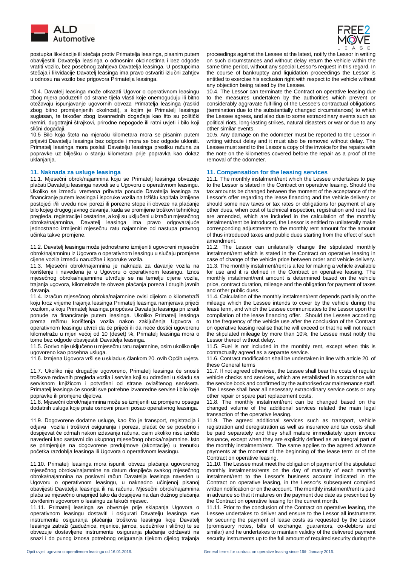

 postupka likvidacije ili stečaja protiv Primatelja leasinga, pisanim putem obavijestiti Davatelja leasinga o odnosnim okolnostima i bez odgode vratiti vozilo, bez posebnog zahtjeva Davatelja leasinga. U postupcima stečaja i likvidacije Davatelj leasinga ima pravo ostvariti izlučni zahtjev u odnosu na vozilo bez prigovora Primatelja leasinga.

10.4. Davatelj leasinga može otkazati Ugovor o operativnom leasingu zbog mjera poduzetih od strane tijela vlasti koje onemogućuju ili bitno otežavaju ispunjavanje ugovornih obveza Primatelja leasinga (raskid zbog bitno promijenjenih okolnosti), s kojim je Primatelj leasinga suglasan, te također zbog izvanrednih događaja kao što su politički nemiri, dugotrajni štrajkovi, prirodne nepogode ili ratni uvjeti i bilo koji slični događaji.

10.5 Bilo koja šteta na mjeraču kilometara mora se pisanim putem prijaviti Davatelju leasinga bez odgode i mora se bez odgode ukloniti. Primatelj leasinga mora poslati Davatelju leasinga presliku računa za popravke uz bilješku o stanju kilometara prije popravka kao dokaz uklaniania.

11.1. Mjesečni obrok/najamnina koju se Primatelj leasinga obvezuje plaćati Davatelju leasinga navodi se u Ugovoru o operativnom leasingu. Ukoliko se između vremena prihvata ponude Davatelja leasinga za financiranje putem leasinga i isporuke vozila na tržištu kapitala izmijene postojeći i/ili uvedu novi porezi ili porezne stope ili obveze na plaćanje bilo kojeg drugog javnog davanja, kada se promijene troškovi tehničkog pregleda, registracije i cestarine, a koji su uključeni u izračun mjesečnog obroka/najamnina, Davatelj leasinga ima pravo odgovarajuće jednostrano izmijeniti mjesečnu ratu najamnine od nastupa pravnog učinka takve promjene.

11.2. Davatelj leasinga može jednostrano izmijeniti ugovoreni mjesečni obrok/najamninu iz Ugovora o operativnom leasingu u slučaju promjene cijene vozila između narudžbe i isporuke vozila.

11.3. Mjesečni obrok/najamnina je naknada za davanje vozila na korištenje i navedena je u Ugovoru o operativnom leasingu. Iznos mjesečnog obroka/najamnine utvrđuje se na temelju cijene vozila, trajanja ugovora, kilometraže te obveze plaćanja poreza i drugih javnih davanja.

11.4. Izračun mjesečnog obroka/najamnine ovisi dijelom o kilometraži koju kroz vrijeme trajanja leasinga Primatelj leasinga namjerava prijeći vozilom, a koju Primatelj leasinga priopćava Davatelju leasinga pri izradi ponude za financiranje putem leasinga. Ukoliko Primatelj leasinga prema režimu korištenja vozila nakon zaključenja Ugovora o operativnom leasingu utvrdi da će prijeći ili da neće dostići ugovorenu kilometražu u mjeri većoj od 10 (deset) %, Primatelj leasinga mora o tome bez odgode obavijestiti Davatelja leasinga.

11.5. Gorivo nije uključeno u mjesečnu ratu najamnine, osim ukoliko nije

ugovoreno kao posebna usluga.<br>11.6. Izmjena Ugovora vrši se u skladu s člankom 20. ovih Općih uvjeta.

11.7. Ukoliko nije drugačije ugovoreno, Primatelj leasinga će snositi troškove redovnih pregleda vozila i servisa koji su određeni u skladu sa servisnom knjižicom i potvrđeni od strane ovlaštenog servisera. Primatelj leasinga će snositi sve potrebne izvanredne servise i bilo koje popravke ili promjene dijelova.

11.8. Mjesečni obrok/najamnina može se izmijeniti uz promjenu opsega dodatnih usluga koje prate osnovni pravni posao operativnog leasinga.

11.9. Dogovorene dodatne usluge, kao što je transport, registracija i odjava vozila i troškovi osiguranja i poreza, plaćat će se posebno i dospijevat će odmah nakon izdavanja računa, osim ukoliko nisu izričito navedeni kao sastavni dio ukupnog mjesečnog obroka/najamnine. Isto se primjenjuje na dogovorene predujmove (akontacije) u trenutku početka razdoblja leasinga ili Ugovora o operativnom leasingu.

11.10. Primatelj leasinga mora ispuniti obvezu plaćanja ugovorenog mjesečnog obroka/najamnine na datum dospijeća svakog mjesečnog obroka/najamnina na poslovni račun Davatelja leasinga naveden u Ugovoru o operativnom leasingu, u naknadno učinjenoj pisanoj obavijesti Davatelja leasinga ili na računu. Mjesečni obrok/najamnina plaća se mjesečno unaprijed tako da dospijeva na dan dužnog plaćanja utvrđenim ugovorom o leasingu za tekući mjesec.

11.11. Primatelj leasinga se obvezuje prije sklapanja Ugovora o operativnom leasingu dostaviti i osigurati Davatelju leasinga sve instrumente osiguranja plaćanja troškova leasinga koje Davatelj leasinga zatraži (zadužnice, mjenice, jamce, sudužnike i slično) te se obvezuje dostavljene instrumente osiguranja plaćanja održavati na snazi i do punog iznosa potrebnog osiguranja tijekom cijelog trajanja proceedings against the Lessee at the latest, notify the Lessor in writing on such circumstances and without delay return the vehicle within the same time period, without any special Lessor's request in this regard. In the course of bankruptcy and liquidation proceedings the Lessor is entitled to exercise his exclusion right with respect to the vehicle without any objection being raised by the Lessee.

10.4. The Lessor can terminate the Contract on operative leasing due to the measures undertaken by the authorities which prevent or considerably aggravate fulfilling of the Lessee's contractual obligations (termination due to the substantially changed circumstances) to which the Lessee agrees, and also due to some extraordinary events such as political riots, long-lasting strikes, natural disasters or war or due to any other similar events.

10.5. Any damage on the odometer must be reported to the Lessor in writing without delay and it must also be removed without delay. The Lessee must send to the Lessor a copy of the invoice for the repairs with the note on the kilometres covered before the repair as a proof of the removal of the odometer.

# **11. Naknada za usluge leasinga 11. Compensation for the leasing services**

11.1. The monthly instalment/rent which the Lessee undertakes to pay to the Lessor is stated in the Contract on operative leasing. Should the tax amounts be changed between the moment of the acceptance of the Lessor's offer regarding the lease financing and the vehicle delivery or should some new taxes or tax rates or obligations for payment of any other dues, when cost of technical inspection, registration and road fee are amended, which are included in the calculation of the monthly instalment/rent be introduced, the Lessor is entitled to unilaterally make corresponding adjustments to the monthly rent amount for the amount of thus introduced taxes and public dues starting from the effect of such amendment.

11.2. The Lessor can unilaterally change the stipulated monthly instalment/rent which is stated in the Contract on operative leasing in case of change of the vehicle price between order and vehicle delivery. 11.3. The monthly instalment/rent is a fee for making a vehicle available for use and it is defined in the Contract on operative leasing. The monthly instalment/rent amount is determined based on the vehicle price, contract duration, mileage and the obligation for payment of taxes and other public dues.

11.4. Calculation of the monthly instalment/rent depends partially on the mileage which the Lessee intends to cover by the vehicle during the lease term, and which the Lessee communicates to the Lessor upon the compilation of the lease financing offer. Should the Lessee according to the frequency of the vehicle use after the conclusion of the Contract on operative leasing realise that he will exceed or that he will not reach the stipulated mileage by more than 10%, the Lessee must notify the Lessor thereof without delay.

11.5. Fuel is not included in the monthly rent, except when this is contractually agreed as a separate service.

11.6. Contract modification shall be undertaken in line with article 20. of these General terms

11.7. If not agreed otherwise, the Lessee shall bear the costs of regular vehicle checks and services, which are established in accordance with the service book and confirmed by the authorised car maintenance staff. The Lessee shall bear all necessary extraordinary service costs or any other repair or spare part replacement costs.

11.8. The monthly instalment/rent can be changed based on the changed volume of the additional services related the main legal transaction of the operative leasing.

11.9. The agreed additional services such as transport, vehicle registration and deregistration as well as insurance and tax costs shall be paid separately and they shall mature immediately upon invoice issuance, except when they are explicitly defined as an integral part of the monthly instalment/rent. The same applies to the agreed advance payments at the moment of the beginning of the lease term or of the Contract on operative leasing.

11.10. The Lessee must meet the obligation of payment of the stipulated monthly instalments/rents on the day of maturity of each monthly instalment/rent to the Lessor's business account indicated in the Contract on operative leasing, in the Lessor's subsequent compiled written notification or on the account. The monthly instalment/rent is paid in advance so that it matures on the payment due date as prescribed by the Contract on operative leasing for the current month.

11.11. Prior to the conclusion of the Contract on operative leasing, the Lessee undertakes to deliver and ensure to the Lessor all instruments for securing the payment of lease costs as requested by the Lessor (promissory notes, bills of exchange, guarantors, co-debtors and similar) and he undertakes to maintain validity of the delivered payment security instruments up to the full amount of required security during the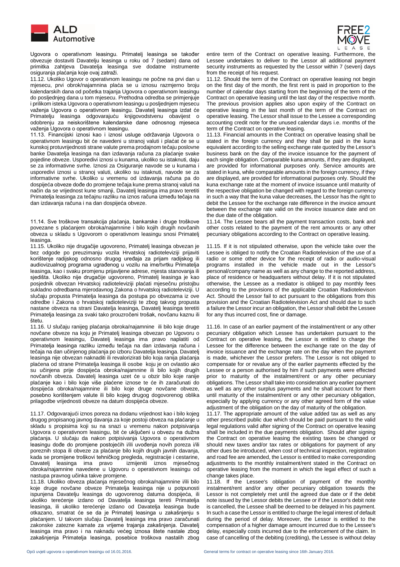

 Ugovora o operativnom leasingu. Primatelj leasinga se također obvezuje dostaviti Davatelju leasinga u roku od 7 (sedam) dana od primitka zahtjeva Davatelja leasinga sve dodatne instrumente osiguranja plaćanja koje ovaj zatraži.

11.12. Ukoliko Ugovor o operativnom leasingu ne počne na prvi dan u mjesecu, prvi obrok/najamnina plaća se u iznosu razmjerno broju kalendarskih dana od početka trajanja Ugovora o operativnom leasingu do posljednjeg dana u tom mjesecu. Prethodna odredba se primjenjuje i prilikom isteka Ugovora o operativnom leasingu u posljednjem mjesecu važenja Ugovora o operativnom leasingu. Davatelj leasinga izdat će Primatelju leasinga odgovarajuću knjigovodstvenu obavijest o odobrenju za neiskorištene kalendarske dane odnosnog mjeseca važenja Ugovora o operativnom leasingu.

11.13. Financijski iznosi kao i iznosi usluge održavanja Ugovora o operativnom leasingu bit će navedeni u stranoj valuti i plaćat će se u kunskoj protuvrijednosti strane valute prema prodajnom tečaju poslovne banke Davatelja leasinga na dan izdavanja računa za plaćanje svake pojedine obveze. Usporedivi iznosi u kunama, ukoliko su istaknuti, daju se za informativne svrhe. Iznosi za Osiguranje navode se u kunama i usporedivi iznosi u stranoj valuti, ukoliko su istaknuti, navode se za informativne svrhe. Ukoliko u vremenu od izdavanja računa pa do dospijeća obveze dođe do promjene tečaja kune prema stranoj valuti na način da se vrijednost kune smanji, Davatelj leasinga ima pravo teretiti Primatelja leasinga za tečajnu razliku na iznos računa između tečaja na dan izdavanja računa i na dan dospijeća obveze.

11.14. Sve troškove transakcija plaćanja, bankarske i druge troškove povezane s plaćanjem obroka/najamnine i bilo kojih drugih novčanih obveza u skladu s Ugovorom o operativnom leasingu snosi Primatelj leasinga.

11.15. Ukoliko nije drugačije ugovoreno, Primatelj leasinga obvezan je bez odgode po preuzimanju vozila Hrvatskoj radioteleviziji prijaviti korištenje radijskog odnosno drugog uređaja za prijam radijskog ili audiovizualnog programa ugrađenog u vozilu na ime/tvrtku Primatelja leasinga, kao i svaku promjenu prijavljene adrese, mjesta stanovanja ili sjedišta. Ukoliko nije drugačije ugovoreno, Primatelj leasinga je kao posjednik obvezan Hrvatskoj radioteleviziji plaćati mjesečnu pristojbu sukladno odredbama mjerodavnog Zakona o hrvatskoj radioteleviziji. U slučaju propusta Primatelja leasinga da postupa po obvezama iz ove odredbe i Zakona o hrvatskoj radioteleviziji te zbog takvog propusta nastane obveza na strani Davatelja leasinga, Davatelj leasinga teretiti Primatelja leasinga za svaki tako prouzročeni trošak, novčanu kaznu ili štetu.

11.16. U slučaju ranijeg plaćanja obroka/najamnine ili bilo koje druge novčane obveze na koju je Primatelj leasinga obvezan po Ugovoru o operativnom leasingu, Davatelj leasinga ima pravo naplatiti od Primatelja leasinga razliku između tečaja na dan izdavanja računa i tečaja na dan učinjenog plaćanja po izboru Davatelja leasinga. Davatelj leasinga nije obvezan naknaditi ili revalorizirati bilo koja ranija plaćanja plaćena od strane Primatelja leasinga ili osobe koju je on ovlastio ako su učinjena prije dospijeća obroka/najamnine ili bilo kojih drugih novčanih obveza. Davatelj leasinga uzet će u obzir bilo koje ranije plaćanje kao i bilo koje više plaćene iznose te će ih zaračunati do dospijeća obroka/najamnine ili bilo koje druge novčane obveze, posebno korištenjem valute ili bilo kojeg drugog dogovorenog oblika prilagodbe vrijednosti obveze na datum dospijeća obveze.

11.17. Odgovarajući iznos poreza na dodanu vrijednost kao i bilo kojeg drugog propisanog javnog davanja za koje postoji obveza na plaćanje u skladu s propisima koji su na snazi u vremenu nakon potpisivanja Ugovora o operativnom leasingu, bit će uključeni u obvezu na dužna plaćanja. U slučaju da nakon potpisivanja Ugovora o operativnom leasingu dođe do promjene postojećih i/ili uvođenja novih poreza i/ili poreznih stopa ili obveze za plaćanje bilo kojih drugih javnih davanja, kada se promijene troškovi tehničkog pregleda, registracije i cestarine,<br>Davatelj leasinga ima pravo izmijeniti iznos mjesečnog Davatelj leasinga ima pravo obroka/najamnine navedene u Ugovoru o operativnom leasingu od nastupa pravnog učinka takve promjene.

11.18. Ukoliko obveza plaćanja mjesečnog obroka/najamnine i/ili bilo koje druge novčane obveze Primatelja leasinga nije u potpunosti ispunjena Davatelju leasinga do ugovorenog datuma dospijeća, ili ukoliko terećenje izdano od Davatelja leasinga tereti Primatelja leasinga, ili ukoliko terećenje izdano od Davatelja leasinga bude otkazano, smatrat će se da je Primatelj leasinga u zakašnjenju s plaćanjem. U takvom slučaju Davatelj leasinga ima pravo zaračunati zakonske zatezne kamate za vrijeme trajanja zakašnjenja. Davatelj leasinga ima pravo i na naknadu većeg iznosa štete nastale zbog zakašnjenja Primatelja leasinga, posebice troškova nastalih zbog



entire term of the Contract on operative leasing. Furthermore, the Lessee undertakes to deliver to the Lessor all additional payment security instruments as requested by the Lessor within 7 (seven) days from the receipt of his request.

11.12. Should the term of the Contract on operative leasing not begin on the first day of the month, the first rent is paid in proportion to the number of calendar days starting from the beginning of the term of the Contract on operative leasing until the last day of the respective month. The previous provision applies also upon expiry of the Contract on operative leasing in the last month of the term of the Contract on operative leasing. The Lessor shall issue to the Lessee a corresponding accounting credit note for the unused calendar days i.e. months of the term of the Contract on operative leasing.

11.13. Financial amounts in the Contract on operative leasing shall be stated in the foreign currency and they shall be paid in the kuna equivalent according to the selling exchange rate quoted by the Lessor's business bank on the day of the invoice issuance for the payment of each single obligation. Comparable kuna amounts, if they are displayed, are provided for informational purposes only. Service amounts are stated in kuna, while comparable amounts in the foreign currency, if they are displayed, are provided for informational purposes only. Should the kuna exchange rate at the moment of invoice issuance until maturity of the respective obligation be changed with regard to the foreign currency in such a way that the kuna value decreases, the Lessor has the right to debit the Lessee for the exchange rate difference in the invoice amount between the exchange rate valid on the invoice issuance date and on the due date of the obligation.

11.14. The Lessee bears all the payment transaction costs, bank and other costs related to the payment of the rent amounts or any other pecuniary obligations according to the Contract on operative leasing.

11.15. If it is not stipulated otherwise, upon the vehicle take over the Lessee is obliged to notify the Croatian Radiotelevision of the use of a radio or some other device for the receipt of radio or audio-visual programs installed in the vehicle made out in the Lessor's personal/company name as well as any change to the reported address, place of residence or headquarters without delay. If it is not stipulated otherwise, the Lessee as a mediator is obliged to pay monthly fees according to the provisions of the applicable Croatian Radiotelevison Act. Should the Lessor fail to act pursuant to the obligations from this provision and the Croatian Radiotelevision Act and should due to such a failure the Lessor incur an obligation, the Lessor shall debit the Lessee for any thus incurred cost, fine or damage.

11.16. In case of an earlier payment of the instalment/rent or any other pecuniary obligation which Lessee has undertaken pursuant to the Contract on operative leasing, the Lessor is entitled to charge the Lessee for the difference between the exchange rate on the day of invoice issuance and the exchange rate on the day when the payment is made, whichever the Lessor prefers. The Lessor is not obliged to compensate for or revalue any of the earlier payments effected by the Lessee or a person authorised by him if such payments were effected prior to maturity of the instalment/rent or any other pecuniary obligations. The Lessor shall take into consideration any earlier payment as well as any other surplus payments and he shall account for them until maturity of the instalment/rent or any other pecuniary obligation, especially by applying currency or any other agreed form of the value adjustment of the obligation on the day of maturity of the obligation.

11.17. The appropriate amount of the value added tax as well as any other prescribed public due which should be paid pursuant to the valid legal regulations valid after signing of the Contract on operative leasing shall be included in the due payments obligation. Should after signing the Contract on operative leasing the existing taxes be changed or should new taxes and/or tax rates or obligations for payment of any other dues be introduced, when cost of technical inspection, registration and road fee are amended, the Lessor is entitled to make corresponding adjustments to the monthly instalment/rent stated in the Contract on operative leasing from the moment in which the legal effect of such a change takes place.

11.18. If the Lessee's obligation of payment of the monthly instalment/rent and/or any other pecuniary obligation towards the Lessor is not completely met until the agreed due date or if the debit note issued by the Lessor debits the Lessee or if the Lessor's debit note is cancelled, the Lessee shall be deemed to be delayed in his payment. In such a case the Lessor is entitled to charge the legal interest of default during the period of delay. Moreover, the Lessor is entitled to the compensation of a higher damage amount incurred due to the Lessee's delay, especially costs incurred due to the enforcement of the claim. In case of cancelling of the debiting (crediting), the Lessee is without delay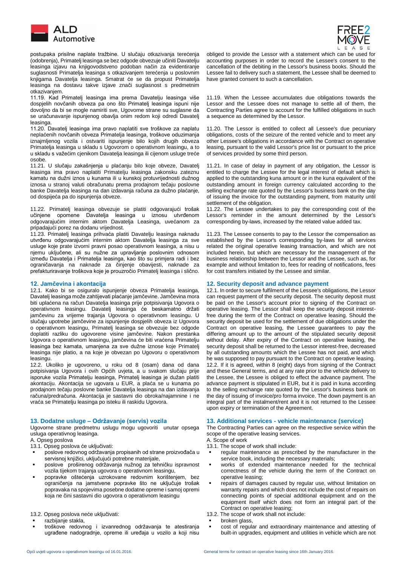

 postupaka prisilne naplate tražbine. U slučaju otkazivanja terećenja (odobrenja), Primatelj leasinga se bez odgode obvezuje učiniti Davatelju leasinga izjavu na knjigovodstveno podoban način za evidentiranje suglasnosti Primatelja leasinga s otkazivanjem terećenja u poslovnim knjigama Davatelja leasinga. Smatrat će se da propust Primatelja leasinga na dostavu takve izjave znači suglasnost s predmetnim otkazivanjem.

11.19. Kad Primatelj leasinga ima prema Davatelju leasinga više dospjelih novčanih obveza pa ono što Primatelj leasinga ispuni nije dovoljno da bi se mogle namiriti sve, Ugovorne strane su suglasne da se uračunavanje ispunjenog obavlja onim redom koji odredi Davatelj leasinga.

11.20. Davatelj leasinga ima pravo naplatiti sve troškove za naplatu neplaćenih novčanih obveza Primatelja leasinga, troškove oduzimanja iznajmljenog vozila i ostvariti ispunjenje bilo kojih drugih obveza Primatelja leasinga u skladu s Ugovorom o operativnom leasingu, a to u skladu s važećim cjenikom Davatelja leasinga ili cijenom usluge treće osobe.

11.21. U slučaju zakašnjenja u plaćanju bilo koje obveze, Davatelj leasinga ima pravo naplatiti Primatelju leasinga zakonsku zateznu kamatu na dužni iznos u kunama ili u kunskoj protuvrijednosti dužnog iznosa u stranoj valuti obračunatu prema prodajnom tečaju poslovne banke Davatelja leasinga na dan izdavanja računa za dužno plaćanje, od dospijeća pa do ispunjenja obveze.

11.22. Primatelj leasinga obvezuje se platiti odgovarajući trošak učinjene opomene Davatelja leasinga u iznosu utvrđenom odgovarajućim internim aktom Davatelja Leasinga, uvećanom za pripadajući porez na dodanu vrijednost.

11.23. Primatelj leasinga prihvaća platiti Davatelju leasinga naknadu utvrđenu odgovarajućim internim aktom Davatelja leasinga za sve usluge koje prate izvorni pravni posao operativnom leasinga, a nisu u njemu uključene, ali su nužne za upravljanje poslovnim odnosom između Davatelja i Primatelja leasinga, kao što su primjera radi i bez ograničavanja na naknade za činjenje obavijesti, naknade za prefakturiravanje troškova koje je prouzročio Primatelj leasinga i slično.

12.1. Kako bi se osiguralo ispunjenje obveza Primatelja leasinga, Davatelj leasinga može zahtijevati plaćanje jamčevine. Jamčevina mora biti uplaćena na račun Davatelja leasinga prije potpisivanja Ugovora o operativnom leasingu. Davatelj leasinga će beskamatno držati jamčevinu za vrijeme trajanja Ugovora o operativnom leasingu. U slučaju upotrebe jamčevine za ispunjenje dospjelih obveza iz Ugovora o operativnom leasingu, Primatelj leasinga se obvezuje bez odgode doplatiti razliku do ugovorene visine jamčevine. Nakon prestanka Ugovora o operativnom leasingu, jamčevina će biti vraćena Primatelju leasinga bez kamata, umanjena za sve dužne iznose koje Primatelj leasinga nije platio, a na koje je obvezan po Ugovoru o operativnom leasingu.

12.2. Ukoliko je ugovoreno, u roku od 8 (osam) dana od dana potpisivanja Ugovora i ovih Općih uvjeta, a u svakom slučaju prije isporuke vozila Primatelju leasinga, Primatelj leasinga je dužan platiti akontaciju. Akontacija se ugovara u EUR, a plaća se u kunama po prodajnom tečaju poslovne banke Davatelja leasinga na dan izdavanja računa/predračuna. Akontacija je sastavni dio obroka/najamnine i ne vraća se Primatelju leasinga po isteku ili raskidu Ugovora.

Ugovorne strane predmetnu uslugu mogu ugovoriti unutar opsega usluga operativnog leasinga.

- A. Opseg poslova<br>13.1. Opseg poslova će uključivati:
- poslove redovnog održavanja propisanih od strane proizvođača u servisnoj knjižici, uključujući potrebne materijale,
- poslove proširenog održavanja nužnog za tehničku ispravnost vozila tijekom trajanja ugovora o operativnom leasingu,
- popravke oštećenja uzrokovane redovnim korištenjem, bez ograničenja na jamstvene popravke što ne uključuje trošak popravaka na spojevima posebne dodatne opreme i samoj opremi koja ne čini sastavni dio ugovora o operativnom leasingu

13.2. Opseg poslova neće uključivati: 13.2. The scope of work shall not include:

- razbijanje stakla.
- troškove redovnog i izvanrednog održavanja te atestiranja ugrađene nadogradnje, opreme ili uređaja u vozilo a koji nisu



obliged to provide the Lessor with a statement which can be used for accounting purposes in order to record the Lessee's consent to the cancellation of the debiting in the Lessor's business books. Should the Lessee fail to delivery such a statement, the Lessee shall be deemed to have granted consent to such a cancellation.

11.19. When the Lessee accumulates due obligations towards the Lessor and the Lessee does not manage to settle all of them, the Contracting Parties agree to account for the fulfilled obligations in such a sequence as determined by the Lessor.

11.20. The Lessor is entitled to collect all Lessee's due pecuniary obligations, costs of the seizure of the rented vehicle and to meet any other Lessee's obligations in accordance with the Contract on operative leasing, pursuant to the valid Lessor's price list or pursuant to the price of services provided by some third person.

11.21. In case of delay in payment of any obligation, the Lessor is entitled to charge the Lessee for the legal interest of default which is applied to the outstanding kuna amount or in the kuna equivalent of the outstanding amount in foreign currency calculated according to the selling exchange rate quoted by the Lessor's business bank on the day of issuing the invoice for the outstanding payment, from maturity until settlement of the obligation.

11.22. The Lessee undertakes to pay the corresponding cost of the Lessor's reminder in the amount determined by the Lessor's corresponding by-laws, increased by the related value added tax.

11.23. The Lessee consents to pay to the Lessor the compensation as established by the Lessor's corresponding by-laws for all services related the original operative leasing transaction, and which are not included herein, but which are necessary for the management of the business relationship between the Lessor and the Lessee, such as, for example and without limitation to, fees for reading of notifications, fees for cost transfers initiated by the Lessee and similar.

# **12. Jamčevina i akontacija 12. Security deposit and advance payment**

12.1. In order to secure fulfilment of the Lessee's obligations, the Lessor can request payment of the security deposit. The security deposit must be paid on the Lessor's account prior to signing of the Contract on operative leasing. The Lessor shall keep the security deposit interestfree during the term of the Contract on operative leasing. Should the security deposit be used for the settlement of due obligations under the Contract on operative leasing, the Lessee guarantees to pay the differing amount up to the amount of the stipulated security deposit without delay. After expiry of the Contract on operative leasing, the security deposit shall be returned to the Lessor interest-free, decreased by all outstanding amounts which the Lessee has not paid, and which he was supposed to pay pursuant to the Contract on operative leasing. 12.2. If it is agreed, within 8 (eight) days from signing of the Contract and these General terms, and at any rate prior to the vehicle delivery to the Lessee, the Lessee is obliged to effect the advance payment. The advance payment is stipulated in EUR, but it is paid in kuna according to the selling exchange rate quoted by the Lessor's business bank on the day of issuing of invoice/pro forma invoice. The down payment is an integral part of the instalment/rent and it is not returned to the Lessee upon expiry or termination of the Agreement.

### **13. Dodatne usluge – Održavanje (servis) vozila 13. Additional services - vehicle maintenance (service)**

The Contracting Parties can agree on the respective service within the scope of the operative leasing services.<br>A. Scope of work

- 13.1. The scope of work shall include:
- regular maintenance as prescribed by the manufacturer in the service book, including the necessary materials;
- works of extended maintenance needed for the technical correctness of the vehicle during the term of the Contract on operative leasing;
- repairs of damages caused by regular use, without limitation on warranty repairs and which does not include the cost of repairs on connecting points of special additional equipment and on the equipment itself which does not form an integral part of the Contract on operative leasing;

- broken glass,
- cost of regular and extraordinary maintenance and attesting of built-in upgrades, equipment and utilities in vehicle which are not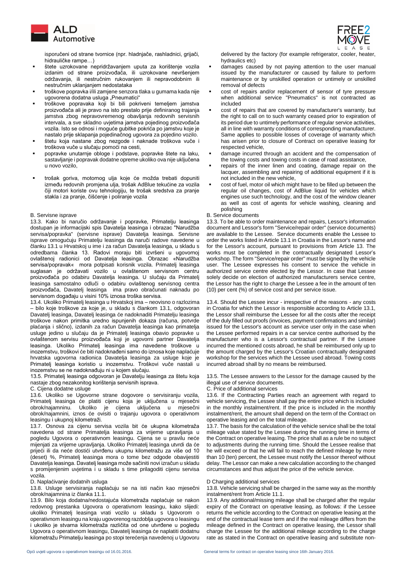

 isporučeni od strane tvornice (npr. hladnjače, rashladnici, grijači, hidrauličke rampe…)

- štete uzrokovane nepridržavanjem uputa za korištenje vozila izdanim od strane proizvođača, ili uzrokovane nevršenjem održavanja, ili nestručnim rukovanjem ili nepravodobnim ili nestručnim uklanjanjem nedostataka
- troškove popravka i/ili zamjene senzora tlaka u gumama kada nije ugovorena dodatna usluga "Pneumatici"
- troškove popravaka koji bi bili pokriveni temeljem jamstva proizvođača ali je pravo na isto prestalo prije definiranog trajanja jamstva zbog nepravovremenog obavljanja redovnih servisnih intervala, a sve skladno uvjetima jamstva pojedinog proizvođača vozila. Isto se odnosi i moguće gubitke pokrića po jamstvu koje je nastalo prije sklapanja pojedinačnog ugovora za pojedino vozilo.
- štetu koja nastane zbog nezgode i naknade troškova vuče i troškova vuče u slučaju pomoći na cesti,
- popravke unutarnje obloge i podstave, popravke štete na laku, sastavljanje i popravak dodatne opreme ukoliko ova nije uključena u novo vozilo,
- trošak goriva, motornog ulja koje će možda trebati dopuniti između redovnih promjena ulja, trošak AdBlue tekućine za vozila čiji motori koriste ovu tehnologiju, te trošak sredstva za pranje stakla i za pranje, čišćenje i poliranje vozila

13.3. Kako bi naručio održavanje i popravke, Primatelju leasinga dostupan je informacijski spis Davatelja leasinga i obrazac "Narudžba servisa/popravka" (servisne isprave) Davatelja leasinga. Servisne isprave omogućuju Primatelju leasinga da naruči radove navedene u članku 13.1 u Hrvatskoj u ime i za račun Davatelja leasinga, u skladu s odredbama članka 13. Radovi moraju biti izvršeni u ugovornoj ovlaštenoj radionici od Davatelja leasinga. Obrazac «Narudžba servisa/popravak« mora potpisati korisnik vozila. Primatelj leasinga suglasan je održavati vozilo u ovlaštenom servisnom centru proizvođača po odabiru Davatelja leasinga. U slučaju da Primatelj leasinga samostalno odluči o odabiru ovlaštenog servisnog centra proizvođača, Davatelj leasinga ima pravo obračunati naknadu po servisnom događaju u visini 10% iznosa troška servisa.

13.4. Ukoliko Primatelj leasinga u Hrvatskoj ima – neovisno o razlozima – bilo koje troškove za koje je, u skladu s člankom 13.1, odgovoran Davatelj leasinga, Davatelj leasinga će nadoknaditi Primatelju leasinga troškove nakon primitka uredno ispunjenih dokaza (računa, potvrde plaćanja i slično), izdanih za račun Davatelja leasinga kao primatelja usluge jedino u slučaju da je Primatelj leasinga obavio popravke u ovlaštenom servisu proizvođača koji je ugovorni partner Davatelja leasinga. Ukoliko Primatelj leasinga ima navedene troškove u inozemstvu, troškovi će biti nadoknađeni samo do iznosa koje naplaćuje hrvatska ugovorna radionica Davatelja leasinga za usluge koje je Primatelj leasinga koristio u inozemstvu. Troškovi vuče nastali u inozemstvu se ne nadoknađuju ni u kojem slučaju.

13.5. Primatelj leasinga odgovoran je Davatelju leasinga za štetu koja nastaje zbog nezakonitog korištenja servisnih isprava.

13.6. Ukoliko se Ugovorne strane dogovore o servisiranju vozila, Primatelj leasinga će platiti cijenu koja je uključena u mjesečni obrok/najamninu. Ukoliko je cijena uključena u mjesečni obrok/najamnini, iznos će ovisiti o trajanju ugovora o operativnom leasingu i ukupnoj kilometraži.

13.7. Osnova za cijenu servisa vozila bit će ukupna kilometraža navedena od strane Primatelja leasinga za vrijeme upravljanja u pogledu Ugovora o operativnom leasingu. Cijena se u pravilu neće mijenjati za vrijeme upravljanja. Ukoliko Primatelj leasinga utvrdi da će prijeći ili da neće dostići utvrđenu ukupnu kilometražu za više od 10 (deset) %, Primatelj leasinga mora o tome bez odgode obavijestiti Davatelja leasinga. Davatelj leasinga može sačiniti novi izračun u skladu s promijenjenim uvjetima i u skladu s time prilagoditi cijenu servisa vozila.

### D. Naplaćivanje dodatnih usluga D Charging additional services

13.8. Usluge servisiranja naplaćuju se na isti način kao mjesečni obrok/najamnina iz članka 11.1.

13.9. Bilo koja dodatna/nedostajuća kilometraža naplaćuje se nakon redovnog prestanka Ugovora o operativnom leasingu, kako slijedi: ukoliko Primatelj leasinga vrati vozilo u skladu s Ugovorom o operativnom leasingu na kraju ugovorenog razdoblja ugovora o leasingu i ukoliko je stvarna kilometraža različita od one utvrđene u pogledu Ugovora o operativnom leasingu, Davatelj leasinga će naplatiti dodatnu kilometražu Primatelju leasinga po stopi terećenja navedenoj u Ugovoru



delivered by the factory (for example refrigerator, cooler, heater, hydraulics etc)

- damages caused by not paying attention to the user manual issued by the manufacturer or caused by failure to perform maintenance or by unskilled operation or untimely or unskilled removal of defects
- cost of repairs and/or replacement of sensor of tyre pressure when additional service "Pneumatics" is not contracted as included
- cost of repairs that are covered by manufacturer's warranty, but the right to call on to such warranty ceased prior to expiration of its period due to untimely performance of regular service activities, all in line with warranty conditions of corresponding manufacturer. Same applies to possible losses of coverage of warranty which has arisen prior to closure of Contract on operative leasing for respected vehicle,
- damage incurred through an accident and the compensation of the towing costs and towing costs in case of road assistance,
- repairs of the inner linen and coating, damage repair on the lacquer, assembling and repairing of additional equipment if it is not included in the new vehicle,
- cost of fuel, motor oil which might have to be filled up between the regular oil changes, cost of AdBlue liquid for vehicles which engines use such technology, and the cost of the window cleaner as well as cost of agents for vehicle washing, cleaning and polishing
- B. Servisne isprave B. Service documents

13.3. To be able to order maintenance and repairs, Lessor's information document and Lessor's form "Service/repair order" (service documents) are available to the Lessee. Service documents enable the Lessee to order the works listed in Article 13.1 in Croatia in the Lessor's name and for the Lessor's account, pursuant to provisions from Article 13. The works must be completed in the contractually designated Lessor's workshop. The form "Service/repair order" must be signed by the vehicle user. The Lessee expresses his consent to service the vehicle in authorized service centre elected by the Lessor. In case that Lessee solely decide on election of authorized manufacturers service centre, the Lessor has the right to charge the Lessee a fee in the amount of ten (10) per cent (%) of service cost and per service issue.

13.4. Should the Lessee incur - irrespective of the reasons - any costs in Croatia for which the Lessor is responsible according to Article 13.1, the Lessor shall reimburse the Lessee for all the costs after the receipt of the duly filled out proofs (invoices, payment confirmations and similar) issued for the Lessor's account as service user only in the case when the Lessee performed repairs in a car service centre authorised by the manufacturer who is a Lessor's contractual partner. If the Lessee incurred the mentioned costs abroad, he shall be reimbursed only up to the amount charged by the Lessor's Croatian contractually designated workshop for the services which the Lessee used abroad. Towing costs incurred abroad shall by no means be reimbursed.

13.5. The Lessee answers to the Lessor for the damage caused by the illegal use of service documents.

### C. Price of additional services

13.6. If the Contracting Parties reach an agreement with regard to vehicle servicing, the Lessee shall pay the entire price which is included in the monthly instalment/rent. If the price is included in the monthly instalment/rent, the amount shall depend on the term of the Contract on operative leasing and on the total mileage.

13.7. The basis for the calculation of the vehicle service shall be the total mileage value stated by the Lessee during the running time in terms of the Contract on operative leasing. The price shall as a rule be no subject to adjustments during the running time. Should the Lessee realise that he will exceed or that he will fail to reach the defined mileage by more than 10 (ten) percent, the Lessee must notify the Lessor thereof without delay. The Lessor can make a new calculation according to the changed circumstances and thus adjust the price of the vehicle service.

13.8. Vehicle servicing shall be charged in the same way as the monthly instalment/rent from Article 11.1.

13.9. Any additional/missing mileage shall be charged after the regular expiry of the Contract on operative leasing, as follows: if the Lessee returns the vehicle according to the Contract on operative leasing at the end of the contractual lease term and if the real mileage differs from the mileage defined in the Contract on operative leasing, the Lessor shall charge the Lessee for the additional mileage according to the charge rate as stated in the Contract on operative leasing and substitute non-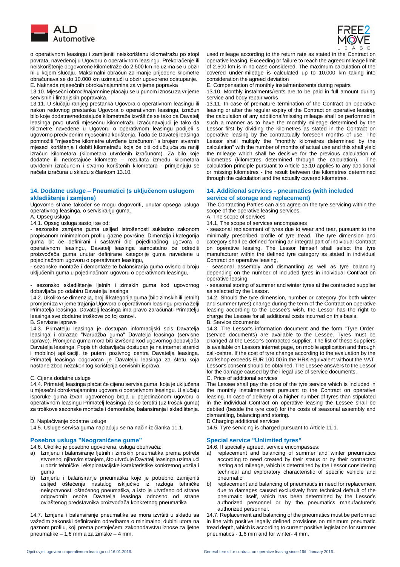

 o operativnom leasingu i zamijeniti neiskorištenu kilometražu po stopi povrata, navedenoj u Ugovoru o operativnom leasingu. Prekoračenje ili neiskorištenje dogovorene kilometraže do 2,500 km ne uzima se u obzir ni u kojem slučaju. Maksimalni obračun za manje prijeđene kilometre obračunava se do 10.000 km uzimajući u obzir ugovoreno odstupanje.

E. Naknada mjesečnih obroka/najamnina za vrijeme popravka 13.10. Mjesečni obroci/najamnine plaćaju se u punom iznosu za vrijeme servisnih i limarijskih popravaka.

13.11. U slučaju ranijeg prestanka Ugovora o operativnom leasingu ili nakon redovnog prestanka Ugovora o operativnom leasingu, izračun bilo koje dodatne/nedostajuće kilometraže izvršit će se tako da Davatelj leasinga prvo utvrdi mjesečnu kilometražu izračunavajući je tako da kilometre navedene u Ugovoru o operativnom leasingu podijeli s ugovorno predviđenim mjesecima korištenja. Tada će Davatelj leasinga pomnožiti "mjesečne kilometre utvrđene izračunom" s brojem stvarnih mjeseci korištenja i dobiti kilometražu koja će biti odlučujuća za raniji izračun kilometara (kilometara utvrđenih izračunom). Za bilo koje dodatne ili nedostajuće kilometre – rezultata između kilometara utvrđenih izračunom i stvarno korištenih kilometara - primjenjuju se načela izračuna u skladu s člankom 13.10.

### **14. Dodatne usluge – Pneumatici (s uključenom uslugom skladištenja i zamjene)**

Ugovorne strane također se mogu dogovoriti, unutar opsega usluga operativnog leasinga, o servisiranju guma.

A. Opseg usluga A. The scope of services A. The scope of services A. The scope of services A. The scope of services

- sezonske zamjene guma uslijed istrošenosti sukladno zakonom propisanom minimalnom profilu gazne površine. Dimenzija i kategorija guma bit će definirani i sastavni dio pojedinačnog ugovora o operativnom leasingu, Davatelj leasinga samostalno će odrediti proizvođača guma unutar definirane kategorije guma navedene u pojedinačnom ugovoru o operativnom leasingu,

- sezonske montaže i demontaže te balansiranja guma ovisno o broju uključenih guma u pojedinačnom ugovoru o operativnom leasingu,

- sezonsko skladištenje ljetnih i zimskih guma kod ugovornog dobavljača po odabiru Davatelja leasinga

14.2. Ukoliko se dimenzija, broj ili kategorija guma (bilo zimskih ili ljetnih) promjeni za vrijeme trajanja Ugovora o operativnom leasingu prema želji Primatelja leasinga, Davatelj leasinga ima pravo zaračunati Primatelju leasinga sve dodatne troškove po toj osnovi. B. Servisne isprave B. Service documents

14.3. Primatelju leasinga je dostupan informacijski spis Davatelja leasinga i obrazac "Narudžba guma" Davatelja leasinga (servisne isprave). Promjena guma mora biti izvršena kod ugovornog dobavljača Davatelja leasinga. Popis tih dobavljača dostupan je na internet stranici i mobilnoj aplikaciji, te putem pozivnog centra Davatelja leasinga. Primatelj leasinga odgovoran je Davatelju leasinga za štetu koja nastane zbod nezakonitog korištenja servisnih isprava.

### C. Cijena dodatne usluge C. Price of additional services

14.4. Primatelj leasinga plaćat će cijenu servisa guma koja je uključena u mjesečni obrok/najamninu ugovora o operativnom leasingu. U slučaju isporuke guma izvan ugovorenog broja u pojedinačnom ugovoru o operativnom leasingu Primatelj leasinga će se teretiti (uz trošak guma) za troškove sezonske montaže i demontaže, balansiranja i skladištenja.

D. Naplaćivanje dodatne usluge<br>14.5. Usluge servisa guma naplaćuju se na način iz članka 11.1. 14.5. Tyre servicing is charged pursuant to Article 11.1. 14.5. Usluge servisa guma naplaćuju se na način iz članka 11.1.

# **Posebna usluga "Neograničene gume" Special service "Unlimited tyres"**

14.6. Ukoliko je posebno ugovorena, usluga obuhvaća: 14.6. If specially agreed, service encompasses:

- a) Izmjenu i balansiranje ljetnih i zimskih pneumatika prema potrebi stvorenoj njihovim stanjem, što utvrđuje Davatelj leasinga uzimajući u obzir tehničke i eksploatacijske karakteristike konkretnog vozila i guma
- b) Izmjenu i balansiranje pneumatika koje je potrebno zamijeniti uslijed oštećenja nastalog isključivo iz razloga tehničke neispravnosti oštećenog pneumatika, a isto je utvrđeno od strane odgovornih osoba Davatelja leasinga odnosno od strane ovlaštenog predstavnika proizvođača konkretnog pneumatika

14.7. Izmjena i balansiranje pneumatika se mora izvršiti u skladu sa važećim zakonski definiranim odredbama o minimalnoj dubini utora na gaznom profilu, koji prema postojećem zakonodavstvu iznose za ljetne pneumatike – 1,6 mm a za zimske – 4 mm.



used mileage according to the return rate as stated in the Contract on operative leasing. Exceeding or failure to reach the agreed mileage limit of 2.500 km is in no case considered. The maximum calculation of the covered under-mileage is calculated up to 10,000 km taking into consideration the agreed deviation<br>E. Compensation of monthly instalments/rents during repairs

13.10. Monthly instalments/rents are to be paid in full amount during service and body repair works

13.11. In case of premature termination of the Contract on operative leasing or after the regular expiry of the Contract on operative leasing, the calculation of any additional/missing mileage shall be performed in such a manner as to have the monthly mileage determined by the Lessor first by dividing the kilometres as stated in the Contract on operative leasing by the contractually foreseen months of use. The Lessor shall multiply the "monthly kilometres determined by the calculation" with the number of months of actual use and this shall yield the mileage which shall be decisive for the previous calculation of kilometres (kilometres determined through the calculation). The calculation principle pursuant to Article 13.10 applies to any additional or missing kilometres - the result between the kilometres determined through the calculation and the actually covered kilometres.

### **14. Additional services - pneumatics (with included service of storage and replacement)**

The Contracting Parties can also agree on the tyre servicing within the scope of the operative leasing services.

14.1. The scope of services encompasses

- seasonal replacement of tyres due to wear and tear, pursuant to the minimally prescribed profile of tyre tread. The tyre dimension and category shall be defined forming an integral part of individual Contract on operative leasing. The Lessor himself shall select the tyre manufacturer within the defined tyre category as stated in individual Contract on operative leasing,

- seasonal assembly and dismantling as well as tyre balancing depending on the number of included tyres in individual Contract on operative leasing,

- seasonal storing of summer and winter tyres at the contracted supplier as selected by the Lessor.

14.2. Should the tyre dimension, number or category (for both winter and summer tyres) change during the term of the Contract on operative leasing according to the Lessee's wish, the Lessor has the right to charge the Lessee for all additional costs incurred on this basis.

14.3. The Lessor's information document and the form "Tyre Order" (service documents) are available to the Lessee. Tyres must be changed at the Lessor's contracted supplier. The list of these suppliers is available on Lessors internet page, on mobile application and through call-centre. If the cost of tyre change according to the evaluation by the workshop exceeds EUR 100.00 in the HRK equivalent without the VAT. Lessor's consent should be obtained. The Lessee answers to the Lessor for the damage caused by the illegal use of service documents.

The Lessee shall pay the price of the tyre service which is included in the monthly instalment/rent pursuant to the Contract on operative leasing. In case of delivery of a higher number of tyres than stipulated in the individual Contract on operative leasing the Lessee shall be debited (beside the tyre cost) for the costs of seasonal assembly and dismantling, balancing and storing.<br>D Charging additional services

- a) replacement and balancing of summer and winter pneumatics according to need created by their status or by their contracted lasting and mileage, which is determined by the Lessor considering technical and exploratory characteristic of specific vehicle and pneumatic
- b) replacement and balancing of pneumatics in need for replacement due to damages caused exclusively from technical default of the pneumatic itself, which has been determined by the Lessor's authorized personnel or by the pneumatics manufacturer's authorized personnel.

14.7. Replacement and balancing of the pneumatics must be performed in line with positive legally defined provisions on minimum pneumatic tread depth, which is according to current positive legislation for summer pneumatics - 1,6 mm and for winter- 4 mm.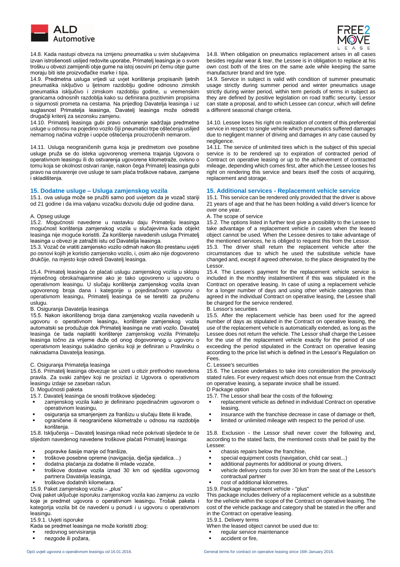

 14.8. Kada nastupi obveza na izmjenu pneumatika u svim slučajevima izvan istrošenosti uslijed redovite uporabe, Primatelj leasinga je o svom trošku u obvezi zamijeniti obje gume na istoj osovini pri čemu obje gume moraju biti iste proizvođačke marke i tipa.

14.9. Predmetna usluga vrijedi uz uvjet korištenja propisanih ljetnih pneumatika isključivo u ljetnom razdoblju godine odnosno zimskih pneumatika isključivo i zimskom razdoblju godine, u vremenskim granicama odnosnih razdoblja kako su definirana pozitivnim propisima o sigurnosti prometa na cestama. Na prijedlog Davatelja leasinga i uz suglasnost Primatelja leasinga, Davatelj leasinga može odrediti drugačiji kriterij za sezonsku zamjenu.

14.10. Primatelj leasinga gubi pravo ostvarenje sadržaja predmetne usluge u odnosu na pojedino vozilo čiji pneumatici trpe oštećenja uslijed nemarnog načina vožnje i uopće oštećenja prouzročenih nemarom.

14.11. Usluga neograničenih guma koja je predmetom ove posebne usluge pruža se do isteka ugovorenog vremena trajanja Ugovora o operativnom leasingu ili do ostvarenja ugovorene kilometraže, ovisno o tomu koja se okolnost ostvari ranije, nakon čega Primatelj leasinga gubi pravo na ostvarenje ove usluge te sam plaća troškove nabave, zamjene i skladištenja.

15.1. ova usluga može se pružiti samo pod uvjetom da je vozač stariji od 21 godine i da ima valjanu vozačku dozvolu dulje od godine dana.

15.2. Mogućnosti navedene u nastavku daju Primatelju leasinga mogućnost korištenja zamjenskog vozila u slučajevima kada objekt leasinga nije moguće koristiti. Za korištenje navedenih usluga Primatelj leasinga u obvezi je zatražiti istu od Davatelja leasinga.

15.3. Vozač će vratiti zamjensko vozilo odmah nakon što prestanu uvjeti po osnovi kojih je koristio zamjensko vozilo, i, osim ako nije dogovoreno drukčije, na mjesto koje odredi Davatelj leasinga.

15.4. Primatelj leasinga će plaćati uslugu zamjenskog vozila u sklopu mjesečnog obroka/najamnine ako je tako ugovoreno u ugovoru o operativnom leasingu. U slučaju korištenja zamjenskog vozila izvan ugovorenog broja dana i kategorije u pojedinačnom ugovoru o operativnom leasingu, Primatelj leasinga će se teretiti za pruženu uslugu.

### B. Osiguranja Davatelja leasinga B. Lessor's securities

15.5. Nakon iskorištenog broja dana zamjenskog vozila navedenih u ugovoru o operativnom leasingu, korištenje zamjenskog vozila automatski se produžuje dok Primatelj leasinga ne vrati vozilo. Davatelj leasinga će tada naplatiti korištenje zamjenskog vozila Primatelju leasinga točno za vrijeme duže od onog dogovorenog u ugovoru o operativnom leasingu sukladno cjeniku koji je definiran u Pravilniku o naknadama Davatelja leasinga.

### C. Osiguranja Primatelja leasinga

15.6. Primatelj leasinga obvezuje se uzeti u obzir prethodno navedena pravila. Za svaki zahtjev koji ne proizlazi iz Ugovora o operativnom leasingu izdaje se zaseban račun.

### D. Mogućnosti paketa

15.7. Davatelj leasinga će snositi troškove sljedećeg:

- zamjenskog vozila kako je definirano pojedinačnim ugovorom o operativnom leasingu,
- osiguranja sa smanjenjem za franšizu u slučaju štete ili krađe,
- ograničene ili neograničene kilometraže u odnosu na razdoblje korištenja.

15.8. Isključenja – Davatelj leasinga nikad neće pokrivati sljedeće te će slijedom navedenog navedene troškove plaćati Primatelj leasinga:

- popravke šasije manje od franšize,
- troškove posebne opreme (navigacija, dječja sjedalica...)
- dodatna plaćanja za dodatne ili mlade vozače,
- troškove dostave vozila iznad 30 km od sjedišta ugovornog partnera Davatelja leasinga,
- troškove dodatnih kilometara.
- 15.9. Paket zamjenskog vozila "plus" 15.9. Package replacement vehicle "plus"

Ovaj paket uključuje isporuku zamjenskog vozila kao zamjenu za vozilo koje je predmet ugovora o operativnom leasingu. Trošak paketa i kategorija vozila bit će navedeni u ponudi i u ugovoru o operativnom leasingu.

# 15.9.1. Uvjeti isporuke 15.9.1. Delivery terms

Kada se predmet leasinga ne može koristiti zbog:

- redovnog servisiranja
- nezgode ili požara,



14.8. When obligation on pneumatics replacement arises in all cases besides regular wear & tear, the Lessee is in obligation to replace at his own cost both of the tires on the same axle while keeping the same manufacturer brand and tire type.

14.9. Service in subject is valid with condition of summer pneumatic usage strictly during summer period and winter pneumatics usage strictly during winter period, within term periods of terms in subject as they are defined by positive legislation on road traffic security. Lessor can state a proposal, and to which Lessee can concur, which will define a different seasonal change criteria.

14.10. Lessee loses his right on realization of content of this preferential service in respect to single vehicle which pneumatics suffered damages due to negligent manner of driving and damages in any case caused by negligence.

14.11. The service of unlimited tires which is the subject of this special service is to be rendered up to expiration of contracted period of Contract on operative leasing or up to the achievement of contracted mileage, depending which comes first, after which the Lessee looses his right on rendering this service and bears itself the costs of acquiring, replacement and storage.

### **15. Dodatne usluge – Usluga zamjenskog vozila 15. Additional services - Replacement vehicle service**

15.1. This service can be rendered only provided that the driver is above 21 years of age and that he has been holding a valid driver's licence for over one year.

### A. Opseg usluge A. The scope of service

15.2. The options listed in further text give a possibility to the Lessee to take advantage of a replacement vehicle in cases when the leased object cannot be used. When the Lessee desires to take advantage of the mentioned services, he is obliged to request this from the Lessor.

15.3. The driver shall return the replacement vehicle after the circumstances due to which he used the substitute vehicle have changed and, except if agreed otherwise, to the place designated by the Lessor.

15.4. The Lessee's payment for the replacement vehicle service is included in the monthly instalment/rent if this was stipulated in the Contract on operative leasing. In case of using a replacement vehicle for a longer number of days and using other vehicle categories than agreed in the individual Contract on operative leasing, the Lessee shall be charged for the service rendered.

15.5. After the replacement vehicle has been used for the agreed number of days as stipulated in the Contract on operative leasing, the use of the replacement vehicle is automatically extended, as long as the Lessee does not return the vehicle. The Lessor shall charge the Lessee for the use of the replacement vehicle exactly for the period of use exceeding the period stipulated in the Contract on operative leasing according to the price list which is defined in the Lessor's Regulation on

# Fees.<br>C. Lessee's securities

15.6. The Lessee undertakes to take into consideration the previously stated rules. For every request which does not ensue from the Contract on operative leasing, a separate invoice shall be issued.

- 15.7. The Lessor shall bear the costs of the following:
- replacement vehicle as defined in individual Contract on operative leasing,
- insurance with the franchise decrease in case of damage or theft,
- limited or unlimited mileage with respect to the period of use.

15.8. Exclusion - the Lessor shall never cover the following and, according to the stated facts, the mentioned costs shall be paid by the Lessee:

- chassis repairs below the franchise,
- special equipment costs (navigation, child car seat...)
- additional payments for additional or young drivers,
- vehicle delivery costs for over 30 km from the seat of the Lessor's contractual partner
- cost of additional kilometres.
- 

This package includes delivery of a replacement vehicle as a substitute for the vehicle within the scope of the Contract on operative leasing. The cost of the vehicle package and category shall be stated in the offer and in the Contract on operative leasing.

When the leased object cannot be used due to:

- regular service maintenance
- accident or fire.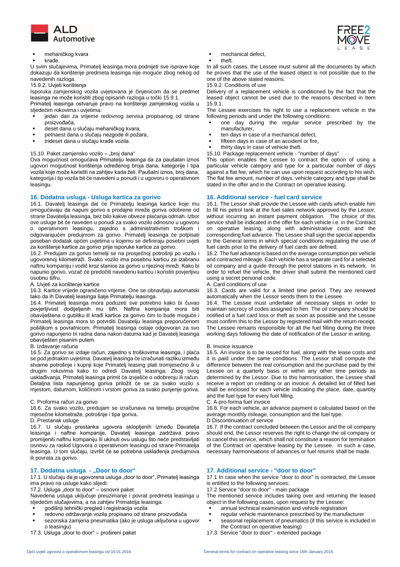

### mehaničkog kvara

### krađe.

U svim slučajevima, Primatelj leasinga mora podnijeti sve isprave koje dokazuju da korištenje predmeta leasinga nije moguće zbog nekog od navedenih razloga.<br>15.9.2. Uvjeti korištenja

Isporuka zamjenskog vozila uvjetovana je činjenicom da se predmet leasinga ne može koristiti zbog opisanih razloga u točki 15.9.1.

Primatelj leasinga ostvaruje pravo na korištenje zamjenskog vozila u sljedećim rokovima i uvjetima:

- jedan dan za vrijeme redovnog servisa propisanog od strane proizvođača,
- deset dana u slučaju mehaničkog kvara,
- petnaest dana u slučaju nezgode ili požara,
- trideset dana u slučaju krađe vozila.

Ova mogućnost omogućava Primatelju leasinga da za paušalan iznos ugovori mogućnost korištenja određenog broja dana, kategorije i tipa vozila koje može koristiti na zahtjev kada želi. Paušalni iznos, broj dana, kategorija i tip vozila bit će navedeni u ponudi i u ugovoru o operativnom leasingu.

# **16. Dodatna usluga - Usluga kartica za gorivo 16. Additional service - fuel card service**

16.1. Davatelj leasinga dat će Primatelju leasinga kartice koje mu omogućavaju da napuni gorivo s prodajne mreže goriva odobrene od strane Davatelja leasinga, bez bilo kakve obveze plaćanja odmah. Izbor ove usluge bit će naveden u ponudi za svako vozilo odnosno u ugovoru o operativnom leasingu, zajedno s administrativnim troškom i odgovarajućim predujmom za gorivo. Primatelj leasinga će potpisati poseban dodatak općim uvjetima u kojemu se definiraju posebni uvjeti za korištenje kartice za gorivo prije isporuke kartice za gorivo.

16.2. Predujam za gorivo temelji se na prosječnoj potrošnji po vozilu i ugovorenoj kilometraži. Svako vozilo ima posebnu karticu za izabranu naftnu kompaniju i vodič kroz stanice za gorivo u njezinoj mreži. Kako bi napunio gorivo, vozač će predočiti navedenu karticu i koristiti povjerljivu osobnu šifru.

### A. Uvjeti za korištenje kartice

16.3. Kartice vrijede ograničeno vrijeme. One se obnavljaju automatski tako da ih Davatelj leasinga šalje Primatelju leasinga.

16.4. Primatelj leasinga mora poduzeti sve potrebno kako bi čuvao povjerljivost dodijeljenih mu šifri. Naftna kompanija mora biti obaviještena o gubitku ili krađi kartice za gorivo čim to bude moguće i Primatelj leasinga mora to potvrditi Davatelju leasinga preporučenom pošiljkom s povratnicom. Primatelj leasinga ostaje odgovoran za svo gorivo napunjeno tri radna dana nakon datuma kad je Davatelj leasinga obaviješten pisanim putem.

### B. Izdavanje računa B. Invoice issuance

16.5. Za gorivo se izdaje račun, zajedno s troškovima leasinga, i plaća se pod jednakim uvjetima. Davatelj leasinga će izračunati razliku između stvarne potrošnje i kupnji koje Primatelj leasing plati tromjesečno ili u drugim rokovima kako to odredi Davatelj leasinga. Zbog ovog usklađivanja, Primatelj leasinga primit će izvješće o odobrenju ili račun. Detaljna lista napunjenog goriva priložit će se za svako vozilo s mjestom, datumom, količinom i vrstom goriva za svako punjenje goriva.

### C. Proforma račun za gorivo

16.6. Za svako vozilo, predujam se izračunava na temelju prosječne mjesečne kilometraže, potrošnje i tipa goriva.

16.7. U slučaju prestanka ugovora sklopljenih između Davatelja leasinga i naftne kompanije, Davatelj leasinga zadržava pravo promijeniti naftnu kompaniju ili ukinuti ovu uslugu što neće predstavljati osnovu za raskid Ugovora o operativnom leasingu od strane Primatelja leasinga. U tom slučaju, izvršit će se potrebna usklađenja predujmova ili povrata za gorivo.

17.1. U slučaju da je ugovorena usluga "door to door", Primatelj leasinga ima pravo na usluge kako slijedi:

17.2. Usluga "door to door"  $-$  osnovni paket

Navedena usluga uključuje preuzimanje i povrat predmeta leasinga u sljedećim slučajevima, a na zahtjev Primatelja leasinga:

- godišnji tehnički pregled i registracija vozila
- redovno održavanje vozila propisano od strane proizvođača
- sezonska zamjena pneumatika (ako je usluga uključena u ugovor o leasingu)<br>17.3. Usluga "door to door" – prošireni paket
- 
- mechanical defect,
- theft.

In all such cases, the Lessee must submit all the documents by which he proves that the use of the leased object is not possible due to the one of the above stated reasons.

# 15.9.2. Conditions of use

Delivery of a replacement vehicle is conditioned by the fact that the leased object cannot be used due to the reasons described in Item 15.9.1.

The Lessee exercises his right to use a replacement vehicle in the following periods and under the following conditions:

- one day during the regular service prescribed by the manufacturer,
- ten days in case of a mechanical defect,
- fifteen days in case of an accident or fire,
- thirty days in case of vehicle theft.

15.10. Paket zamjensko vozilo – "broj dana" 15.10. Package replacement vehicle - "number of days"

This option enables the Lessee to contract the option of using a particular vehicle category and type for a particular number of days against a flat fee, which he can use upon request according to his wish. The flat fee amount, number of days, vehicle category and type shall be stated in the offer and in the Contract on operative leasing.

16.1. The Lessor shall provide the Lessee with cards which enable him to fill his petrol tank at the fuel sales network approved by the Lessor, without incurring an instant payment obligation. The choice of this service shall be indicated in the offer for each vehicle i.e. in the Contract on operative leasing, along with administrative costs and the corresponding fuel advance. The Lessee shall sign the special appendix to the General terms in which special conditions regulating the use of fuel cards prior to the delivery of fuel cards are defined.

16.2. The fuel advance is based on the average consumption per vehicle and contracted mileage. Each vehicle has a separate card for a selected oil company and a guide through the petrol stations in its network. In order to refuel the vehicle, the driver shall submit the mentioned card using a secret personal code.<br>A. Card conditions of use

16.3. Cards are valid for a limited time period. They are renewed automatically when the Lessor sends them to the Lessee.

16.4. The Lessee must undertake all necessary steps in order to maintain secrecy of codes assigned to him. The oil company should be notified of a fuel card loss or theft as soon as possible and the Lessee must confirm this to the Lessor by registered mail with the return receipt. The Lessee remains responsible for all the fuel filling during the three working days following the date of notification of the Lessor in writing.

16.5. An invoice is to be issued for fuel, along with the lease costs and it is paid under the same conditions. The Lessor shall compute the difference between the real consumption and the purchase paid by the Lessee on a quarterly basis or within any other time periods as determined by the Lessor. Due to this harmonisation, the Lessee shall receive a report on crediting or an invoice. A detailed list of filled fuel shall be enclosed for each vehicle indicating the place, date, quantity and the fuel type for every fuel filling.<br>C. A pro-forma fuel invoice

16.6. For each vehicle, an advance payment is calculated based on the average monthly mileage, consumption and the fuel type.

### D. Prestanak usluge **D** Discontinuation of service

16.7. If the contract concluded between the Lessor and the oil company should end, the Lessor reserves the right to change the oil company or to cancel this service, which shall not constitute a reason for termination of the Contract on operative leasing by the Lessee. In such a case, necessary harmonisations of advances or fuel returns shall be made.

# **17. Dodatna usluga - "Door to door" 17. Additional service - "door to door"**

17.1 In case when the service "door to door" is contracted, the Lessee is entitled to the following services:<br>17.2 Service "door to door" - main package

The mentioned service includes taking over and returning the leased object in the following cases, upon request by the Lessee:

- annual technical examination and vehicle registration
- regular vehicle maintenance prescribed by the manufacturer
- seasonal replacement of pneumatics (if this service is included in the Contract on operative leasing)
- 17.3. Service "door to door" extended package

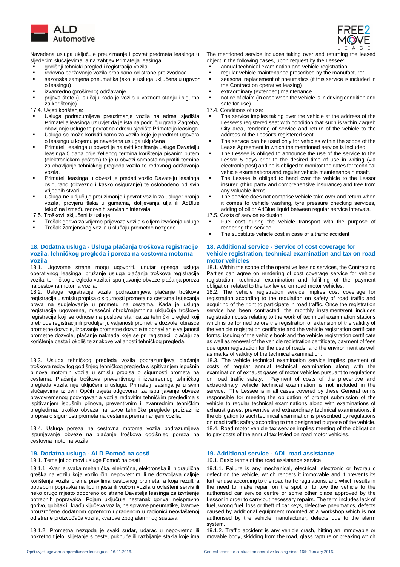

 Navedena usluga uključuje preuzimanje i povrat predmeta leasinga u sljedećim slučajevima, a na zahtjev Primatelja leasinga:

- godišnji tehnički pregled i registracija vozila
- redovno održavanje vozila propisano od strane proizvođača
- sezonska zamjena pneumatika (ako je usluga uključena u ugovor o leasingu)
- izvanredno (prošireno) održavanje
- prijava štete (u slučaju kada je vozilo u voznom stanju i sigurno za korištenje)<br>17.4. Uvjeti korištenja:

- Usluga podrazumijeva preuzimanje vozila na adresi sjedišta Primatelja leasinga uz uvjet da je ista na području grada Zagreba, obavljanje usluge te povrat na adresu sjedišta Primatelja leasinga.
- Usluga se može koristiti samo za vozilo koje je predmet ugovora o leasingu u kojemu je navedena usluga uključena
- Primatelj leasinga u obvezi je najaviti korištenje usluge Davatelju leasinga 5 dana prije željenog termina korištenja pisanim putem (elektroničkom poštom) te je u obvezi samostalno pratiti termine za obavljanje tehničkog pregleda vozila te redovnog održavanja vozila.
- Primatelj leasinga u obvezi je predati vozilo Davatelju leasinga osigurano (obvezno i kasko osiguranje) te oslobođeno od svih vrijednih stvari.
- Usluga ne uključuje preuzimanje i povrat vozila za usluge: pranja vozila, provjeru tlaka u gumama, dolijevanja ulja ili AdBlue tekućine između redovnih servisnih intervala.

17.5. Troškovi isključeni iz usluge: 17.5. Costs of service exclusion

- Trošak goriva za vrijeme prijevoza vozila s ciljem izvršenja usluge
- Trošak zamjenskog vozila u slučaju prometne nezgode

# **18. Dodatna usluga - Usluga plaćanja troškova registracije vozila, tehničkog pregleda i poreza na cestovna motorna vozila**

18.1. Ugovorne strane mogu ugovoriti, unutar opsega usluga operativnog leasinga, pružanje usluga plaćanja troškova registracije vozila, tehničkog pregleda vozila i ispunjavanje obveze plaćanja poreza na cestovna motorna vozila.

18.2. Usluga registracije vozila podrazumijeva plaćanje troškova registracije u smislu propisa o sigurnosti prometa na cestama i stjecanja prava na sudjelovanje u prometu na cestama. Kada je usluga registracije ugovorena, mjesečni obrok/najamnina uključuje troškove registracije koji se odnose na poslove stanica za tehnički pregled koji prethode registraciji ili produljenju valjanosti prometne dozvole, obrasce prometne dozvole, izdavanje prometne dozvole te obnavljanje valjanosti prometne dozvole, plaćanje naknada koje se pri registraciji plaćaju za korištenje cesta i okoliš te znakove valjanosti tehničkog pregleda.

18.3. Usluga tehničkog pregleda vozila podrazumijeva plaćanje troškova redovitog godišnjeg tehničkog pregleda s ispitivanjem ispušnih plinova motornih vozila u smislu propisa o sigurnosti prometa na cestama. Plaćanje troškova preventivnog i izvanrednog tehničkog pregleda vozila nije uključeni u uslugu. Primatelj leasinga je u svim slučajevima iz ovih Općih uvjeta odgovoran za ispunjavanje obveze pravovremenog podvrgavanja vozila redovitim tehničkim pregledima s ispitivanjem ispušnih plinova, preventivnim i izvanrednim tehničkim pregledima, ukoliko obveza na takve tehničke preglede proizlazi iz propisa o sigurnosti prometa na cestama prema namjeni vozila.

18.4. Usluga poreza na cestovna motorna vozila podrazumijeva ispunjavanje obveze na plaćanje troškova godišnjeg poreza na cestovna motorna vozila.

19.1.1. Kvar je svaka mehanička, električna, elektronska ili hidraulična greška na vozilu koja vozilo čini nepokretnim ili ne dozvoljava daljnje korištenje vozila prema pravilima cestovnog prometa, a koja rezultira potrebom popravka na licu mjesta ili vučom vozila u ovlašteni servis ili neko drugo mjesto odobreno od strane Davatelja leasinga za izvršenje potrebnih popravaka. Pojam uključuje nestanak goriva, neispravno gorivo, gubitak ili krađu ključeva vozila, neispravne pneumatike, kvarove prouzročene dodatnom opremom ugrađenom u radionici neovlaštenoj od strane proizvođača vozila, kvarove zbog alarmnog sustava.

19.1.2. Prometna nezgoda je svaki sudar, udarac u nepokretno ili pokretno tijelo, slijetanje s ceste, puknuće ili razbijanje stakla koje ima



The mentioned service includes taking over and returning the leased object in the following cases, upon request by the Lessee:

- annual technical examination and vehicle registration
- regular vehicle maintenance prescribed by the manufacturer
- seasonal replacement of pneumatics (if this service is included in the Contract on operative leasing)
- extraordinary (extended) maintenance
- notice of claim (in case when the vehicle is in driving condition and safe for use)

17.4. Conditions of use:

- The service implies taking over the vehicle at the address of the Lessee's registered seat with condition that such is within Zagreb City area, rendering of service and return of the vehicle to the address of the Lessor's registered seat.
- The service can be used only for vehicles within the scope of the Lease Agreement in which the mentioned service is included.
- The Lessee is obliged to announce the use of the service to the Lessor 5 days prior to the desired time of use in writing (via electronic post) and he is obliged to monitor the dates for technical vehicle examinations and regular vehicle maintenance himself.
- The Lessee is obliged to hand over the vehicle to the Lessor insured (third party and comprehensive insurance) and free from any valuable items.
- The service does not comprise vehicle take over and return when it comes to vehicle washing, tyre pressure checking services, adding of oil or AdBlue liquid between regular service intervals.
- 
- Fuel cost during the vehicle transport with the purpose of rendering the service
- The substitute vehicle cost in case of a traffic accident

### **18. Additional service - Service of cost coverage for vehicle registration, technical examination and tax on road motor vehicles**

18.1. Within the scope of the operative leasing services, the Contracting Parties can agree on rendering of cost coverage service for vehicle registration, technical examination and fulfilling of the payment obligation related to the tax levied on road motor vehicles.

18.2. The vehicle registration service implies cost coverage for registration according to the regulation on safety of road traffic and acquiring of the right to participate in road traffic. Once the registration service has been contracted, the monthly instalment/rent includes registration costs relating to the work of technical examination stations which is performed before the registration or extension of the validity of the vehicle registration certificate and the vehicle registration certificate forms, issuing of the vehicle book and the vehicle registration certificate as well as renewal of the vehicle registration certificate, payment of fees due upon registration for the use of roads and the environment as well as marks of validity of the technical examination.

18.3. The vehicle technical examination service implies payment of costs of regular annual technical examination along with the examination of exhaust gases of motor vehicles pursuant to regulations on road traffic safety. Payment of costs of the preventive and extraordinary vehicle technical examination is not included in the service. The Lessee is in all cases covered by these General terms responsible for meeting the obligation of prompt submission of the vehicle to regular technical examinations along with examinations of exhaust gases, preventive and extraordinary technical examinations, if the obligation to such technical examination is prescribed by regulations on road traffic safety according to the designated purpose of the vehicle. 18.4. Road motor vehicle tax service implies meeting of the obligation to pay costs of the annual tax levied on road motor vehicles.

# **19. Dodatna usluga - ALD Pomoć na cesti 19. Additional service - ADL road assistance**

# 19.1. Temeljni pojmovi usluge Pomoć na cesti 19.1. Basic terms of the road assistance service

19.1.1. Failure is any mechanical, electrical, electronic or hydraulic defect on the vehicle, which renders it immovable and it prevents its further use according to the road traffic regulations, and which results in the need to make repair on the spot or to tow the vehicle to the authorised car service centre or some other place approved by the Lessor in order to carry out necessary repairs. The term includes lack of fuel, wrong fuel, loss or theft of car keys, defective pneumatics, defects caused by additional equipment mounted at a workshop which is not authorised by the vehicle manufacturer, defects due to the alarm system.

19.1.2. Traffic accident is any vehicle crash, hitting an immovable or movable body, skidding from the road, glass rapture or breaking which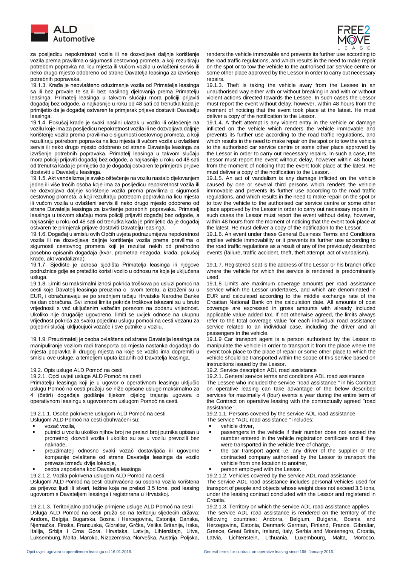

 za posljedicu nepokretnost vozila ili ne dozvoljava daljnje korištenje vozila prema pravilima o sigurnosti cestovnog prometa, a koji rezultiraju potrebom popravka na licu mjesta ili vučom vozila u ovlašteni servis ili neko drugo mjesto odobreno od strane Davatelja leasinga za izvršenje potrebnih popravaka.

19.1.3. Krađa je neovlašteno oduzimanje vozila od Primatelja leasinga sa ili bez provale te sa ili bez nasilnog djelovanja prema Primatelju leasinga. Primatelj leasinga u takvom slučaju mora policiji prijaviti događaj bez odgode, a najkasnije u roku od 48 sati od trenutka kada je primijetio da je događaj ostvaren te primjerak prijave dostaviti Davatelju leasinga.

19.1.4. Pokušaj krađe je svaki nasilni ulazak u vozilo ili oštećenje na vozilu koje ima za posljedicu nepokretnost vozila ili ne dozvoljava daljnje korištenje vozila prema pravilima o sigurnosti cestovnog prometa, a koji rezultiraju potrebom popravka na licu mjesta ili vučom vozila u ovlašteni servis ili neko drugo mjesto odobreno od strane Davatelja leasinga za izvršenje potrebnih popravaka. Primatelj leasinga u takvom slučaju mora policiji prijaviti događaj bez odgode, a najkasnije u roku od 48 sati od trenutka kada je primijetio da je događaj ostvaren te primjerak prijave dostaviti u Davatelju leasinga.

19.1.5. Akt vandalizma je svako oštećenje na vozilu nastalo djelovanjem jedne ili više trećih osoba koje ima za posljedicu nepokretnost vozila ili ne dozvoljava daljnje korištenje vozila prema pravilima o sigurnosti cestovnog prometa, a koji rezultiraju potrebom popravka na licu mjesta ili vučom vozila u ovlašteni servis ili neko drugo mjesto odobreno od strane Davatelja leasinga za izvršenje potrebnih popravaka. Primatelj leasinga u takvom slučaju mora policiji prijaviti događaj bez odgode, a najkasnije u roku od 48 sati od trenutka kada je primijetio da je događaj ostvaren te primjerak prijave dostaviti Davatelju leasinga.

19.1.6. Događaj u smislu ovih Općih uvjeta podrazumijeva nepokretnost vozila ili ne dozvoljava daljnje korištenje vozila prema pravilima o sigurnosti cestovnog prometa koji je rezultat nekih od prethodno posebno opisanih događaja (kvar, prometna nezgoda, krađa, pokušaj krađe, akt vandalizma).

19.1.7. Sjedište je adresa sjedišta Primatelja leasinga ili njegove podružnice gdje se pretežito koristi vozilo u odnosu na koje je uključena usluga.

19.1.8. Limiti su maksimalni iznosi pokrića troškova po usluzi pomoć na cesti koje Davatelj leasinga preuzima o svom teretu, a izraženi su u EUR, i obračunavaju se po srednjem tečaju Hrvatske Narodne Banke na dan obračuna. Svi iznosi limita pokrića troškova iskazani su u bruto vrijednosti s već uključenim važećim porezom na dodanu vrijednost. Ukoliko nije drugačije ugovoreno, limiti se uvijek odnose na ukupnu vrijednost pokrića za svaku pojedinu uslugu pomoći na cesti vezanu za pojedini slučaj, uključujući vozače i sve putnike u vozilu.

19.1.9. Preuzimatelj je osoba ovlaštena od strane Davatelja leasinga za manipuliranje vozilom radi transporta od mjesta nastanka događaja do mjesta popravka ili drugog mjesta na koje se vozilo ima dopremiti u smislu ove usluge, a temeljem uputa izdanih od Davatelja leasinga.

Primatelju leasinga koji je u ugovor o operativnom leasingu uključio uslugu Pomoć na cesti pružaju se niže opisane usluge maksimalno za 4 (četiri) događaja godišnje tijekom cijelog trajanja ugovora o operativnom leasingu s ugovorenom uslugom Pomoć na cesti.

Uslugom ALD Pomoć na cesti obuhvaćeni su:

- vozač vozila.
- putnici u vozilu ukoliko njihov broj ne prelazi broj putnika upisan u prometnoj dozvoli vozila i ukoliko su se u vozilu prevozili bez naknade,
- preuzimatelj odnosno svaki vozač dostavljača ili ugovorne kompanije ovlaštene od strane Davatelja leasinga da vozilo preveze između dvije lokacije,
- osoba zaposlena kod Davatelja leasinga

Uslugom ALD Pomoć na cesti obuhvaćena su osobna vozila korištena za prijevoz ljudi ili stvari, težine koja ne prelazi 3,5 tone, pod leasing ugovorom s Davateljem leasinga i registrirana u Hrvatskoj.

19.2.1.3. Teritorijalno područje primjene usluge ALD Pomoć na cesti Usluga ALD Pomoć na cesti pruža se na teritoriju sljedećih država: Andora, Belgija, Bugarska, Bosna i Hercegovina, Estonija, Danska, Njemačka, Finska, Francuska, Gibraltar, Grčka, Velika Britanija, Irska, Italija, Srbija i Crna Gora, Hrvatska, Latvija, Lihtenštajn, Litva, Luksemburg, Malta, Maroko, Nizozemska, Norveška, Austrija, Poljska,



renders the vehicle immovable and prevents its further use according to the road traffic regulations, and which results in the need to make repair on the spot or to tow the vehicle to the authorised car service centre or some other place approved by the Lessor in order to carry out necessary repairs.

19.1.3. Theft is taking the vehicle away from the Lessee in an unauthorised way either with or without breaking in and with or without violent actions directed towards the Lessee. In such cases the Lessor must report the event without delay, however, within 48 hours from the moment of noticing that the event took place at the latest. He must deliver a copy of the notification to the Lessor.

19.1.4. A theft attempt is any violent entry in the vehicle or damage inflicted on the vehicle which renders the vehicle immovable and prevents its further use according to the road traffic regulations, and which results in the need to make repair on the spot or to tow the vehicle to the authorised car service centre or some other place approved by the Lessor in order to carry out necessary repairs. In such a case, the Lessor must report the event without delay, however within 48 hours from the moment of noticing that the event took place at the latest. He must deliver a copy of the notification to the Lessor.

19.1.5. An act of vandalism is any damage inflicted on the vehicle caused by one or several third persons which renders the vehicle immovable and prevents its further use according to the road traffic regulations, and which results in the need to make repair on the spot or to tow the vehicle to the authorised car service centre or some other place approved by the Lessor in order to carry out necessary repairs. In such cases the Lessor must report the event without delay, however, within 48 hours from the moment of noticing that the event took place at the latest. He must deliver a copy of the notification to the Lessor.

19.1.6. An event under these General Business Terms and Conditions implies vehicle immovability or it prevents its further use according to the road traffic regulations as a result of any of the previously described events (failure, traffic accident, theft, theft attempt, act of vandalism).

19.1.7. Registered seat is the address of the Lessor or his branch office where the vehicle for which the service is rendered is predominantly used.

19.1.8 Limits are maximum coverage amounts per road assistance service which the Lessor undertakes, and which are denominated in EUR and calculated according to the middle exchange rate of the Croatian National Bank on the calculation date. All amounts of cost coverage are expressed in gross amounts with already included applicable value added tax. If not otherwise agreed, the limits always refer to the total coverage value for each individual road assistance service related to an individual case, including the driver and all passengers in the vehicle.

19.1.9 Car transport agent is a person authorised by the Lessor to manipulate the vehicle in order to transport it from the place where the event took place to the place of repair or some other place to which the vehicle should be transported within the scope of this service based on instructions issued by the Lessor.

19.2. Opis usluge ALD Pomoć na cesti in the service of the 19.2. Service description ADL road assistance<br>19.2.1. Opći uvjeti usluge ALD Pomoć na cesti in the service terms and conditions A

19.2.1. General service terms and conditions ADL road assistance

The Lessee who included the service "road assistance " in his Contract on operative leasing can take advantage of the below described services for maximally 4 (four) events a year during the entire term of the Contract on operative leasing with the contractually agreed "road assistance ".

19.2.1.1. Osobe pokrivene uslugom ALD Pomoć na cesti 19.2.1.1. Persons covered by the service ADL road assistance The service "ADL road assistance " includes:

- 
- vehicle driver,<br>■ passengers in passengers in the vehicle if their number does not exceed the number entered in the vehicle registration certificate and if they were transported in the vehicle free of charge,
- the car transport agent i.e. any driver of the supplier or the contracted company authorised by the Lessor to transport the vehicle from one location to another,
- person employed with the Lessor.
- 19.2.1.2. Vozila pokrivena uslugom ALD Pomoć na cesti 19.2.1.2. Vehicles covered by the service ADL road assistance

The service ADL road assistance includes personal vehicles used for transport of people and objects whose weight does not exceed 3.5 tons, under the leasing contract concluded with the Lessor and registered in

Croatia.<br>19.2.1.3. Territory on which the service ADL road assistance applies The service ADL road assistance is rendered on the territory of the following countries: Andorra, Belgium, Bulgaria, Bosnia and Herzegovina, Estonia, Denmark German, Finland, France, Gibraltar, Greece, Great Britain, Ireland, Italy, Serbia and Montenegro, Croatia, Latvia, Lichtenstein, Lithuania, Luxembourg, Malta, Morocco,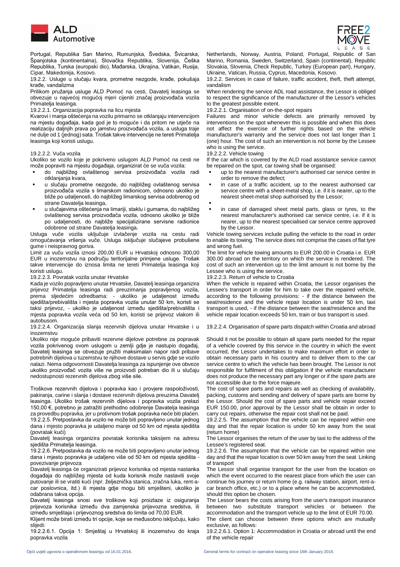

 Portugal, Republika San Marino, Rumunjska, Švedska, Švicarska, Španjolska (kontinentalna), Slovačka Republika, Slovenija, Češka Republika, Turska (europski dio), Mađarska, Ukrajina, Vatikan, Rusija, Cipar, Makedonija, Kosovo.

19.2.2. Usluge u slučaju kvara, prometne nezgode, krađe, pokušaja krađe, vandalizma

Prilikom pružanja usluge ALD Pomoć na cesti, Davatelj leasinga se obvezuje u najvećoj mogućoj mjeri cijeniti značaj proizvođača vozila Primatelja leasinga.

### 19.2.2.1. Organizacija popravka na licu mjesta

Kvarovi i manja oštećenja na vozilu primarno se otklanjaju intervencijom na mjestu događaja, kada god je to moguće i da pritom ne utječe na realizaciju daljnjih prava po jamstvu proizvođača vozila, a usluga traje ne dulje od 1 (jednog) sata. Trošak takve intervencije ne tereti Primatelja leasinga koji koristi uslugu.

Ukoliko se vozilo koje je pokriveno uslugom ALD Pomoć na cesti ne može popraviti na mjestu događaja, organizirat će se vuča vozila:

- do najbližeg ovlaštenog servisa proizvođača vozila radi otklanjanja kvara,
- u slučaju prometne nezgode, do najbližeg ovlaštenog servisa proizvođača vozila s limarskom radionicom, odnosno ukoliko je bliže po udaljenosti, do najbližeg limarskog servisa odobrenog od strane Davatelja leasinga,
- u slučajevima oštećenja na limariji, staklu i gumama, do najbližeg ovlaštenog servisa proizvođača vozila, odnosno ukoliko je bliže po udaljenosti, do najbliže specijalizirane servisne radionice odobrene od strane Davatelja leasinga.

Usluga vuče vozila uključuje izvlačenje vozila na cestu radi omogućavanja vršenja vuče. Usluga isključuje slučajeve probušene gume i neispravnog goriva.

Limit za vuču vozila iznosi 200,00 EUR u Hrvatskoj odnosno 300,00 EUR u inozemstvu na području teritorijalne primjene usluge. Trošak takve intervencije do iznosa limita ne tereti Primatelja leasinga koji koristi uslugu.

### 19.2.2.3. Povratak vozila unutar Hrvatske

Kada je vozilo popravljeno unutar Hrvatske, Davatelj leasinga organizira prijevoz Primatelja leasinga radi preuzimanja popravljenog vozila, prema sljedećim odredbama: - ukoliko je udaljenost između sjedišta/prebivališta i mjesta popravka vozila unutar 50 km, koristi se taksi prijevoz, - ukoliko je udaljenost između sjedišta/prebivališta i mjesta popravka vozila veća od 50 km, koristi se prijevoz vlakom ili autobusom.

19.2.2.4. Organizacija slanja rezervnih dijelova unutar Hrvatske i u inozemstvu

Ukoliko nije moguće pribaviti rezervne dijelove potrebne za popravak vozila pokrivenog ovom uslugom u zemlji gdje je nastupio događaj, Davatelj leasinga se obvezuje pružiti maksimalan napor radi pribave potrebnih dijelova u tuzemstvu te njihove dostave u servis gdje se vozilo nalazi. Nema odgovornosti Davatelja leasinga za ispunjenje ove obveze ukoliko proizvođač vozila više ne proizvodi potreban dio ili u slučaju nedostupnosti rezervnih dijelova zbog više sile.

Troškove rezervnih dijelova i popravka kao i provjere raspoloživosti, pakiranja, carine i slanja i dostave rezervnih dijelova preuzima Davatelj leasinga. Ukoliko trošak rezervnih dijelova i popravka vozila prelazi 150,00 €, potrebno je zatražiti prethodno odobrenje Davatelja leasinga za provedbu popravka, jer u protivnom trošak popravka neće biti plaćen. 19.2.2.5. Pretpostavka da vozilo ne može biti popravljeno unutar jednog dana i mjesto popravka je udaljeno manje od 50 km od mjesta sjedišta (povratak kući)

Davatelj leasinga organizira povratak korisnika taksijem na adresu sjedišta Primatelja leasinga.

19.2.2.6. Pretpostavka da vozilo ne može biti popravljeno unutar jednog dana i mjesto popravka je udaljeno više od 50 km od mjesta sjedišta povezivanje prijevoza

Davatelj leasinga će organizirati prijevoz korisnika od mjesta nastanka događaja do najbližeg mjesta od kuda korisnik može nastaviti svoje putovanje ili se vratiti kući (npr. željeznička stanica, zračna luka, rent-acar poslovnica, itd.) ili mjesta gdje mogu biti smješteni, ukoliko je odabrana takva opcija.

Davatelj leasinga snosi sve troškove koji proizlaze iz osiguranja prijevoza korisnika između dva zamjenska prijevozna sredstva, ili između smještaja i prijevoznog sredstva do limita od 70,00 EUR.

Klijent može birati između tri opcije, koje se međusobno isključuju, kako slijedi:

19.2.2.6.1. Opcija 1: Smještaj u Hrvatskoj ili inozemstvu do kraja popravka vozila



Netherlands, Norway, Austria, Poland, Portugal, Republic of San Marino, Romania, Sweden, Switzerland, Spain (continental), Republic Slovakia, Slovenia, Check Republic, Turkey (European part), Hungary, Ukraine, Vatican, Russia, Cyprus, Macedonia, Kosovo.

19.2.2. Services in case of failure, traffic accident, theft, theft attempt, vandalism

When rendering the service ADL road assistance, the Lessor is obliged to respect the significance of the manufacturer of the Lessor's vehicles to the greatest possible extent.<br>19.2.2.1. Organisation of on-the-spot repairs

Failures and minor vehicle defects are primarily removed by interventions on the spot whenever this is possible and when this does not affect the exercise of further rights based on the vehicle manufacturer's warranty and the service does not last longer than 1 (one) hour. The cost of such an intervention is not borne by the Lessee who is using the service.

19.2.2.2. Vuča vozila 19.2.2.2. Vehicle towing

If the car which is covered by the ALD road assistance service cannot be repaired on the spot, car towing shall be organised:

- up to the nearest manufacturer's authorised car service centre in order to remove the defect;
- in case of a traffic accident, up to the nearest authorised car service centre with a sheet-metal shop, i.e. if it is nearer, up to the nearest sheet-metal shop authorised by the Lessor;
- ▪
- in case of damaged sheet metal parts, glass or tyres, to the nearest manufacturer's authorised car service centre, i.e. if it is nearer, up to the nearest specialised car service centre approved by the Lessor.

Vehicle towing services include pulling the vehicle to the road in order to enable its towing. The service does not comprise the cases of flat tyre and wrong fuel.

The limit for vehicle towing amounts to EUR 200.00 in Croatia i.e. EUR 300.00 abroad on the territory on which the service is rendered. The cost of such an intervention up to the limit amount is not borne by the Lessee who is using the service.<br>19.2.2.3. Return of vehicle to Croatia

When the vehicle is repaired within Croatia, the Lessor organises the Lessee's transport in order for him to take over the repaired vehicle, according to the following provisions: - if the distance between the seat/residence and the vehicle repair location is under 50 km, taxi transport is used, - if the distance between the seat/residence and the vehicle repair location exceeds 50 km, train or bus transport is used.

19.2.2.4. Organisation of spare parts dispatch within Croatia and abroad

Should it not be possible to obtain all spare parts needed for the repair of a vehicle covered by this service in the country in which the event occurred, the Lessor undertakes to make maximum effort in order to obtain necessary parts in his country and to deliver them to the car service centre to which the vehicle has been brought. The Lessor is not responsible for fulfilment of this obligation if the vehicle manufacturer does not produce the necessary part any longer or if the spare parts are not accessible due to the force majeure.

The cost of spare parts and repairs as well as checking of availability, packing, customs and sending and delivery of spare parts are borne by the Lessor. Should the cost of spare parts and vehicle repair exceed EUR 150.00, prior approval by the Lessor shall be obtain in order to carry out repairs, otherwise the repair cost shall not be paid.

19.2.2.5. The assumption that the vehicle can be repaired within one day and that the repair location is under 50 km away from the seat (return home)

The Lessor organises the return of the user by taxi to the address of the Lessee's registered seat.

19.2.2.6. The assumption that the vehicle can be repaired within one day and that the repair location is over 50 km away from the seat Linking of transport

The Lessor shall organise transport for the user from the location on which the event occurred to the nearest place from which the user can continue his journey or return home (e.g. railway station, airport, rent-acar branch office, etc.) or to a place where he can be accommodated, should this option be chosen.

The Lessor bears the costs arising from the user's transport insurance between two substitute transport vehicles or between the accommodation and the transport vehicle up to the limit of EUR 70.00. The client can choose between three options which are mutually exclusive, as follows:

19.2.2.6.1. Option 1: Accommodation in Croatia or abroad until the end of the vehicle repair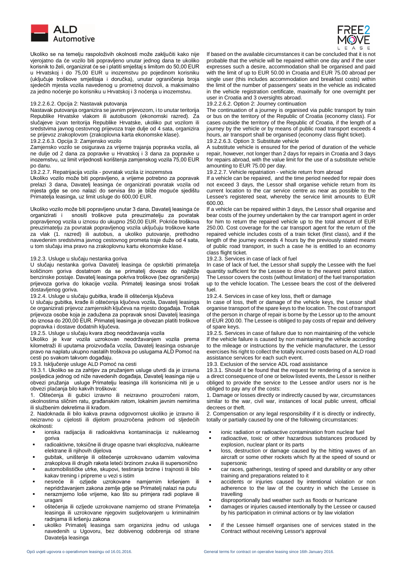

 Ukoliko se na temelju raspoloživih okolnosti može zaključiti kako nije vjerojatno da će vozilo biti popravljeno unutar jednog dana te ukoliko korisnik to želi, organizirat će se i platiti smještaj s limitom do 50,00 EUR u Hrvatskoj i do 75,00 EUR u inozemstvu po pojedinom korisniku (uključuje troškove smještaja i doručka), unutar ograničenja broja sjedećih mjesta vozila navedenog u prometnoj dozvoli, a maksimalno za jedno noćenje po korisniku u Hrvatskoj i 3 noćenja u inozemstvu.

### 19.2.2.6.2. Opcija 2: Nastavak putovanja 19.2.2.6.2. Option 2: Journey continuation

Nastavak putovanja organizira se javnim prijevozom, i to unutar teritorija Republike Hrvatske vlakom ili autobusom (ekonomski razred). Za slučajeve izvan teritorija Republike Hrvatske, ukoliko put vozilom ili sredstvima javnog cestovnog prijevoza traje dulje od 4 sata, organizira se prijevoz zrakoplovom (zrakoplovna karta ekonomske klase).

19.2.2.6.3. Opcija 3: Zamjensko vozilo 19.2.2.6.3. Option 3: Substitute vehicle

Zamjensko vozilo se osigurava za vrijeme trajanja popravka vozila, ali ne dulje od 2 dana za popravke u Hrvatskoj i 3 dana za popravke u inozemstvu, uz limit vrijednosti korištenja zamjenskog vozila 75,00 EUR po danu.

19.2.2.7. Repatrijacija vozila - povratak vozila iz inozemstva

Ukoliko vozilo može biti popravljeno, a vrijeme potrebno za popravak prelazi 3 dana, Davatelj leasinga će organizirati povratak vozila od mjesta gdje se ono nalazi do servisa što je bliže moguće sjedištu Primatelja leasinga, uz limit usluge do 600,00 EUR.

Ukoliko vozilo može biti popravljeno unutar 3 dana, Davatelj leasinga će organizirati i snositi troškove puta preuzimatelju za povratak popravljenog vozila u iznosu do ukupno 250,00 EUR. Pokriće troškova preuzimatelju za povratak popravljenog vozila uključuju troškove karte za vlak (1. razred) ili autobus, a ukoliko putovanje, prethodno navedenim sredstvima javnog cestovnog prometa traje duže od 4 sata, u tom slučaju ima pravo na zrakoplovnu kartu ekonomske klase.

### 19.2.3. Usluge u slučaju nestanka goriva

U slučaju nestanka goriva Davatelj leasinga će opskrbiti primatelja količinom goriva dostatnom da se primatelj doveze do najbliže benzinske postaje. Davatelj leasinga pokriva troškove (bez ograničenja) prijevoza goriva do lokacije vozila. Primatelj leasinga snosi trošak dostavljenog goriva.

### 19.2.4. Usluge u slučaju gubitka, krađe ili oštećenja ključeva 19.2.4. Services in case of key loss, theft or damage

U slučaju gubitka, krađe ili oštećenja ključeva vozila, Davatelj leasinga će organizirati prijevoz zamjenskih ključeva na mjesto događaja. Trošak prijevoza osobe koja je zadužena za popravak snosi Davatelj leasinga do iznosa do 200,00 EUR. Primatelj leasinga je obvezan platiti troškove popravka i dostave dodatnih ključeva.<br>19.2.5. Usluge u slučaju kvara zbog neodržavanja vozila

Ukoliko je kvar vozila uzrokovan neodržavanjem vozila prema kilometraži ili uputama proizvođača vozila, Davatelj leasinga ostvaruje pravo na naplatu ukupno nastalih troškova po uslugama ALD Pomoć na cesti po svakom takvom događaju.<br>19.3. Isključenje usluge ALD Pomoć na cesti

19.3.1. Ukoliko se za zahtjev za pružanjem usluge utvrdi da je izravna posljedica jednog od niže navedenih događaja, Davatelj leasinga nije u obvezi pružanja usluge Primatelju leasinga i/ili korisnicima niti je u obvezi plaćanja bilo kakvih troškova:

1. Oštećenja ili gubici izravno ili neizravno prouzročeni ratom, okolnostima sličnim ratu, građanskim ratom, lokalnim javnim nemirima ili službenim dekretima ili krađom.

2. Nadoknada ili bilo kakva pravna odgovornost ukoliko je izravno ili neizravno u cijelosti ili dijelom prouzročena jednom od sljedećih okolnosti:

- ionska radijacija ili radioaktivna kontaminacija iz nuklearnog goriva
- radioaktivne, toksične ili druge opasne tvari eksploziva, nuklearne elektrane ili njihovih dijelova
- gubitak, uništenje ili oštećenje uzrokovano udarnim valovima zrakoplova ili drugih raketa leteći brzinom zvuka ili supersonično
- automobilističke utrke, skupovi, testiranja brzine i trajnosti ili bilo kakav trening i pripreme u vezi s istim
- nesreće ili ozljede uzrokovane namjernim kršenjem ili nepridržavanjem zakona zemlje gdje se Primatelj nalazi na putu
- nerazmjerno loše vrijeme, kao što su primjera radi poplave ili uragani
- oštećenja ili ozljede uzrokovane namjerno od strane Primatelja leasinga ili uzrokovane njegovim sudjelovanjem u kriminalnim radnjama ili kršenju zakona
- ukoliko Primatelj leasinga sam organizira jednu od usluga navedenih u Ugovoru, bez dobivenog odobrenja od strane Davatelia leasinga



If based on the available circumstances it can be concluded that it is not probable that the vehicle will be repaired within one day and if the user expresses such a desire, accommodation shall be organised and paid with the limit of up to EUR 50.00 in Croatia and EUR 75.00 abroad per single user (this includes accommodation and breakfast costs) within the limit of the number of passengers' seats in the vehicle as indicated in the vehicle registration certificate, maximally for one overnight per user in Croatia and 3 oversights abroad.

The continuation of a journey is organised via public transport by train or bus on the territory of the Republic of Croatia (economy class). For cases outside the territory of the Republic of Croatia, if the length of a journey by the vehicle or by means of public road transport exceeds 4 hours, air transport shall be organised (economy class flight ticket).

A substitute vehicle is ensured for the period of duration of the vehicle repair, however, not longer than 2 days for repairs in Croatia and 3 days for repairs abroad, with the value limit for the use of a substitute vehicle amounting to EUR 75.00 per day.<br>19.2.2.7. Vehicle repatriation - vehicle return from abroad

If a vehicle can be repaired, and the time period needed for repair does not exceed 3 days, the Lessor shall organise vehicle return from its current location to the car service centre as near as possible to the Lessee's registered seat, whereby the service limit amounts to EUR 600.00.

If a vehicle can be repaired within 3 days, the Lessor shall organise and bear costs of the journey undertaken by the car transport agent in order for him to return the repaired vehicle up to the total amount of EUR 250.00. Cost coverage for the car transport agent for the return of the repaired vehicle includes costs of a train ticket (first class), and if the length of the journey exceeds 4 hours by the previously stated means of public road transport, in such a case he is entitled to an economy

# class flight ticket.<br>19.2.3. Services in case of lack of fuel

In case of lack of fuel, the Lessor shall supply the Lessee with the fuel quantity sufficient for the Lessee to drive to the nearest petrol station. The Lessor covers the costs (without limitation) of the fuel transportation up to the vehicle location. The Lessee bears the cost of the delivered fuel.

In case of loss, theft or damage of the vehicle keys, the Lessor shall organise transport of the spare keys to the location. The cost of transport of the person in charge of repair is borne by the Lessor up to the amount of EUR 200.00. The Lessee is obliged to pay costs of repair and delivery of spare keys.

19.2.5. Services in case of failure due to non maintaining of the vehicle If the vehicle failure is caused by non maintaining the vehicle according to the mileage or instructions by the vehicle manufacturer, the Lessor exercises his right to collect the totally incurred costs based on ALD road assistance services for each such event.

19.3. Exclusion of the service ADL road assistance

19.3.1. Should it be found that the request for rendering of a service is a direct consequence of one or below listed events, the Lessor is neither obliged to provide the service to the Lessee and/or users nor is he obliged to pay any of the costs:

1. Damage or losses directly or indirectly caused by war, circumstances similar to the war, civil war, instances of local public unrest, official decrees or theft.

2. Compensation or any legal responsibility if it is directly or indirectly, totally or partially caused by one of the following circumstances:

- ionic radiation or radioactive contamination from nuclear fuel
- radioactive, toxic or other hazardous substances produced by explosion, nuclear plant or its parts
- **.** loss, destruction or damage caused by the hitting waves of an aircraft or some other rockets which fly at the speed of sound or supersonic
- car races, gatherings, testing of speed and durability or any other training and preparations related to it
- accidents or injuries caused by intentional violation or non adherence to the law of the country in which the Lessee is travelling
- disproportionally bad weather such as floods or hurricane
- damages or injuries caused intentionally by the Lessee or caused by his participation in criminal actions or by law violation
- if the Lessee himself organises one of services stated in the Contract without receiving Lessor's approval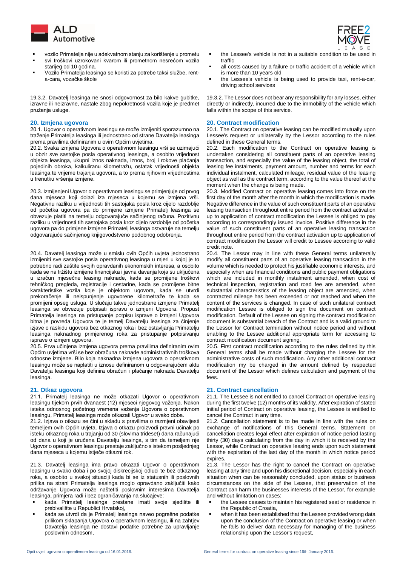

- vozilo Primatelja nije u adekvatnom stanju za korištenje u prometu
- svi troškovi uzrokovani kvarom ili prometnom nesrećom vozila starijeg od 10 godina.
- Vozilo Primatelja leasinga se koristi za potrebe taksi službe, renta-cara, vozačke škole

19.3.2. Davatelj leasinga ne snosi odgovornost za bilo kakve gubitke, izravne ili neizravne, nastale zbog nepokretnosti vozila koje je predmet pružanja usluge.

20.1. Ugovor o operativnom leasingu se može izmijeniti sporazumno na traženje Primatelja leasinga ili jednostrano od strane Davatelja leasinga prema pravilima definiranim u ovim Općim uvjetima.

20.2. Svaka izmjena Ugovora o operativnom leasingu vrši se uzimajući u obzir sve sastojke posla operativnog leasinga, a osobito vrijednost objekta leasinga, ukupni iznos naknada, iznos, broj i rokove plaćanja pojedinih obroka, kalkuliranu kilometražu, ostatak vrijednosti objekta leasinga te vrijeme trajanja ugovora, a to prema njihovim vrijednostima u trenutku vršenja izmjene.

20.3. Izmijenjeni Ugovor o operativnom leasingu se primjenjuje od prvog dana mjeseca koji dolazi iza mjeseca u kojemu se izmjena vrši. Negativnu razliku u vrijednosti tih sastojaka posla kroz cijelo razdoblje od početka ugovora pa do primjene izmjene Primatelj leasinga se obvezuje platiti na temelju odgovarajuće sačinjenog računa. Pozitivnu razliku u vrijednosti tih sastojaka posla kroz cijelo razdoblje od početka ugovora pa do primjene izmjene Primatelj leasinga ostvaruje na temelju odgovarajuće sačinjenog knjigovodstveno podobnog odobrenja.

20.4. Davatelj leasinga može u smislu ovih Općih uvjeta jednostrano izmijeniti sve sastojke posla operativnog leasinga u mjeri u kojoj je to potrebno radi zaštite svojih opravdanih ekonomskih interesa, a osobito kada se na tržištu izmijene financijska i javna davanja koja su uključena u izračun mjesečne leasing naknade, kada se promijene troškovi tehničkog pregleda, registracije i cestarine, kada se promijene bitne karakteristike vozila koje je objektom ugovora, kada se utvrdi prekoračenje ili neispunjenje ugovorene kilometraže te kada se promijeni opseg usluga. U slučaju takve jednostrane izmjene Primatelj leasinga se obvezuje potpisati ispravu o izmjeni Ugovora. Propust Primatelja leasinga na pristupanje potpisu isprave o izmjeni Ugovora bitna je povreda Ugovora te je temelj Davatelju leasinga za činjenje izjave o raskidu ugovora bez otkaznog roka i bez ostavljanja Primatelju leasinga naknadnog primjerenog roka za pristupanje potpisivanju isprave o izmjeni ugovora.

20.5. Prva učinjena izmjena ugovora prema pravilima definiranim ovim Općim uvjetima vrši se bez obračuna naknade administrativnih troškova odnosne izmjene. Bilo koja naknadna izmjena ugovora o operativnom leasingu može se naplatiti u iznosu definiranom u odgovarajućem aktu Davatelja leasinga koji definira obračun i plaćanje naknada Davatelju leasinga.

21.1. Primatelj leasinga ne može otkazati Ugovor o operativnom leasingu tijekom prvih dvanaest (12) mjeseci njegovog važenja. Nakon isteka odnosnog početnog vremena važenja Ugovora o operativnom leasingu, Primatelj leasinga može otkazati Ugovor u svako doba.

21.2. Izjava o otkazu se čini u skladu s pravilima o razmjeni obavijesti temeljem ovih Općih uvjeta. Izjava o otkazu proizvodi pravni učinak po isteku otkaznog roka u trajanju od 30 (slovima trideset) dana računajući od dana u koji je uručena Davatelju leasinga, s tim da temeljem nje Ugovor o operativnom leasingu prestaje zaključno s istekom posljednjeg dana mjeseca u kojemu istječe otkazni rok.

21.3. Davatelj leasinga ima pravo otkazati Ugovor o operativnom leasingu u svako doba i po svojoj diskrecijskoj odluci te bez otkaznog roka, a osobito u svakoj situaciji kada bi se iz statusnih ili poslovnih prilika na strani Primatelja leasinga moglo opravdano zaključiti kako održavanje Ugovora može naštetiti poslovnim interesima Davatelja leasinga, primjera radi i bez ograničavanja na slučajeve:

- kada Primatelj leasinga prestane imati svoje sjedište ili prebivalište u Republici Hrvatskoj,
- kada se utvrdi da je Primatelj leasinga naveo pogrešne podatke prilikom sklapanja Ugovora o operativnom leasingu, ili na zahtjev Davatelja leasinga ne dostavi podatke potrebne za upravljanje poslovnim odnosom,



- the Lessee's vehicle is not in a suitable condition to be used in traffic
- all costs caused by a failure or traffic accident of a vehicle which is more than 10 years old
- the Lessee's vehicle is being used to provide taxi, rent-a-car, driving school services

19.3.2. The Lessor does not bear any responsibility for any losses, either directly or indirectly, incurred due to the immobility of the vehicle which falls within the scope of this service.

# **20. Izmjena ugovora 20. Contract modification**

20.1. The Contract on operative leasing can be modified mutually upon Lessee's request or unilaterally by the Lessor according to the rules defined in these General terms.

20.2. Each modification to the Contract on operative leasing is undertaken considering all constituent parts of an operative leasing transaction, and especially the value of the leasing object, the total of leasing fee instalments, payment amount, number and terms for each individual instalment, calculated mileage, residual value of the leasing object as well as the contract term, according to the value thereof at the moment when the change is being made.

20.3. Modified Contract on operative leasing comes into force on the first day of the month after the month in which the modification is made. Negative difference in the value of such constituent parts of an operative leasing transaction throughout entire period from the contract activation up to application of contract modification the Lessee is obliged to pay according to correspondingly issued invoice. Positive difference in the value of such constituent parts of an operative leasing transaction throughout entire period from the contract activation up to application of contract modification the Lessor will credit to Lessee according to valid credit note.

20.4. The Lessor may in line with these General terms unilaterally modify all constituent parts of an operative leasing transaction in the volume which is needed to protect his justifiable economic interests, and especially when are financial conditions and public payment obligations which are included in monthly instalment amended, when cost of technical inspection, registration and road fee are amended, when substantial characteristics of the leasing object are amended, when contracted mileage has been exceeded or not reached and when the content of the services is changed. In case of such unilateral contract modification Lessee is obliged to sign the document on contract modification. Default of the Lessee on signing the contract modification document is substantial breach of the Contract and is a valid ground to the Lessor for Contract termination without notice period and without enabling to the Lessee additional appropriate term for accessing to contract modification document signing.

20.5. First contract modification according to the rules defined by this General terms shall be made without charging the Lessee for the administrative costs of such modification. Any other additional contract modification my be charged in the amount defined by respected document of the Lessor which defines calculation and payment of the fees.

# **21. Otkaz ugovora 21. Contract cancellation**

21.1. The Lessee is not entitled to cancel Contract on operative leasing during the first twelve (12) months of its validity. After expiration of stated initial period of Contract on operative leasing, the Lessee is entitled to cancel the Contract in any time.

21.2. Cancellation statement is to be made in line with the rules on exchange of notifications of this General terms. Statement on cancellation creates legal effect after expiration of notice period lasting thirty (30) days calculating from the day in which it is received by the Lessor, while Contract on operative leasing ends upon such statement with the expiration of the last day of the month in which notice period expires.

21.3. The Lessor has the right to cancel the Contract on operative leasing at any time and upon his discretional decision, especially in each situation when can be reasonably concluded, upon status or business circumstances on the side of the Lessee, that preservation of the Contract can harm the businesses interests of the Lessor, for example and without limitation on cases:

- the Lessee ceases to maintain his registered seat or residence in the Republic of Croatia,
- when it has been established that the Lessee provided wrong data upon the conclusion of the Contract on operative leasing or when he fails to deliver data necessary for managing of the business relationship upon the Lessor's request,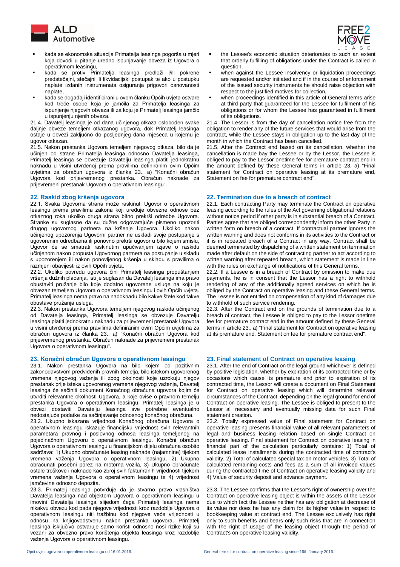

- kada se ekonomska situacija Primatelja leasinga pogorša u mjeri koja dovodi u pitanje uredno ispunjavanje obveza iz Ugovora o operativnom leasingu,
- kada se protiv Primatelja leasinga predloži i/ili pokrene predstečajni, stečajni ili likvidacijski postupak te ako u postupku naplate izdanih instrumenata osiguranja prigovori osnovanosti naplate,
- kada se događaji identificirani u ovom članku Općih uvjeta ostvare kod treće osobe koja je jamčila za Primatelja leasinga za ispunjenje njegovih obveza ili za koju je Primatelj leasinga jamčio u ispunjenju njenih obveza.

21.4. Davatelj leasinga je od dana učinjenog otkaza oslobođen svake daljnje obveze temeljem otkazanog ugovora, dok Primatelj leasinga ostaje u obvezi zaključno do posljednjeg dana mjeseca u kojemu je ugovor otkazan.

21.5. Nakon prestanka Ugovora temeljem njegovog otkaza, bilo da je učinjen od strane Primatelja leasinga odnosno Davatelja leasinga, Primatelj leasinga se obvezuje Davatelju leasinga platiti jednokratnu naknadu u visini utvrđenoj prema pravilima definiranim ovim Općim uvjetima za obračun ugovora iz članka 23., a) "Konačni obračun Ugovora kod prijevremenog prestanka. Obračun naknade za prijevremeni prestanak Ugovora o operativnom leasingu".

22.1. Svaka Ugovorna strana može raskinuti Ugovor o operativnom leasingu prema pravilima zakona koji uređuje obvezne odnose bez otkaznog roka ukoliko druga strana bitno prekrši odredbe Ugovora. Stranke su suglasne da su dužne odgovarajuće pismeno upozoriti drugog ugovornog partnera na kršenje Ugovora. Ukoliko nakon učinjenog upozorenja Ugovorni partner ne uskladi svoje postupanje s ugovorenim odredbama ili ponovno prekrši ugovor u bilo kojem smislu, Ugovor će se smatrati raskinutim upućivanjem izjave o raskidu učinjenom nakon propusta Ugovornog partnera na postupanje u skladu s upozorenjem ili nakon ponovljenog kršenja u skladu s pravilima o razmjeni obavijesti iz ovih Općih uvjeta.

22.2. Ukoliko povredu ugovora čini Primatelj leasinga propuštanjem vršenja dužnih plaćanja, isti je suglasan da Davatelj leasinga ima pravo obustaviti pružanje bilo koje dodatno ugovorene usluge na koju je obvezan temeljem Ugovora o operativnom leasingu i ovih Općih uvjeta. Primatelj leasinga nema pravo na nadoknadu bilo kakve štete kod takve obustave pružanja usluga.

22.3. Nakon prestanka Ugovora temeljem njegovog raskida učinjenog od Davatelja leasinga, Primatelj leasinga se obvezuje Davatelju leasinga platiti jednokratnu naknadu za prijevremeni prestanak Ugovora u visini utvrđenoj prema pravilima definiranim ovim Općim uvjetima za obračun ugovora iz članka 23., a) "Konačni obračun Ugovora kod prijevremenog prestanka. Obračun naknade za prijevremeni prestanak Ugovora o operativnom leasingu".

# **23. Konačni obračun Ugovora o operativnom leasingu 23. Final statement of Contract on operative leasing**

23.1. Nakon prestanka Ugovora na bilo kojem od pozitivnim zakonodavstvom predviđenih pravnih temelja, bilo istekom ugovorenog vremena njegovog važenja ili zbog okolnosti koje uzrokuju njegov prestanak prije isteka ugovorenog vremena njegovog važenja, Davatelj leasinga će sačiniti dokument Konačnog obračuna ugovora kojim će utvrditi relevantne okolnosti Ugovora, a koje ovise o pravnom temelju prestanka Ugovora o operativnom leasingu. Primatelj leasinga je u obvezi dostaviti Davatelju leasinga sve potrebne eventualno nedostajuće podatke za sačinjavanje odnosnog konačnog obračuna.

23.2. Ukupno iskazana vrijednost Konačnog obračuna Ugovora o operativnom leasingu iskazuje financijsku vrijednost svih relevantnih parametara pravnog i poslovnog odnosa leasinga temeljenog na pojedinačnom Ugovoru o operativnom leasingu. Konačni obračun Ugovora o operativnom leasingu u financijskom dijelu obračuna osobito sadržava: 1) Ukupno obračunate leasing naknade (najamnine) tijekom vremena važenja Ugovora o operativnom leasingu, 2) Ukupno obračunati posebni porez na motorna vozila, 3) Ukupno obračunate ostale troškove i naknade kao zbroj svih fakturiranih vrijednosti tijekom vremena važenja Ugovora o operativnom leasingu te 4) vrijednost jamčevine odnosno depozita.

23.3. Primatelj leasinga potvrđuje da je stvarno pravo vlasništva Davatelja leasinga nad objektom Ugovora o operativnom leasingu u imovini Davatelja leasinga slijedom čega Primatelj leasinga nema nikakvu obvezu kod pada njegove vrijednosti kroz razdoblje Ugovora o operativnom leasingu niti tražbinu kod njegove veće vrijednosti u odnosu na knjigovodstvenu nakon prestanka ugovora. Primatelj leasinga isključivo ostvaruje samo koristi odnosno nosi rizike koji su vezani za obvezno pravo korištenja objekta leasinga kroz razdoblje važenja Ugovora o operativnom leasingu.



- the Lessee's economic situation deteriorates to such an extent that orderly fulfilling of obligations under the Contract is called in question,
- when against the Lessee insolvency or liquidation proceedings are requested and/or initiated and if in the course of enforcement of the issued security instruments he should raise objection with respect to the justified motives for collection,
- when proceedings identified in this article of General terms arise at third party that guaranteed for the Lessee for fulfilment of his obligations or for whom the Lessee has guaranteed in fulfilment of its obligations.

21.4. The Lessor is from the day of cancellation notice free from the obligation to render any of the future services that would arise from the contract, while the Lessee stays in obligation up to the last day of the month in which the Contract has been cancelled.

21.5. After the Contract end based on its cancellation, whether the cancellation is made bay the Lessee or by the Lessor, the Lessee is obliged to pay to the Lessor onetime fee for premature contract end in the amount defined by these General terms in article 23, a) "Final statement for Contract on operative leasing at its premature end. Statement on fee for premature contract end".

### **22. Raskid zbog kršenja ugovora 22. Termination due to a breach of contract**

22.1. Each contracting Party may terminate the Contract on operative leasing according to the rules of the Act governing obligational relations without notice period if other party is in substantial breach of a Contract. Parties agree that are obliged correspondently inform the other Party in written form on breach of a contract. If contractual partner ignores the written warning and does not conforms in its activities to the Contract or if is in repeated breach of a Contract in any way, Contract shall be deemed terminated by dispatching of a written statement on termination made after default on the side of contracting partner to act according to written warning after repeated breach, which statement is made in line with the rules on exchange of notifications of this General terms.

22.2. If a Lessee is in a breach of Contract by omission to make due payments, he is in consent that the Lessor has a right to withhold rendering of any of the additionally agreed services on which he is obliged by the Contract on operative leasing and these General terms. The Lessee is not entitled on compensation of any kind of damages due to withhold of such service rendering.

22.3. After the Contract end on the grounds of termination due to a breach of contract, the Lessee is obliged to pay to the Lessor onetime fee for premature contract end in the amount defined by these General terms in article 23., a) "Final statement for Contract on operative leasing at its premature end. Statement on fee for premature contract end".

23.1. After the end of Contract on the legal ground whichever is defined by positive legislation, whether by expiration of its contracted time or by occasions which cause its premature end prior to expiration of its contracted time, the Lessor will create a document on Final Statement for Contract on operative leasing which will determine relevant circumstances of the Contract, depending on the legal ground for end of Contract on operative leasing. The Lessee is obliged to present to the Lessor all necessary and eventually missing data for such Final statement creation.

23.2. Totally expressed value of Final statement for Contract on operative leasing presents financial value of all relevant parameters of legal and business leasing relation based on single Contract on operative leasing. Final statement for Contract on operative leasing in financial part of the calculation particularly contains: 1) Total of calculated lease installments during the contracted time of contract's validity, 2) Total of calculated special tax on motor vehicles, 3) Total of calculated remaining costs and fees as a sum of all invoiced values during the contracted time of Contract on operative leasing validity and 4) Value of security deposit and advance payment.

23.3. The Lessee confirms that the Lessor's right of ownership over the Contract on operative leasing object is within the assets of the Lessor due to which fact the Lessee neither has any obligation at decrease of its value nor does he has any claim for its higher value in respect to bookkeeping value at contract end. The Lessee exclusively has right only to such benefits and bears only such risks that are in connection with the right of usage of the leasing object through the period of Contract's on operative leasing validity.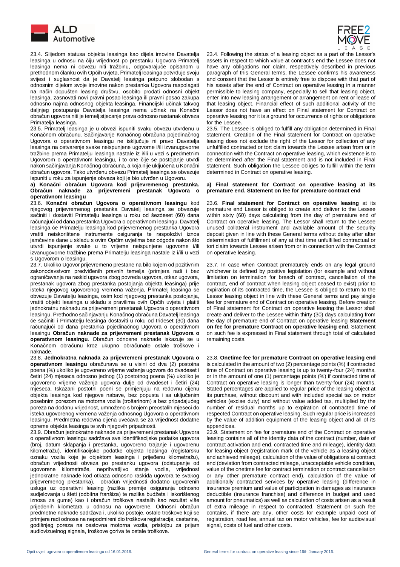

 23.4. Slijedom statusa objekta leasinga kao dijela imovine Davatelja leasinga u odnosu na čiju vrijednost po prestanku Ugovora Primatelj leasinga nema ni obvezu niti tražbinu, odgovarajuće opisanom u prethodnom članku ovih Općih uvjeta, Primatelj leasinga potvrđuje svoju svijest i suglasnost da je Davatelj leasinga potpuno slobodan s odnosnim dijelom svoje imovine nakon prestanka Ugovora raspolagati na način dopušten leasing društvu, osobito prodati odnosni objekt leasinga, zasnovati novi pravni posao leasinga ili pravni posao zakupa odnosno najma odnosnog objekta leasinga. Financijski učinak takvog daljnjeg postupanja Davatelja leasinga nema učinak na Konačni obračun ugovora niti je temelj stjecanje prava odnosno nastanak obveza Primatelja leasinga.

23.5. Primatelj leasinga je u obvezi ispuniti svaku obvezu utvrđenu u Konačnom obračunu. Sačinjavanje Konačnog obračuna pojedinačnog Ugovora o operativnom leasingu ne isključuje ni pravo Davatelja leasinga na ostvarenje svake neispunjene ugovorne i/ili izvanugovorne tražbine prema Primatelju leasinga nastale iz i/ili u vezi s predmetnim Ugovorom o operativnom leasingu, i to one čije se postojanje utvrdi nakon sačinjavanja Konačnog obračuna, a koja nije uključena u Konačni obračun ugovora. Tako utvrđenu obvezu Primatelj leasinga se obvezuje ispuniti u roku za ispunjenje obveza koji je bio utvrđen u Ugovoru.

### **a) Konačni obračun Ugovora kod prijevremenog prestanka. Obračun naknade za prijevremeni prestanak Ugovora o operativnom leasingu**

23.6. **Konačni obračun Ugovora o operativnom leasingu** kod njegovog prijevremenog prestanka Davatelj leasinga se obvezuje sačiniti i dostaviti Primatelju leasinga u roku od šezdeset (60) dana računajući od dana prestanka Ugovora o operativnom leasingu. Davatelj leasinga će Primatelju leasinga kod prijevremenog prestanka Ugovora vratiti neiskorištene instrumente osiguranja te raspoloživi iznos jamčevine dane u skladu s ovim Općim uvjetima bez odgode nakon što utvrdi ispunjenje svake u to vrijeme neispunjene ugovorne i/ili izvanugovorne tražbine prema Primatelju leasinga nastale iz i/ili u vezi s Ugovorom o leasingu.

23.7. Ukoliko Ugovor prijevremeno prestane na bilo kojem od pozitivnim zakonodavstvom predviđenih pravnih temelja (primjera radi i bez ograničavanja na raskid ugovora zbog povreda ugovora, otkaz ugovora, prestanak ugovora zbog prestanka postojanja objekta leasinga) prije isteka njegovog ugovorenog vremena važenja, Primatelj leasinga se obvezuje Davatelju leasinga, osim kod njegovog prestanka postojanja, vratiti objekt leasinga u skladu s pravilima ovih Općih uvjeta i platiti jednokratnu naknadu za prijevremeni prestanak Ugovora o operativnom leasingu. Prethodno sačinjavanju Konačnog obračuna Davatelj leasinga će sačiniti i Primatelju leasinga dostaviti u roku od trideset (30) dana računajući od dana prestanka pojedinačnog Ugovora o operativnom leasingu **Obračun naknade za prijevremeni prestanak Ugovora o operativnom leasingu**. Obračun odnosne naknade iskazuje se u Konačnom obračunu kroz ukupno obračunate ostale troškove i naknade.

23.8. **Jednokratna naknada za prijevremeni prestanak Ugovora o operativnom leasingu** obračunava se u visini od dva (2) postotna poena (%) ukoliko je ugovoreno vrijeme važenja ugovora do dvadeset i četiri (24) mjeseca odnosno jednog (1) postotnog poena (%) ukoliko je ugovoreno vrijeme važenja ugovora dulje od dvadeset i četiri (24) mjeseca. Iskazani postotni poeni se primjenjuju na redovnu cijenu objekta leasinga kod njegove nabave, bez popusta i sa uključenim posebnim porezom na motorna vozila (trošarinom) a bez pripadajućeg poreza na dodanu vrijednost, umnoženo s brojem preostalih mjeseci do isteka ugovorenog vremena važenja odnosnog Ugovora o operativnom leasingu. Predmetna redovna cijena uvećava se za vrijednost dodatne opreme objekta leasinga te svih njegovih pripadnosti.

23.9. Obračun jednokratne naknade za prijevremeni prestanak Ugovora o operativnom leasingu sadržava sve identifikacijske podatke ugovora (broj, datum sklapanja i prestanka, ugovoreno trajanje i ugovorenu kilometražu), identifikacijske podatke objekta leasinga (registarsku oznaku vozila koje je objektom leasinga i prijeđenu kilometražu), obračun vrijednosti obveza po prestanku ugovora (odstupanje od ugovorene kilometraže, neprihvatljivo stanje vozila, vrijednost jednokratne naknade kod otkaza odnosno raskida ugovora te svakog prijevremenog prestanka), obračun vrijednosti dodatno ugovorenih usluga uz operativni leasing (razlika premije osiguranja odnosno sudjelovanja u šteti (odbitna franšiza) te razlika budžeta i iskorištenog iznosa za gume) kao i obračun troškova nastalih kao rezultat više prijeđenih kilometara u odnosu na ugovorene. Odnosni obračun predmetne naknade sadržava i, ukoliko postoje, ostale troškove koji se primjera radi odnose na nepodmireni dio troškova registracije, cestarine, godišnjeg poreza na cestovna motorna vozila, pristojbu za prijam audiovizuelnog signala, troškove goriva te ostale troškove.



23.4. Following the status of a leasing object as a part of the Lessor's assets in respect to which value at contract's end the Lessee does not have any obligations nor claim, respectively described in previous paragraph of this General terms, the Lessee confirms his awareness and consent that the Lessor is entirely free to dispose with that part of his assets after the end of Contract on operative leasing in a manner permissible to leasing company, especially to sell that leasing object, enter into new leasing arrangement or arrangement on rent or lease of that leasing object. Financial effect of such additional activity of the Lessor does not have an effect on Final statement for Contract on operative leasing nor it is a ground for occurrence of rights or obligations for the Lessee.

23.5. The Lessee is obliged to fulfill any obligation determined in Final statement. Creation of the Final statement for Contract on operative leasing does not exclude the right of the Lessor for collection of any unfulfilled contracted or tort claim towards the Lessee arisen from or in connection with the Contract on operative leasing, which existence is to be determined after the Final statement and is not included in Final statement. Such obligation the Lessee obliges to fulfill within the term determined in Contract on operative leasing.

### **a) Final statement for Contract on operative leasing at its premature end. Statement on fee for premature contract end**

23.6. **Final statement for Contract on operative leasing** at its premature end Lessor is obliged to create and deliver to the Lessee within sixty (60) days calculating from the day of premature end of Contract on operative leasing. The Lessor shall return to the Lessee unused collateral instrument and available amount of the security deposit given in line with these General terms without delay after after determination of fulfillment of any at that time unfulfilled contractual or tort claim towards Lessee arisen from or in connection with the Contract on operative leasing.

23.7. In case when Contract prematurely ends on any legal ground whichever is defined by positive legislation (for example and without limitation on termination for breach of contract, cancellation of the contract, end of contract when leasing object ceased to exist) prior to expiration of its contracted time, the Lessee is obliged to return to the Lessor leasing object in line with these General terms and pay single fee for premature end of Contract on operative leasing. Before creation of Final statement for Contract on operative leasing the Lessor shall create and deliver to the Lessee within thirty (30) days calculating from the day of premature end of Contract on operative leasing **Statement on fee for premature Contract on operative leasing end**. Statement on such fee is expressed in Final statement through total of calculated remaining costs.

23.8. **Onetime fee for premature Contract on operative leasing end** is calculated in the amount of two (2) percentage points (%) if contracted time of Contract on operative leasing is up to twenty-four (24) months, or in the amount of one (1) percentage points (%) if contracted time of Contract on operative leasing is longer than twenty-four (24) months. Stated percentages are applied to regular price of the leasing object at its purchase, without discount and with included special tax on motor vehicles (excise duty) and without value added tax, multiplied by the number of residual months up to expiration of contracted time of respected Contract on operative leasing. Such regular price is increased by the value of addition equipment of the leasing object and all of its appendices.

23.9. Statement on fee for premature end of the Contract on operative leasing contains all of the identity data of the contract (number, date of contract activation and end, contracted time and mileage), identity data for leasing object (registration mark of the vehicle as a leasing object and achieved mileage), calculation of the value of obligations at contract end (deviation from contracted mileage, unacceptable vehicle condition, value of the onetime fee for contract termination or contract cancellation or any other premature contract end), calculation of the value of additionally contracted services by operative leasing (difference in insurance premium and value of participation in damages as insurance deductible (insurance franchise) and difference in budget and used amount for pneumatics) as well as calculation of costs arisen as a result of extra mileage in respect to contracted. Statement on such fee contains, if there are any, other costs for example unpaid cost of registration, road fee, annual tax on motor vehicles, fee for audiovisual signal, costs of fuel and other costs.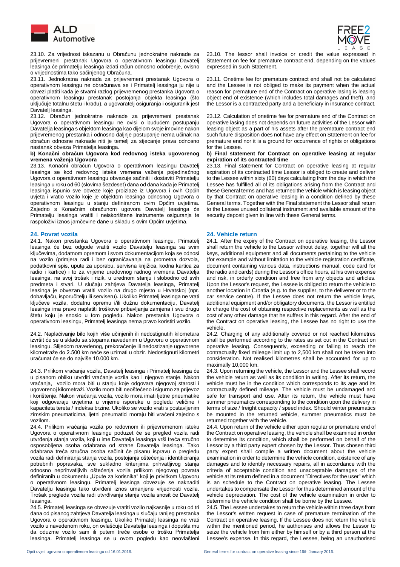

 23.10. Za vrijednost iskazanu u Obračunu jednokratne naknade za prijevremeni prestanak Ugovora o operativnom leasingu Davatelj leasinga će primatelju leasinga izdati račun odnosno odobrenje, ovisno o vrijednostima tako sačinjenog Obračuna.

23.11. Jednokratna naknada za prijevremeni prestanak Ugovora o operativnom leasingu ne obračunava se i Primatelj leasinga ju nije u obvezi platiti kada je stvarni razlog prijevremenog prestanka Ugovora o operativnom leasingu prestanak postojanja objekta leasinga (što uključuje totalnu štetu i krađu), a ugovaratelj osiguranja i osiguranik jest Davatelj leasinga.

23.12. Obračun jednokratne naknade za prijevremeni prestanak Ugovora o operativnom leasingu ne ovisi o budućem postupanju Davatelja leasinga s objektom leasinga kao dijelom svoje imovine nakon prijevremenog prestanka i odnosno daljnje postupanje nema učinak na obračun odnosne naknade niti je temelj za stjecanje prava odnosno nastanak obveza Primatelja leasinga.

### **b) Konačni obračun Ugovora kod redovnog isteka ugovorenog vremena važenja Ugovora**

23.13. Konačni obračun Ugovora o operativnom leasingu Davatelj leasinga se kod redovnog isteka vremena važenja pojedinačnog Ugovora o operativnom leasingu obvezuje sačiniti i dostaviti Primatelju leasinga u roku od 60 (slovima šezdeset) dana od dana kada je Primatelj leasinga ispunio sve obveze koje proizlaze iz Ugovora i ovih Općih uvjeta i vratio vozilo koje je objektom leasinga odnosnog Ugovora o operativnom leasingu u stanju definiranom ovim Općim uvjetima. Zajedno s Konačnim obračunom ugovora Davatelj leasinga će Primatelju leasinga vratiti i neiskorištene instrumente osiguranja te raspoloživi iznos jamčevine dane u skladu s ovim Općim uvjetima.

24.1. Nakon prestanka Ugovora o operativnom leasingu, Primatelj leasinga će bez odgode vratiti vozilo Davatelju leasinga sa svim ključevima, dodatnom opremom i svom dokumentacijom koja se odnosi na vozilo (primjera radi i bez ograničavanja na prometna dozvola, podatkovni spis, upute za uporabu, servisna knjižica, kodna kartica za radio i kartice) i to za vrijeme uredovnog radnog vremena Davatelja leasinga, na svoj trošak i rizik, u urednom stanju i slobodno od svih predmeta i stvari. U slučaju zahtjeva Davatelja leasinga, Primatelj leasinga je obvezan vratiti vozilo na drugo mjesto u Hrvatskoj (npr. dobavljaču, isporučitelju ili serviseru). Ukoliko Primatelj leasinga ne vrati ključeve vozila, dodatnu opremu i/ili dužnu dokumentaciju, Davatelj leasinga ima pravo naplatiti troškove pribavljanja zamjena i svu drugu štetu koju je snosio u tom pogledu. Nakon prestanka Ugovora o operativnom leasingu, Primatelj leasinga nema pravo koristiti vozilo.

24.2. Naplaćivanje bilo kojih više učinjenih ili nedostignutih kilometara izvršit će se u skladu sa stopama navedenim u Ugovoru o operativnom leasingu. Slijedom navedenog, prekoračenje ili nedostizanje ugovorene kilometraže do 2.500 km neće se uzimati u obzir. Nedostignuti kilometri uračunat će se do najviše 10.000 km.

24.3. Prilikom vraćanja vozila, Davatelj leasinga i Primatelj leasinga će u pisanom obliku utvrditi vraćanje vozila kao i njegovo stanje. Nakon vraćanja, vozilo mora biti u stanju koje odgovara njegovoj starosti i ugovorenoj kilometraži. Vozilo mora biti neoštećeno i sigurno za prijevoz i korištenje. Nakon vraćanja vozila, vozilo mora imati ljetne pneumatike koji odgovaraju uvjetima u vrijeme isporuke u pogledu veličine / kapaciteta tereta / indeksa brzine. Ukoliko se vozilo vrati s postavljenim zimskim pneumaticima, ljetni pneumatici moraju biti vraćeni zajedno s vozilom.

24.4. Prilikom vraćanja vozila po redovnom ili prijevremenom isteku Ugovora o operativnom leasingu poduzet će se pregled vozila radi utvrđenja stanja vozila, koji u ime Davatelja leasinga vrši treća stručno osposobljena osoba odabrana od strane Davatelja leasinga. Tako odabrana treća stručna osoba sačinit će pisanu ispravu o pregledu vozila radi definiranja stanja vozila, postojanja oštećenja i identificiranja potrebnih popravaka, sve sukladno kriterijima prihvatljivog stanja odnosno neprihvatljivih oštećenja vozila prilikom njegovog povrata definiranih u dokumentu "Upute za korisnika" koji je privitkom Ugovoru o operativnom leasingu. Primatelj leasinga obvezuje se naknaditi Davatelju leasinga tako utvrđeni iznos umanjene vrijednosti vozila. Trošak pregleda vozila radi utvrđivanja stanja vozila snosit će Davatelj leasinga.

24.5. Primatelj leasinga se obvezuje vratiti vozilo najkasnije u roku od tri dana od pisanog zahtjeva Davatelja leasinga u slučaju ranijeg prestanka Ugovora o operativnom leasingu. Ukoliko Primatelj leasinga ne vrati vozilo u navedenom roku, on ovlašćuje Davatelja leasinga i dopušta mu da oduzme vozilo sam ili putem treće osobe o trošku Primatelja leasinga. Primatelj leasinga se u ovom pogledu kao neovlašteni



23.10. The lessor shall invoice or credit the value expressed in Statement on fee for premature contract end, depending on the values expressed in such Statement.

23.11. Onetime fee for premature contract end shall not be calculated and the Lessee is not obliged to make its payment when the actual reason for premature end of the Contract on operative lasing is leasing object end of existence (which includes total damages and theft), and the Lessor is a contracted party and a beneficiary in insurance contract.

23.12. Calculation of onetime fee for premature end of the Contract on operative lasing does not depends on future activities of the Lessor with leasing object as a part of his assets after the premature contract end such future disposition does not have any effect on Statement on fee for premature end nor it is a ground for occurrence of rights or obligations for the Lessee.

### **b) Final statement for Contract on operative leasing at regular expiration of its contracted time**

23.13. Final statement for Contract on operative leasing at regular expiration of its contracted time Lessor is obliged to create and deliver to the Lessee within sixty (60) days calculating from the day in which the Lessee has fulfilled all of its obligations arising from the Contract and these General terms and has returned the vehicle which is leasing object by that Contract on operative leasing in a condition defined by these General terms. Together with the Final statement the Lessor shall return to the Lessee unused collateral instrument and available amount of the security deposit given in line with these General terms.

# **24. Povrat vozila 24. Vehicle return**

24.1. After the expiry of the Contract on operative leasing, the Lessor shall return the vehicle to the Lessor without delay, together will all the keys, additional equipment and all documents pertaining to the vehicle (for example and without limitation to the vehicle registration certificate, document containing various data, instructions manual, code card for the radio and cards) during the Lessor's office hours, at his own expense and risk, in orderly condition and free from any objects and articles. Upon the Lessor's request, the Lessee is obliged to return the vehicle to another location in Croatia (e.g. to the supplier, to the deliverer or to the car service centre). If the Lessee does not return the vehicle keys, additional equipment and/or obligatory documents, the Lessor is entitled to charge the cost of obtaining respective replacements as well as the cost of any other damage that he suffers in this regard. After the end of the Contract on operative leasing, the Lessee has no right to use the vehicle.

24.2. Charging of any additionally covered or not reached kilometres shall be performed according to the rates as set out in the Contract on operative leasing. Consequently, exceeding or failing to reach the contractually fixed mileage limit up to 2,500 km shall not be taken into consideration. Not realised kilometres shall be accounted for up to maximally 10,000 km.

24.3. Upon returning the vehicle, the Lessor and the Lessee shall record the vehicle return as well as its condition in writing. After its return, the vehicle must be in the condition which corresponds to its age and its contractually defined mileage. The vehicle must be undamaged and safe for transport and use. After its return, the vehicle must have summer pneumatics corresponding to the condition upon the delivery in terms of size / freight capacity / speed index. Should winter pneumatics be mounted in the returned vehicle, summer pneumatics must be returned together with the vehicle.

24.4. Upon return of the vehicle either upon regular or premature end of the Contract on operative leasing, the vehicle shall be examined in order to determine its condition, which shall be performed on behalf of the Lessor by a third party expert chosen by the Lessor. Thus chosen third party expert shall compile a written document about the vehicle examination in order to determine the vehicle condition, existence of any damages and to identify necessary repairs, all in accordance with the criteria of acceptable condition and unacceptable damages of the vehicle at its return defined in a document "Directives for the user" which is an schedule to the Contract on operative leasing. The Lessee undertakes to compensate the Lessor for thus determined amount of the vehicle depreciation. The cost of the vehicle examination in order to determine the vehicle condition shall be borne by the Lessee.

24.5. The Lessee undertakes to return the vehicle within three days from the Lessor's written request in case of premature termination of the Contract on operative leasing. If the Lessee does not return the vehicle within the mentioned period, he authorises and allows the Lessor to seize the vehicle from him either by himself or by a third person at the Lessee's expense. In this regard, the Lessee, being an unauthorised